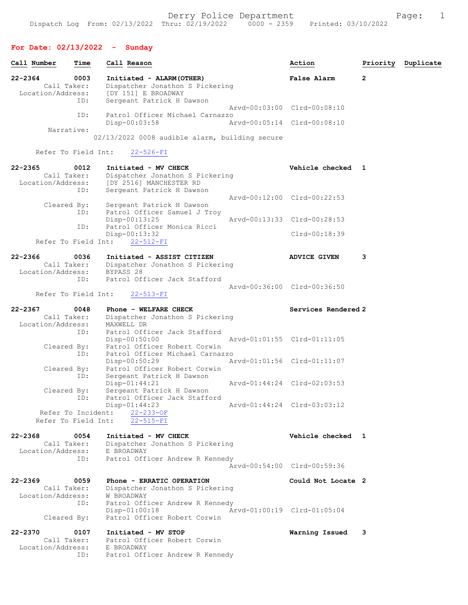|             | Call Number                               | Time        | Call Reason                                           |                                                                                                          | Action                      | Priority     | Duplicate |
|-------------|-------------------------------------------|-------------|-------------------------------------------------------|----------------------------------------------------------------------------------------------------------|-----------------------------|--------------|-----------|
| $22 - 2364$ | Call Taker:<br>Location/Address:          | 0003<br>ID: | [DY 151] E BROADWAY                                   | Initiated - ALARM (OTHER)<br>Dispatcher Jonathon S Pickering<br>Sergeant Patrick H Dawson                | <b>False Alarm</b>          | $\mathbf{2}$ |           |
|             |                                           | ID:         |                                                       | Patrol Officer Michael Carnazzo                                                                          | Arvd-00:03:00 Clrd-00:08:10 |              |           |
|             |                                           |             | $Disp-00:03:58$                                       |                                                                                                          | Arvd-00:05:14 Clrd-00:08:10 |              |           |
|             | Narrative:                                |             |                                                       | 02/13/2022 0008 audible alarm, building secure                                                           |                             |              |           |
|             | Refer To Field Int:                       |             | $22 - 526 - FI$                                       |                                                                                                          |                             |              |           |
| $22 - 2365$ | Call Taker:<br>Location/Address:          | 0012<br>ID: | Initiated - MV CHECK<br>[DY 2516] MANCHESTER RD       | Dispatcher Jonathon S Pickering<br>Sergeant Patrick H Dawson                                             | Vehicle checked 1           |              |           |
|             | Cleared By:                               | ID:         |                                                       | Sergeant Patrick H Dawson<br>Patrol Officer Samuel J Troy                                                | Arvd-00:12:00 Clrd-00:22:53 |              |           |
|             |                                           |             | $Disp-00:13:25$                                       | Patrol Officer Monica Ricci                                                                              | Arvd-00:13:33 Clrd-00:28:53 |              |           |
|             | Refer To Field Int:                       | ID:         | Disp-00:13:32<br>$22 - 512 - FI$                      |                                                                                                          | Clrd-00:18:39               |              |           |
| $22 - 2366$ |                                           | 0036        |                                                       | Initiated - ASSIST CITIZEN<br>Call Taker: Dispatcher Jonathon S Pickering<br>Location/Address: BYPASS 28 | <b>ADVICE GIVEN</b>         | 3            |           |
|             | Refer To Field Int:                       | ID:         | $22 - 513 - FI$                                       | Patrol Officer Jack Stafford                                                                             | Arvd-00:36:00 Clrd-00:36:50 |              |           |
| $22 - 2367$ | Call Taker:<br>Location/Address:          | 0048        | Phone - WELFARE CHECK<br>MAXWELL DR                   | Dispatcher Jonathon S Pickering                                                                          | Services Rendered 2         |              |           |
|             | Cleared By:                               | ID:         | Disp-00:50:00                                         | Patrol Officer Jack Stafford<br>Patrol Officer Robert Corwin                                             | Arvd-01:01:55 Clrd-01:11:05 |              |           |
|             | Cleared By:                               | ID:         | Disp-00:50:29                                         | Patrol Officer Michael Carnazzo<br>Patrol Officer Robert Corwin                                          | Arvd-01:01:56 Clrd-01:11:07 |              |           |
|             | Cleared By:                               | ID:         | Disp-01:44:21                                         | Sergeant Patrick H Dawson<br>Sergeant Patrick H Dawson                                                   | Arvd-01:44:24 Clrd-02:03:53 |              |           |
|             | Refer To Incident:<br>Refer To Field Int: | ID:         | $Disp-01:44:23$<br>$22 - 233 - OF$<br>$22 - 515 - FI$ | Patrol Officer Jack Stafford                                                                             | Arvd-01:44:24 Clrd-03:03:12 |              |           |
| $22 - 2368$ | Call Taker:<br>Location/Address:          | 0054        | Initiated - MV CHECK<br>E BROADWAY                    | Dispatcher Jonathon S Pickering                                                                          | Vehicle checked 1           |              |           |
|             |                                           | ID:         |                                                       | Patrol Officer Andrew R Kennedy                                                                          | Arvd-00:54:00 Clrd-00:59:36 |              |           |
| $22 - 2369$ | Call Taker:<br>Location/Address:          | 0059<br>ID: | W BROADWAY                                            | Phone - ERRATIC OPERATION<br>Dispatcher Jonathon S Pickering<br>Patrol Officer Andrew R Kennedy          | Could Not Locate 2          |              |           |
|             | Cleared By:                               |             | $Disp-01:00:18$                                       | Patrol Officer Robert Corwin                                                                             | Arvd-01:00:19 Clrd-01:05:04 |              |           |
| $22 - 2370$ | Call Taker:<br>Location/Address:          | 0107<br>ID: | Initiated - MV STOP<br>E BROADWAY                     | Patrol Officer Robert Corwin<br>Patrol Officer Andrew R Kennedy                                          | Warning Issued              | 3            |           |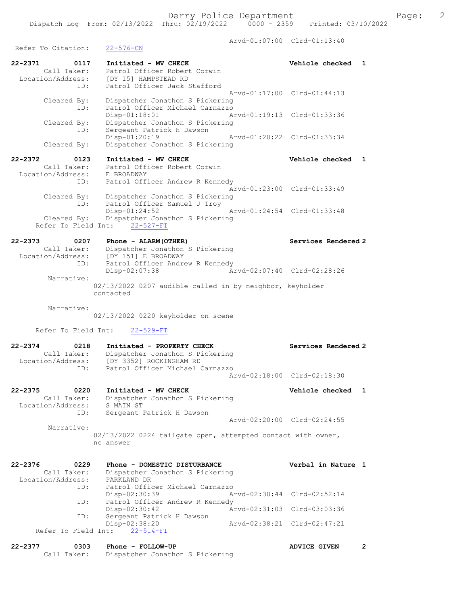Arvd-01:07:00 Clrd-01:13:40 Refer To Citation: 22-576-CN 22-2371 0117 Initiated - MV CHECK Vehicle checked 1 Call Taker: Patrol Officer Robert Corwin Location/Address: [DY 15] HAMPSTEAD RD ID: Patrol Officer Jack Stafford Arvd-01:17:00 Clrd-01:44:13 Cleared By: Dispatcher Jonathon S Pickering ID: Patrol Officer Michael Carnazzo Disp-01:18:01 Arvd-01:19:13 Clrd-01:33:36 Cleared By: Dispatcher Jonathon S Pickering ID: Sergeant Patrick H Dawson Disp-01:20:19 Arvd-01:20:22 Clrd-01:33:34<br>Cleared By: Dispatcher Jonathon S Pickering Dispatcher Jonathon S Pickering 22-2372 0123 Initiated - MV CHECK Vehicle checked 1 Call Taker: Patrol Officer Robert Corwin Location/Address: E BROADWAY ID: Patrol Officer Andrew R Kennedy Arvd-01:23:00 Clrd-01:33:49 Cleared By: Dispatcher Jonathon S Pickering ID: Patrol Officer Samuel J Troy Disp-01:24:52 Arvd-01:24:54 Clrd-01:33:48 Cleared By: Dispatcher Jonathon S Pickering Refer To Field Int: 22-527-FI 22-2373 0207 Phone - ALARM(OTHER) Services Rendered 2 Call Taker: Dispatcher Jonathon S Pickering Location/Address: [DY 151] E BROADWAY ID: Patrol Officer Andrew R Kennedy Disp-02:07:38 Arvd-02:07:40 Clrd-02:28:26 Narrative: 02/13/2022 0207 audible called in by neighbor, keyholder contacted Narrative: 02/13/2022 0220 keyholder on scene Refer To Field Int: 22-529-FI 22-2374 0218 Initiated - PROPERTY CHECK Services Rendered 2 Call Taker: Dispatcher Jonathon S Pickering Location/Address: [DY 3352] ROCKINGHAM RD ID: Patrol Officer Michael Carnazzo Arvd-02:18:00 Clrd-02:18:30 22-2375 0220 Initiated - MV CHECK Vehicle checked 1 Call Taker: Dispatcher Jonathon S Pickering Location/Address: S MAIN ST ID: Sergeant Patrick H Dawson Arvd-02:20:00 Clrd-02:24:55 Narrative: 02/13/2022 0224 tailgate open, attempted contact with owner, no answer 22-2376 0229 Phone - DOMESTIC DISTURBANCE Verbal in Nature 1 Call Taker: Dispatcher Jonathon S Pickering Location/Address: PARKLAND DR ID: Patrol Officer Michael Carnazzo Disp-02:30:39 Arvd-02:30:44 Clrd-02:52:14 ID: Patrol Officer Andrew R Kennedy<br>Disp-02:30:42 Arvd-02:31:03 Clrd-03:03:36 Disp-02:30:42 Arvd-02:31:03 Clrd-03:03:36 ID: Sergeant Patrick H Dawson Disp-02:38:20 Arvd-02:38:21 Clrd-02:47:21 ID: Sergeand 1:<br>Disp-02:38:20<br>Refer To Field Int: 22-514-FI 22-2377 0303 Phone - FOLLOW-UP ADVICE GIVEN 2 Call Taker: Dispatcher Jonathon S Pickering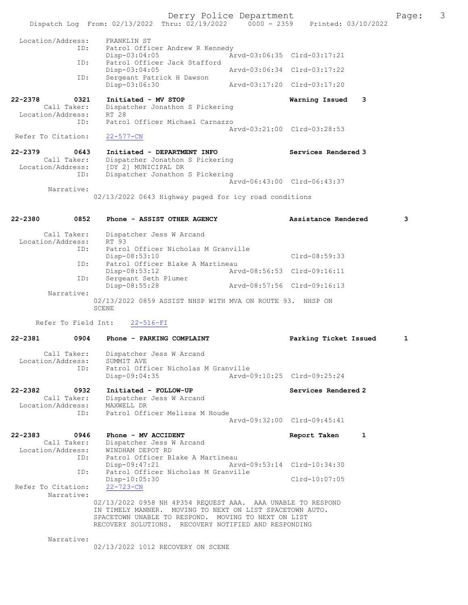Derry Police Department The Page: 3 Dispatch Log From: 02/13/2022 Thru: 02/19/2022 0000 - 2359 Printed: 03/10/2022 Location/Address: FRANKLIN ST ID: Patrol Officer Andrew R Kennedy<br>Disp-03:04:05 Am Disp-03:04:05 Arvd-03:06:35 Clrd-03:17:21<br>TD: Patrol Officer Jack Stafford Patrol Officer Jack Stafford<br>Disp-03:04:05 Disp-03:04:05 Arvd-03:06:34 Clrd-03:17:22<br>ID: Sergeant Patrick H Dawson Sergeant Patrick H Dawson<br>Disp-03:06:30 Disp-03:06:30 Arvd-03:17:20 Clrd-03:17:20 22-2378 0321 Initiated - MV STOP Warning Issued 3 Call Taker: Dispatcher Jonathon S Pickering Location/Address: RT 28 ID: Patrol Officer Michael Carnazzo Arvd-03:21:00 Clrd-03:28:53<br>22-577-CN Refer To Citation: 22-2379 0643 Initiated - DEPARTMENT INFO Services Rendered 3 Call Taker: Dispatcher Jonathon S Pickering Location/Address: [DY 2] MUNICIPAL DR ID: Dispatcher Jonathon S Pickering Arvd-06:43:00 Clrd-06:43:37 Narrative: 02/13/2022 0643 Highway paged for icy road conditions 22-2380 0852 Phone - ASSIST OTHER AGENCY Assistance Rendered 3 Call Taker: Dispatcher Jess W Arcand Location/Address: RT 93<br>TD: Patro na 32<br>Patrol Officer Nicholas M Granville Disp-08:53:10 Clrd-08:59:33<br>TD: Patrol Officer Blake A Martineau ID: Patrol Officer Blake A Martineau Disp-08:53:12 Arvd-08:56:53 Clrd-09:16:11 ID: Sergeant Seth Plumer<br>Disp-08:55:28 Disp-08:55:28 Arvd-08:57:56 Clrd-09:16:13 Narrative: 02/13/2022 0859 ASSIST NHSP WITH MVA ON ROUTE 93. NHSP ON SCENE Refer To Field Int: 22-516-FI 22-2381 0904 Phone - PARKING COMPLAINT Parking Ticket Issued 1 Call Taker: Dispatcher Jess W Arcand Location/Address: SUMMIT AVE<br>TD: Patrol Off Patrol Officer Nicholas M Granville<br>Disp-09:04:35 Arvd-0 Disp-09:04:35 Arvd-09:10:25 Clrd-09:25:24 22-2382 0932 Initiated - FOLLOW-UP Services Rendered 2 Call Taker: Dispatcher Jess W Arcand Location/Address: MAXWELL DR ID: Patrol Officer Melissa M Houde Arvd-09:32:00 Clrd-09:45:41 22-2383 0946 Phone - MV ACCIDENT Report Taken 1 Call Taker: Dispatcher Jess W Arcand Location/Address: WINDHAM DEPOT RD ID: Patrol Officer Blake A Martineau<br>Disp-09:47:21 Mrvd-09:53:14 Clrd-10:34:30 Disp-09:47:21 Arvd-09:53:14 Clrd-10:34:30 ID: Patrol Officer Nicholas M Granville Disp-10:05:30 Clrd-10:07:05 Refer To Citation: 22-723-CN Narrative: 02/13/2022 0958 NH 4P354 REQUEST AAA. AAA UNABLE TO RESPOND IN TIMELY MANNER. MOVING TO NEXT ON LIST SPACETOWN AUTO. SPACETOWN UNABLE TO RESPOND. MOVING TO NEXT ON LIST RECOVERY SOLUTIONS. RECOVERY NOTIFIED AND RESPONDING

Narrative:

02/13/2022 1012 RECOVERY ON SCENE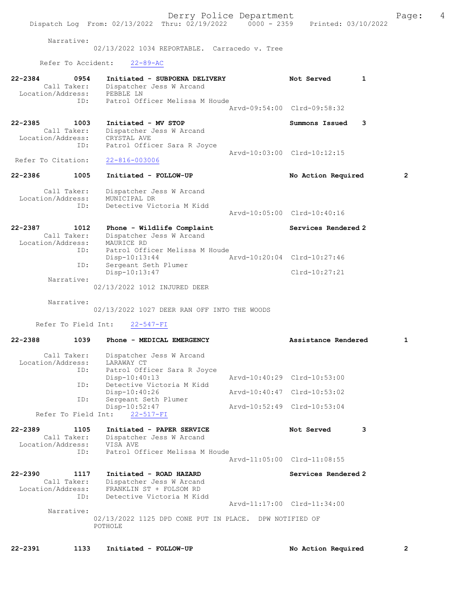Narrative:

02/13/2022 1034 REPORTABLE. Carracedo v. Tree

Refer To Accident: 22-89-AC

| Call Taker:<br>Location/Address:                | 0954<br>ID: | Initiated - SUBPOENA DELIVERY<br>Dispatcher Jess W Arcand<br>PEBBLE LN<br>Patrol Officer Melissa M Houde                               | Not Served<br>Arvd-09:54:00 Clrd-09:58:32                  | 1 |
|-------------------------------------------------|-------------|----------------------------------------------------------------------------------------------------------------------------------------|------------------------------------------------------------|---|
| 22-2385<br>Call Taker:<br>Location/Address:     | 1003<br>ID: | Initiated - MV STOP<br>Dispatcher Jess W Arcand<br>CRYSTAL AVE<br>Patrol Officer Sara R Joyce                                          | Summons Issued                                             | 3 |
| Refer To Citation:                              |             | 22-816-003006                                                                                                                          | Arvd-10:03:00 Clrd-10:12:15                                |   |
| 22-2386                                         | 1005        | Initiated - FOLLOW-UP                                                                                                                  | No Action Required                                         | 2 |
| Call Taker:<br>Location/Address:                | ID:         | Dispatcher Jess W Arcand<br>MUNICIPAL DR<br>Detective Victoria M Kidd                                                                  | Arvd-10:05:00 Clrd-10:40:16                                |   |
| 22-2387<br>Call Taker:<br>Location/Address:     | 1012        | Phone - Wildlife Complaint<br>Dispatcher Jess W Arcand<br>MAURICE RD                                                                   | Services Rendered 2                                        |   |
|                                                 | ID:<br>ID:  | Patrol Officer Melissa M Houde<br>Disp-10:13:44<br>Sergeant Seth Plumer<br>Disp-10:13:47                                               | Arvd-10:20:04 Clrd-10:27:46<br>$Clrd-10:27:21$             |   |
| Narrative:                                      |             | 02/13/2022 1012 INJURED DEER                                                                                                           |                                                            |   |
| Narrative:<br>Refer To Field Int:               |             | 02/13/2022 1027 DEER RAN OFF INTO THE WOODS<br>$22 - 547 - FI$                                                                         |                                                            |   |
| $22 - 2388$                                     | 1039        | Phone - MEDICAL EMERGENCY                                                                                                              | Assistance Rendered                                        | 1 |
| Call Taker:<br>Location/Address:                |             |                                                                                                                                        |                                                            |   |
|                                                 | ID:<br>ID:  | Dispatcher Jess W Arcand<br>LARAWAY CT<br>Patrol Officer Sara R Joyce<br>$Disp-10:40:13$<br>Detective Victoria M Kidd<br>Disp-10:40:26 | Arvd-10:40:29 Clrd-10:53:00<br>Arvd-10:40:47 Clrd-10:53:02 |   |
| Refer To Field Int:                             | ID:         | Sergeant Seth Plumer<br>Disp-10:52:47<br>$22 - 517 - FI$                                                                               | Arvd-10:52:49 Clrd-10:53:04                                |   |
| 22-2389<br>Call Taker:<br>Location/Address:     | 1105        | Initiated - PAPER SERVICE<br>Dispatcher Jess W Arcand<br>VISA AVE                                                                      | Not Served                                                 | 3 |
|                                                 | ID:         | Patrol Officer Melissa M Houde                                                                                                         | Arvd-11:05:00 Clrd-11:08:55                                |   |
| $22 - 2390$<br>Call Taker:<br>Location/Address: | 1117<br>ID: | Initiated - ROAD HAZARD<br>Dispatcher Jess W Arcand<br>FRANKLIN ST + FOLSOM RD<br>Detective Victoria M Kidd                            | Services Rendered 2                                        |   |
| Narrative:                                      |             | 02/13/2022 1125 DPD CONE PUT IN PLACE. DPW NOTIFIED OF<br>POTHOLE                                                                      | Arvd-11:17:00 Clrd-11:34:00                                |   |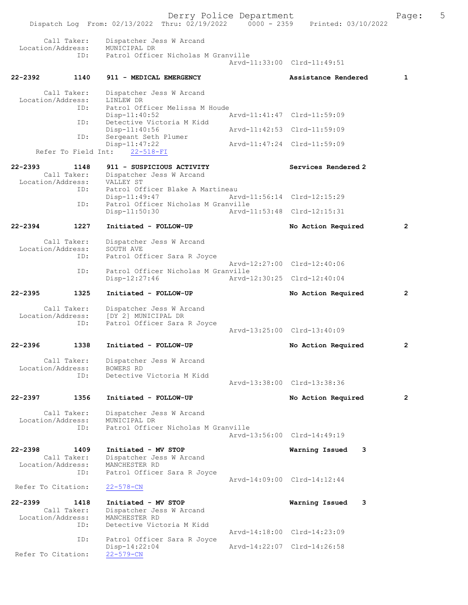Derry Police Department<br>Page: 5 (19/2022 - 0000 - 2359 - Printed: 03/10/2022 Dispatch Log From: 02/13/2022 Thru: 02/19/2022 Call Taker: Dispatcher Jess W Arcand Location/Address: MUNICIPAL DR<br>TD: Patrol Office Patrol Officer Nicholas M Granville Arvd-11:33:00 Clrd-11:49:51 22-2392 1140 911 - MEDICAL EMERGENCY Assistance Rendered 1 Call Taker: Dispatcher Jess W Arcand<br>ion/Address: LINLEW DR Location/Address: ID: Patrol Officer Melissa M Houde<br>
Disp-11:40:52 Disp-11:40:52 <br>
Detective Victoria M Kidd<br>
Detective Victoria M Kidd Detective Victoria M Kidd<br>Disp-11:40:56 Disp-11:40:56 <br>
D: Sergeant Seth Plumer <br>  $\frac{11:42:53 \text{ Clrd}-11:59:09}{\text{Nrd}-11:42:53}$ Sergeant Seth Plumer Disp-11:47:22 Arvd-11:47:24 Clrd-11:59:09 Refer To Field Int: 22-518-FI 22-2393 1148 911 - SUSPICIOUS ACTIVITY Services Rendered 2 Call Taker: Dispatcher Jess W Arcand<br>ion/Address: VALLEY ST Location/Address:<br>ID: Patrol Officer Blake A Martineau<br>Disp-11:49:47 Art Disp-11:49:47 Arvd-11:56:14 Clrd-12:15:29<br>TD: Patrol Officer Nicholas M Granville Patrol Officer Nicholas M Granville<br>Disp-11:50:30 Arvd-1 Arvd-11:53:48 Clrd-12:15:31 22-2394 1227 Initiated - FOLLOW-UP No Action Required 2 Call Taker: Dispatcher Jess W Arcand<br>.on/Address: SOUTH AVE Location/Address:<br>ID: Patrol Officer Sara R Joyce Arvd-12:27:00 Clrd-12:40:06<br>TD: Patrol Officer Nicholas M Granville Patrol Officer Nicholas M Granville Disp-12:27:46 Arvd-12:30:25 Clrd-12:40:04 22-2395 1325 Initiated - FOLLOW-UP No Action Required 2 Call Taker: Dispatcher Jess W Arcand<br>Location/Address: [DY 2] MUNICIPAL DR ess: [DY 2] MUNICIPAL DR<br>ID: Patrol Officer Sara Patrol Officer Sara R Joyce Arvd-13:25:00 Clrd-13:40:09 22-2396 1338 Initiated - FOLLOW-UP No Action Required 2 Call Taker: Dispatcher Jess W Arcand<br>on/Address: ROWERS RD Location/Address:<br>TD: Detective Victoria M Kidd Arvd-13:38:00 Clrd-13:38:36 22-2397 1356 Initiated - FOLLOW-UP No Action Required 2 Call Taker: Dispatcher Jess W Arcand<br>ion/Address: MUNICIPAL DR Location/Address:<br>TD: Patrol Officer Nicholas M Granville Arvd-13:56:00 Clrd-14:49:19 22-2398 1409 Initiated - MV STOP Warning Issued 3 Call Taker: Dispatcher Jess W Arcand<br>.on/Address: MANCHESTER RD Location/Address:<br>ID: Patrol Officer Sara R Joyce Arvd-14:09:00 Clrd-14:12:44<br>22-578-CN Refer To Citation: 22-2399 1418 Initiated - MV STOP Warning Issued 3 Call Taker: Dispatcher Jess W Arcand<br>ion/Address: MANCHESTER RD Location/Address:<br>ID: Detective Victoria M Kidd Arvd-14:18:00 Clrd-14:23:09 ID: Patrol Officer Sara R Joyce<br>Disp-14:22:04 Disp-14:22:04 Arvd-14:22:07 Clrd-14:26:58 Refer To Citation: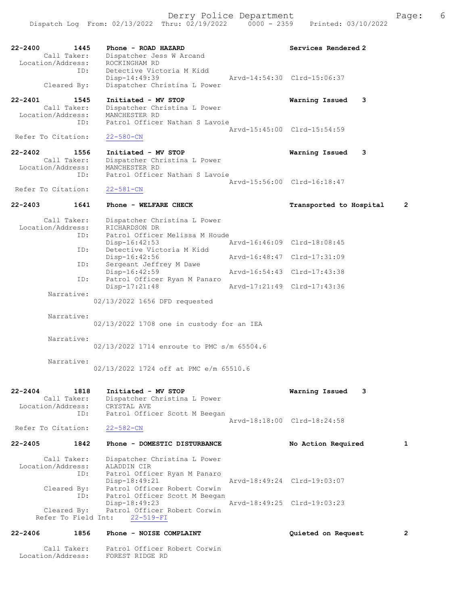| $22 - 2400$<br>1445<br>Call Taker:<br>Location/Address: | Phone - ROAD HAZARD<br>Dispatcher Jess W Arcand<br>ROCKINGHAM RD                | Services Rendered 2                       |
|---------------------------------------------------------|---------------------------------------------------------------------------------|-------------------------------------------|
| ID:                                                     | Detective Victoria M Kidd                                                       |                                           |
| Cleared By:                                             | Disp-14:49:39<br>Dispatcher Christina L Power                                   | Arvd-14:54:30 Clrd-15:06:37               |
| $22 - 2401$<br>1545<br>Call Taker:<br>Location/Address: | Initiated - MV STOP<br>Dispatcher Christina L Power<br>MANCHESTER RD            | Warning Issued<br>3                       |
| ID:<br>Refer To Citation:                               | Patrol Officer Nathan S Lavoie<br>$22 - 580 - CN$                               | Arvd-15:45:00 Clrd-15:54:59               |
| $22 - 2402$<br>1556                                     | Initiated - MV STOP                                                             | Warning Issued<br>3                       |
| Call Taker:<br>Location/Address:<br>ID:                 | Dispatcher Christina L Power<br>MANCHESTER RD<br>Patrol Officer Nathan S Lavoie |                                           |
| Refer To Citation:                                      | $22 - 581 - CN$                                                                 | Aryd-15:56:00 Clrd-16:18:47               |
| 22-2403<br>1641                                         | Phone - WELFARE CHECK                                                           | $\overline{2}$<br>Transported to Hospital |
| Call Taker:<br>Location/Address:                        | Dispatcher Christina L Power<br>RICHARDSON DR                                   |                                           |
| ID:                                                     | Patrol Officer Melissa M Houde<br>$Disp-16:42:53$                               | Arvd-16:46:09 Clrd-18:08:45               |
| ID:                                                     | Detective Victoria M Kidd<br>$Disp-16:42:56$                                    | Arvd-16:48:47 Clrd-17:31:09               |
| ID:                                                     | Sergeant Jeffrey M Dawe<br>Disp-16:42:59                                        | Arvd-16:54:43 Clrd-17:43:38               |
| ID:                                                     | Patrol Officer Ryan M Panaro<br>$Disp-17:21:48$                                 | Arvd-17:21:49 Clrd-17:43:36               |
| Narrative:                                              | 02/13/2022 1656 DFD requested                                                   |                                           |
| Narrative:                                              | 02/13/2022 1708 one in custody for an IEA                                       |                                           |
| Narrative:                                              | 02/13/2022 1714 enroute to PMC s/m 65504.6                                      |                                           |
| Narrative:                                              | 02/13/2022 1724 off at PMC e/m 65510.6                                          |                                           |
| 22-2404<br>1818<br>Call Taker:<br>Location/Address:     | Initiated - MV STOP<br>Dispatcher Christina L Power<br>CRYSTAL AVE              | Warning Issued<br>3                       |
| ID:                                                     | Patrol Officer Scott M Beegan                                                   | Aryd-18:18:00 Clrd-18:24:58               |
| Refer To Citation:                                      | $22 - 582 - CN$                                                                 |                                           |
| 1842<br>22-2405                                         | Phone - DOMESTIC DISTURBANCE                                                    | No Action Required<br>1                   |
| Call Taker:<br>Location/Address:<br>ID:                 | Dispatcher Christina L Power<br>ALADDIN CIR<br>Patrol Officer Ryan M Panaro     |                                           |
| Cleared By:<br>ID:                                      | Disp-18:49:21<br>Patrol Officer Robert Corwin<br>Patrol Officer Scott M Beegan  | Arvd-18:49:24 Clrd-19:03:07               |
| Cleared By:<br>Refer To Field Int:                      | Disp-18:49:23<br>Patrol Officer Robert Corwin<br>$22 - 519 - FI$                | Arvd-18:49:25 Clrd-19:03:23               |
| 22-2406<br>1856                                         | Phone - NOISE COMPLAINT                                                         | Quieted on Request<br>2                   |
|                                                         |                                                                                 |                                           |

 Call Taker: Patrol Officer Robert Corwin Location/Address: FOREST RIDGE RD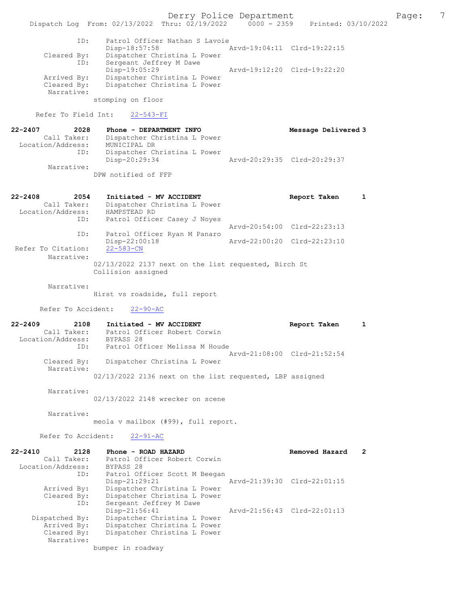Derry Police Department The Page: 7 Dispatch Log From: 02/13/2022 Thru: 02/19/2022 0000 - 2359 Printed: 03/10/2022 ID: Patrol Officer Nathan S Lavoie Disp-18:57:58 Arvd-19:04:11 Clrd-19:22:15 Cleared By: Dispatcher Christina L Power ID: Sergeant Jeffrey M Dawe Disp-19:05:29 Arvd-19:12:20 Clrd-19:22:20 Arrived By: Dispatcher Christina L Power Cleared By: Dispatcher Christina L Power

stomping on floor

Refer To Field Int: 22-543-FI

Narrative:

| $22 - 2407$<br>2028 | Phone - DEPARTMENT INFO      | Message Delivered 3         |
|---------------------|------------------------------|-----------------------------|
| Call Taker:         | Dispatcher Christina L Power |                             |
| Location/Address:   | MUNICIPAL DR                 |                             |
| ID:                 | Dispatcher Christina L Power |                             |
|                     | Disp-20:29:34                | Arvd-20:29:35 Clrd-20:29:37 |
| Narrative:          |                              |                             |
|                     | DPW notified of FFP          |                             |

| 22-2408<br>2054    | Initiated - MV ACCIDENT                              | Report Taken                |  |
|--------------------|------------------------------------------------------|-----------------------------|--|
| Call Taker:        | Dispatcher Christina L Power                         |                             |  |
| Location/Address:  | HAMPSTEAD RD                                         |                             |  |
| ID:                | Patrol Officer Casey J Noyes                         |                             |  |
|                    |                                                      | Arvd-20:54:00 Clrd-22:23:13 |  |
| ID:                | Patrol Officer Ryan M Panaro                         |                             |  |
|                    | $Disp-22:00:18$                                      | Arvd-22:00:20 Clrd-22:23:10 |  |
| Refer To Citation: | $22 - 583 - CN$                                      |                             |  |
| Narrative:         |                                                      |                             |  |
|                    | 02/13/2022 2137 next on the list requested, Birch St |                             |  |
|                    | Collision assigned                                   |                             |  |

Narrative:

Hirst vs roadside, full report

Refer To Accident: 22-90-AC

| 22-2409                   | 2108 | Initiated - MV ACCIDENT                                  |  | Report Taken                |  |
|---------------------------|------|----------------------------------------------------------|--|-----------------------------|--|
| Call Taker:               |      | Patrol Officer Robert Corwin                             |  |                             |  |
| Location/Address:         |      | BYPASS 28                                                |  |                             |  |
|                           | ID:  | Patrol Officer Melissa M Houde                           |  |                             |  |
|                           |      |                                                          |  | Aryd-21:08:00 Clrd-21:52:54 |  |
| Cleared By:<br>Narrative: |      | Dispatcher Christina L Power                             |  |                             |  |
|                           |      | 02/13/2022 2136 next on the list requested, LBP assigned |  |                             |  |

Narrative:

02/13/2022 2148 wrecker on scene

Narrative:

meola v mailbox (#99), full report.

Refer To Accident: 22-91-AC

| 22-2410           | 2128           | Phone - ROAD HAZARD           | Removed Hazard              | 2 |
|-------------------|----------------|-------------------------------|-----------------------------|---|
|                   | Call Taker:    | Patrol Officer Robert Corwin  |                             |   |
| Location/Address: |                | BYPASS 28                     |                             |   |
|                   | ID:            | Patrol Officer Scott M Beegan |                             |   |
|                   |                | $Disp-21:29:21$               | Arvd-21:39:30 Clrd-22:01:15 |   |
|                   | Arrived By:    | Dispatcher Christina L Power  |                             |   |
|                   | Cleared By:    | Dispatcher Christina L Power  |                             |   |
|                   | ID:            | Sergeant Jeffrey M Dawe       |                             |   |
|                   |                | Disp-21:56:41                 | Arvd-21:56:43 Clrd-22:01:13 |   |
|                   | Dispatched By: | Dispatcher Christina L Power  |                             |   |
|                   | Arrived By:    | Dispatcher Christina L Power  |                             |   |
|                   | Cleared By:    | Dispatcher Christina L Power  |                             |   |
|                   | Narrative:     |                               |                             |   |
|                   |                | bumper in roadway             |                             |   |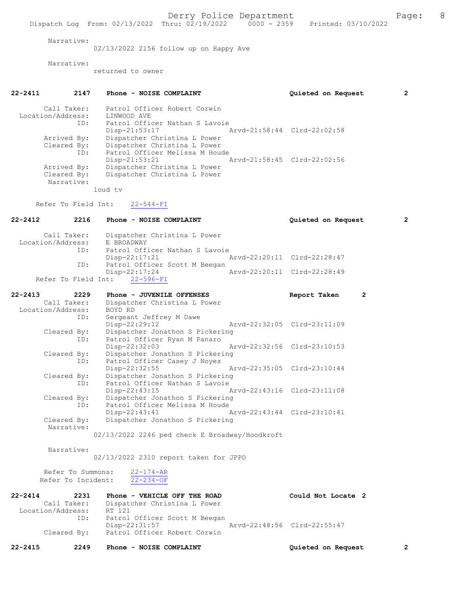Narrative:

02/13/2022 2156 follow up on Happy Ave

Narrative:

returned to owner

| 22-2411           | 2147                                    | Phone - NOISE COMPLAINT                                                                        | 2<br>Quieted on Request            |
|-------------------|-----------------------------------------|------------------------------------------------------------------------------------------------|------------------------------------|
|                   | Call Taker:<br>Location/Address:<br>ID: | Patrol Officer Robert Corwin<br>LINWOOD AVE<br>Patrol Officer Nathan S Lavoie<br>Disp-21:53:17 | Arvd-21:58:44 Clrd-22:02:58        |
|                   | Arrived By:<br>Cleared By:<br>ID:       | Dispatcher Christina L Power<br>Dispatcher Christina L Power<br>Patrol Officer Melissa M Houde |                                    |
|                   | Arrived By:<br>Cleared By:              | Disp-21:53:21<br>Dispatcher Christina L Power<br>Dispatcher Christina L Power                  | Arvd-21:58:45 Clrd-22:02:56        |
|                   | Narrative:                              | loud tv                                                                                        |                                    |
|                   | Refer To Field Int:                     | $22 - 544 - FI$                                                                                |                                    |
| 22-2412           | 2216                                    | Phone - NOISE COMPLAINT                                                                        | $\mathbf{2}$<br>Quieted on Request |
|                   | Call Taker:<br>Location/Address:        | Dispatcher Christina L Power<br>E BROADWAY                                                     |                                    |
|                   | ID:                                     | Patrol Officer Nathan S Lavoie                                                                 |                                    |
|                   | ID:                                     | Disp-22:17:21<br>Patrol Officer Scott M Beegan                                                 | Arvd-22:20:11 Clrd-22:28:47        |
|                   |                                         | $Disp-22:17:24$<br>Refer To Field Int: 22-596-FI                                               | Arvd-22:20:11 Clrd-22:28:49        |
| $22 - 2413$       | 2229                                    | Phone - JUVENILE OFFENSES                                                                      | $\overline{2}$<br>Report Taken     |
|                   | Call Taker:                             | Dispatcher Christina L Power                                                                   |                                    |
|                   | Location/Address:<br>ID:                | BOYD RD<br>Sergeant Jeffrey M Dawe                                                             |                                    |
|                   |                                         | Disp-22:29:12                                                                                  | Arvd-22:32:05 Clrd-23:11:09        |
|                   | Cleared By:<br>ID:                      | Dispatcher Jonathon S Pickering<br>Patrol Officer Ryan M Panaro                                |                                    |
|                   |                                         | Disp-22:32:03                                                                                  | Arvd-22:32:56 Clrd-23:10:53        |
|                   | Cleared By:<br>ID:                      | Dispatcher Jonathon S Pickering<br>Patrol Officer Casey J Noyes                                |                                    |
|                   |                                         | Disp-22:32:55                                                                                  | Arvd-22:35:05 Clrd-23:10:44        |
|                   | Cleared By:<br>ID:                      | Dispatcher Jonathon S Pickering<br>Patrol Officer Nathan S Lavoie                              |                                    |
|                   |                                         | Disp-22:43:15                                                                                  | Arvd-22:43:16 Clrd-23:11:08        |
|                   | Cleared By:<br>ID:                      | Dispatcher Jonathon S Pickering<br>Patrol Officer Melissa M Houde                              |                                    |
|                   |                                         | Disp-22:43:41                                                                                  | Arvd-22:43:44 Clrd-23:10:41        |
|                   | Cleared By:<br>Narrative:               | Dispatcher Jonathon S Pickering                                                                |                                    |
|                   |                                         | 02/13/2022 2246 ped check E Broadway/Hoodkroft                                                 |                                    |
|                   | Narrative:                              |                                                                                                |                                    |
|                   |                                         | 02/13/2022 2310 report taken for JPPO                                                          |                                    |
|                   | Refer To Summons:<br>Refer To Incident: | $22 - 174 - AR$<br>$22 - 234 - OF$                                                             |                                    |
|                   |                                         |                                                                                                |                                    |
| $22 - 2414$       | 2231<br>Call Taker:                     | Phone - VEHICLE OFF THE ROAD<br>Dispatcher Christina L Power                                   | Could Not Locate 2                 |
| Location/Address: |                                         | RT 121                                                                                         |                                    |

|             | Patrol Officer Scott M Beegan |                             |  |
|-------------|-------------------------------|-----------------------------|--|
|             | Disp-22:31:57                 | Arvd-22:48:56 Clrd-22:55:47 |  |
| Cleared By: | Patrol Officer Robert Corwin  |                             |  |

22-2415 2249 Phone - NOISE COMPLAINT Quieted on Request 2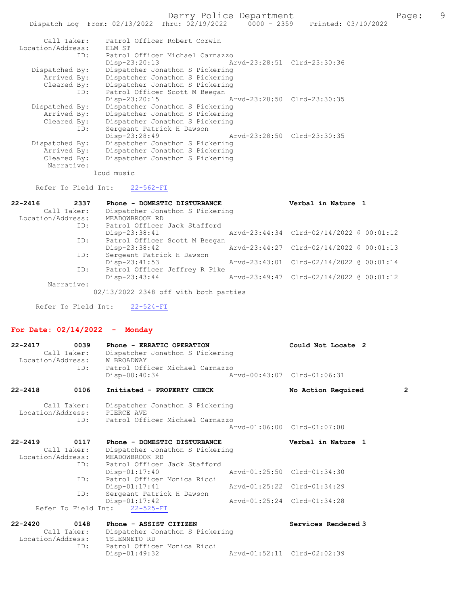Derry Police Department Fage: 9

| Call Taker:<br>Location/Address: | Patrol Officer Robert Corwin<br>ELM ST |                             |  |
|----------------------------------|----------------------------------------|-----------------------------|--|
| ID:                              | Patrol Officer Michael Carnazzo        |                             |  |
|                                  | Disp-23:20:13                          | Arvd-23:28:51 Clrd-23:30:36 |  |
| Dispatched By:                   | Dispatcher Jonathon S Pickering        |                             |  |
| Arrived By:                      | Dispatcher Jonathon S Pickering        |                             |  |
| Cleared By:                      | Dispatcher Jonathon S Pickering        |                             |  |
| ID:                              | Patrol Officer Scott M Beegan          |                             |  |
|                                  | Disp-23:20:15                          | Arvd-23:28:50 Clrd-23:30:35 |  |
| Dispatched By:                   | Dispatcher Jonathon S Pickering        |                             |  |
| Arrived By:                      | Dispatcher Jonathon S Pickering        |                             |  |
| Cleared By:                      | Dispatcher Jonathon S Pickering        |                             |  |
| ID:                              | Sergeant Patrick H Dawson              |                             |  |
|                                  | Disp-23:28:49                          | Arvd-23:28:50 Clrd-23:30:35 |  |
| Dispatched By:                   | Dispatcher Jonathon S Pickering        |                             |  |
| Arrived By:                      | Dispatcher Jonathon S Pickering        |                             |  |
| Cleared By:                      | Dispatcher Jonathon S Pickering        |                             |  |
| Narrative:                       |                                        |                             |  |

loud music

Refer To Field Int: 22-562-FI

| $22 - 2416$       | 2337 | Phone - DOMESTIC DISTURBANCE    | Verbal in Nature 1                       |  |
|-------------------|------|---------------------------------|------------------------------------------|--|
| Call Taker:       |      | Dispatcher Jonathon S Pickering |                                          |  |
| Location/Address: |      | MEADOWBROOK RD                  |                                          |  |
|                   | ID:  | Patrol Officer Jack Stafford    |                                          |  |
|                   |      | Disp-23:38:41                   | Arvd-23:44:34 Clrd-02/14/2022 @ 00:01:12 |  |
|                   | ID:  | Patrol Officer Scott M Beegan   |                                          |  |
|                   |      | $Disp-23:38:42$                 | Arvd-23:44:27 Clrd-02/14/2022 @ 00:01:13 |  |
|                   | ID:  | Sergeant Patrick H Dawson       |                                          |  |
|                   |      | $Disp-23:41:53$                 | Arvd-23:43:01 Clrd-02/14/2022 @ 00:01:14 |  |
|                   | ID:  | Patrol Officer Jeffrey R Pike   |                                          |  |
|                   |      | Disp-23:43:44                   | Arvd-23:49:47 Clrd-02/14/2022 @ 00:01:12 |  |
| Narrative:        |      |                                 |                                          |  |

02/13/2022 2348 off with both parties

Refer To Field Int: 22-524-FI

# For Date: 02/14/2022 - Monday

| $22 - 2417$       | 0039<br>Call Taker:<br>Location/Address:<br>ID: | Phone - ERRATIC OPERATION<br>Dispatcher Jonathon S Pickering<br>W BROADWAY<br>Patrol Officer Michael Carnazzo | Could Not Locate 2          |                |
|-------------------|-------------------------------------------------|---------------------------------------------------------------------------------------------------------------|-----------------------------|----------------|
|                   |                                                 | Disp-00:40:34                                                                                                 | Arvd-00:43:07 Clrd-01:06:31 |                |
| 22-2418           | 0106                                            | Initiated - PROPERTY CHECK                                                                                    | No Action Required          | $\overline{2}$ |
|                   | Call Taker:<br>ID:                              | Dispatcher Jonathon S Pickering<br>Location/Address: PIERCE AVE<br>Patrol Officer Michael Carnazzo            |                             |                |
|                   |                                                 |                                                                                                               | Arvd-01:06:00 Clrd-01:07:00 |                |
|                   |                                                 |                                                                                                               | Verbal in Nature 1          |                |
| $22 - 2419$       | 0117                                            | Phone - DOMESTIC DISTURBANCE                                                                                  |                             |                |
|                   | Call Taker:                                     | Dispatcher Jonathon S Pickering                                                                               |                             |                |
| Location/Address: |                                                 | MEADOWBROOK RD                                                                                                |                             |                |
|                   | ID:                                             | Patrol Officer Jack Stafford                                                                                  |                             |                |
|                   |                                                 | Disp-01:17:40                                                                                                 | Arvd-01:25:50 Clrd-01:34:30 |                |
|                   | ID:                                             | Patrol Officer Monica Ricci                                                                                   |                             |                |
|                   |                                                 | $Disp-01:17:41$                                                                                               | Arvd-01:25:22 Clrd-01:34:29 |                |
|                   | ID:                                             | Sergeant Patrick H Dawson                                                                                     |                             |                |
|                   |                                                 | $Disp-01:17:42$                                                                                               | Arvd-01:25:24 Clrd-01:34:28 |                |
|                   |                                                 | Refer To Field Int: 22-525-FI                                                                                 |                             |                |

| Call Taker:       | Dispatcher Jonathon S Pickering |                             |  |
|-------------------|---------------------------------|-----------------------------|--|
| Location/Address: | TSIENNETO RD                    |                             |  |
| TD:               | Patrol Officer Monica Ricci     |                             |  |
|                   | Disp-01:49:32                   | Arvd-01:52:11 Clrd-02:02:39 |  |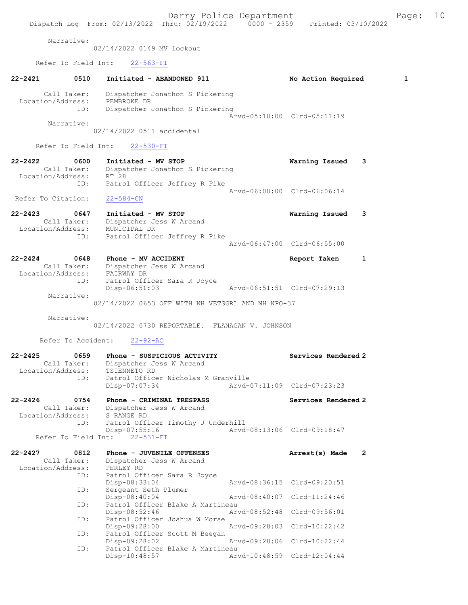Derry Police Department Fage: 10 Dispatch Log From: 02/13/2022 Thru: 02/19/2022 0000 - 2359 Printed: 03/10/2022 Narrative: 02/14/2022 0149 MV lockout Refer To Field Int: 22-563-FI 22-2421 0510 Initiated - ABANDONED 911 No Action Required 1 Call Taker: Dispatcher Jonathon S Pickering Location/Address: PEMBROKE DR ID: Dispatcher Jonathon S Pickering Arvd-05:10:00 Clrd-05:11:19 Narrative: 02/14/2022 0511 accidental Refer To Field Int: 22-530-FI 22-2422 0600 Initiated - MV STOP Warning Issued 3<br>Call Taker: Dispatcher Jonathon S Pickering Call Taker: Dispatcher Jonathon S Pickering Location/Address: RT 28 ID: Patrol Officer Jeffrey R Pike Arvd-06:00:00 Clrd-06:06:14 Refer To Citation: 22-584-CN 22-2423 0647 Initiated - MV STOP Warning Issued 3 Call Taker: Dispatcher Jess W Arcand Location/Address: MUNICIPAL DR ID: Patrol Officer Jeffrey R Pike Arvd-06:47:00 Clrd-06:55:00 22-2424 0648 Phone - MV ACCIDENT Report Taken 1 Call Taker: Dispatcher Jess W Arcand Location/Address: FAIRWAY DR ID: Patrol Officer Sara R Joyce Disp-06:51:03 Arvd-06:51:51 Clrd-07:29:13 Narrative: 02/14/2022 0653 OFF WITH NH VETSGRL AND NH NPO-37 Narrative: 02/14/2022 0730 REPORTABLE. FLANAGAN V. JOHNSON Refer To Accident: 22-92-AC 22-2425 0659 Phone - SUSPICIOUS ACTIVITY Services Rendered 2 Call Taker: Dispatcher Jess W Arcand Location/Address: TSIENNETO RD ID: Patrol Officer Nicholas M Granville Disp-07:07:34 Arvd-07:11:09 Clrd-07:23:23 22-2426 0754 Phone - CRIMINAL TRESPASS Services Rendered 2 Call Taker: Dispatcher Jess W Arcand Location/Address: S RANGE RD ID: Patrol Officer Timothy J Underhill Disp-07:55:16 Arvd-08:13:06 Clrd-09:18:47 Refer To Field Int: 22-531-FI 22-2427 0812 Phone - JUVENILE OFFENSES Arrest(s) Made 2 Call Taker: Dispatcher Jess W Arcand Location/Address: PERLEY RD ID: Patrol Officer Sara R Joyce Soo. International Disp-08:33:04<br>Disp-08:33:04 Arvd-08:36:15 Clrd-09:20:51<br>D: Sergeant Seth Plumer Sergeant Seth Plumer<br>Disp-08:40:04 Disp-08:40:04 Arvd-08:40:07 Clrd-11:24:46<br>TD: Patrol Officer Blake A Martineau Patrol Officer Blake A Martineau<br>Disp-08:52:46 Arw Disp-08:52:46 Arvd-08:52:48 Clrd-09:56:01 ID: Patrol Officer Joshua W Morse<br>Disp-09:28:00 Disp-09:28:00 Arvd-09:28:03 Clrd-10:22:42 ID: Patrol Officer Scott M Beegan<br>Disp-09:28:02 Disp-09:28:02 Arvd-09:28:06 Clrd-10:22:44 ID: Patrol Officer Blake A Martineau Disp-10:48:57 Arvd-10:48:59 Clrd-12:04:44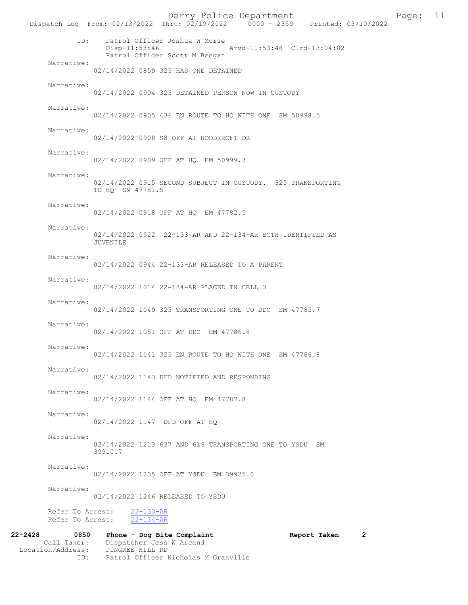Derry Police Department [11 | Page: 11 | Page: 11 | Page: 11 | Page: 11 | Page: 11 | Page: 11 | Page: 11 | Page: 11 | Page: 11 | Page: 11 | Page: 11 | Page: 11 | Page: 11 | Page: 11 | Page: 11 | Page: 11 | Page: 12 | Page: Dispatch Log From: 02/13/2022 Thru: 02/19/2022 ID: Patrol Officer Joshua W Morse Disp-11:53:46 Arvd-11:53:48 Clrd-13:04:02 Patrol Officer Scott M Beegan Narrative: 02/14/2022 0859 325 HAS ONE DETAINED Narrative: 02/14/2022 0904 325 DETAINED PERSON NOW IN CUSTODY Narrative: 02/14/2022 0905 436 EN ROUTE TO HQ WITH ONE SM 50998.5 Narrative: 02/14/2022 0908 S8 OFF AT HOODKROFT DR Narrative: 02/14/2022 0909 OFF AT HQ EM 50999.3 Narrative: 02/14/2022 0915 SECOND SUBJECT IN CUSTODY. 325 TRANSPORTING TO HQ SM 47781.5 Narrative: 02/14/2022 0918 OFF AT HQ EM 47782.5 Narrative: 02/14/2022 0922 22-133-AR AND 22-134-AR BOTH IDENTIFIED AS JUVENILE Narrative: 02/14/2022 0944 22-133-AR RELEASED TO A PARENT Narrative: 02/14/2022 1014 22-134-AR PLACED IN CELL 3 Narrative: 02/14/2022 1049 325 TRANSPORTING ONE TO DDC SM 47785.7 Narrative: 02/14/2022 1051 OFF AT DDC EM 47786.8 Narrative: 02/14/2022 1141 325 EN ROUTE TO HQ WITH ONE SM 47786.8 Narrative: 02/14/2022 1143 DFD NOTIFIED AND RESPONDING Narrative: 02/14/2022 1144 OFF AT HQ EM 47787.8 Narrative: 02/14/2022 1147 DFD OFF AT HQ Narrative: 02/14/2022 1213 637 AND 619 TRANSPORTING ONE TO YSDU SM 39910.7 Narrative: 02/14/2022 1235 OFF AT YSDU EM 39925.0 Narrative: 02/14/2022 1246 RELEASED TO YSDU Refer To Arrest: 22-133-AR Refer To Arrest: 22-134-AR 22-2428 0850 Phone - Dog Bite Complaint Report Taken 2 Call Taker: Dispatcher Jess W Arcand<br>ion/Address: PINGREE HILL RD Location/Address:<br>ID:

Patrol Officer Nicholas M Granville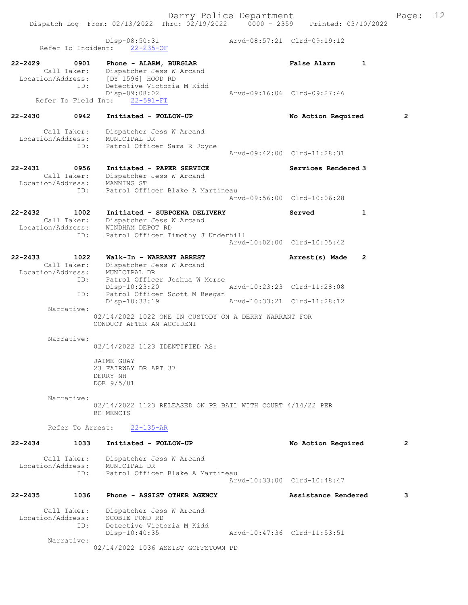Disp-08:50:31 Arvd-08:57:21 Clrd-09:19:12 Refer To Incident: 22-235-OF 22-2429 0901 Phone - ALARM, BURGLAR False Alarm 1 Call Taker: Dispatcher Jess W Arcand Location/Address: [DY 1596] HOOD RD ID: Detective Victoria M Kidd Disp-09:08:02 Arvd-09:16:06 Clrd-09:27:46 Refer To Field Int: 22-591-FI 22-2430 0942 Initiated - FOLLOW-UP No Action Required 2 Call Taker: Dispatcher Jess W Arcand Location/Address: MUNICIPAL DR ID: Patrol Officer Sara R Joyce Arvd-09:42:00 Clrd-11:28:31 22-2431 0956 Initiated - PAPER SERVICE Services Rendered 3 Call Taker: Dispatcher Jess W Arcand Location/Address: MANNING ST ID: Patrol Officer Blake A Martineau Arvd-09:56:00 Clrd-10:06:28 22-2432 1002 Initiated - SUBPOENA DELIVERY Served 1 Call Taker: Dispatcher Jess W Arcand Location/Address: WINDHAM DEPOT RD ID: Patrol Officer Timothy J Underhill Arvd-10:02:00 Clrd-10:05:42 22-2433 1022 Walk-In - WARRANT ARREST Arrest(s) Made 2 Call Taker: Dispatcher Jess W Arcand Location/Address: MUNICIPAL DR ID: Patrol Officer Joshua W Morse Disp-10:23:20 Arvd-10:23:23 Clrd-11:28:08<br>ID: Patrol Officer Scott M Beegan Disp-Io.23.20<br>Patrol Officer Scott M Beegan Disp-10:33:19 Arvd-10:33:21 Clrd-11:28:12 Narrative: 02/14/2022 1022 ONE IN CUSTODY ON A DERRY WARRANT FOR CONDUCT AFTER AN ACCIDENT Narrative: 02/14/2022 1123 IDENTIFIED AS: JAIME GUAY 23 FAIRWAY DR APT 37 DERRY NH DOB 9/5/81 Narrative: 02/14/2022 1123 RELEASED ON PR BAIL WITH COURT 4/14/22 PER BC MENCIS Refer To Arrest: 22-135-AR 22-2434 1033 Initiated - FOLLOW-UP No Action Required 2 Call Taker: Dispatcher Jess W Arcand Location/Address: MUNICIPAL DR ID: Patrol Officer Blake A Martineau Arvd-10:33:00 Clrd-10:48:47 22-2435 1036 Phone - ASSIST OTHER AGENCY Assistance Rendered 3 Call Taker: Dispatcher Jess W Arcand Location/Address: SCOBIE POND RD ID: Detective Victoria M Kidd Disp-10:40:35 Arvd-10:47:36 Clrd-11:53:51 Narrative: 02/14/2022 1036 ASSIST GOFFSTOWN PD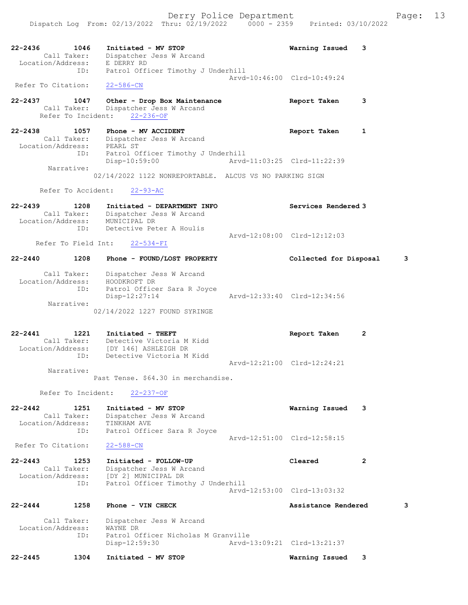22-2436 1046 Initiated - MV STOP Warning Issued 3 Call Taker: Dispatcher Jess W Arcand Location/Address: E DERRY RD ID: Patrol Officer Timothy J Underhill Arvd-10:46:00 Clrd-10:49:24 Refer To Citation: 22-586-CN 22-2437 1047 Other - Drop Box Maintenance Report Taken 3 Call Taker: Dispatcher Jess W Arcand Refer To Incident: 22-236-OF 22-2438 1057 Phone - MV ACCIDENT Report Taken 1 Call Taker: Dispatcher Jess W Arcand Location/Address: PEARL ST ID: Patrol Officer Timothy J Underhill Disp-10:59:00 Arvd-11:03:25 Clrd-11:22:39 Narrative: 02/14/2022 1122 NONREPORTABLE. ALCUS VS NO PARKING SIGN Refer To Accident: 22-93-AC 22-2439 1208 Initiated - DEPARTMENT INFO Services Rendered 3 Call Taker: Dispatcher Jess W Arcand Location/Address: MUNICIPAL DR ID: Detective Peter A Houlis Arvd-12:08:00 Clrd-12:12:03 Refer To Field Int: 22-534-FI 22-2440 1208 Phone - FOUND/LOST PROPERTY Collected for Disposal 3 Call Taker: Dispatcher Jess W Arcand Location/Address: HOODKROFT DR ID: Patrol Officer Sara R Joyce Disp-12:27:14 Arvd-12:33:40 Clrd-12:34:56 Narrative: 02/14/2022 1227 FOUND SYRINGE 22-2441 1221 Initiated - THEFT Report Taken 2 Call Taker: Detective Victoria M Kidd Location/Address: [DY 146] ASHLEIGH DR ID: Detective Victoria M Kidd Arvd-12:21:00 Clrd-12:24:21 Narrative: Past Tense. \$64.30 in merchandise. Refer To Incident: 22-237-OF 22-2442 1251 Initiated - MV STOP Warning Issued 3 Call Taker: Dispatcher Jess W Arcand Location/Address: TINKHAM AVE ID: Patrol Officer Sara R Joyce Arvd-12:51:00 Clrd-12:58:15 Refer To Citation: 22-588-CN 22-2443 1253 Initiated - FOLLOW-UP Cleared 2 Call Taker: Dispatcher Jess W Arcand Location/Address: [DY 2] MUNICIPAL DR ID: Patrol Officer Timothy J Underhill Arvd-12:53:00 Clrd-13:03:32 22-2444 1258 Phone - VIN CHECK Assistance Rendered 3 Call Taker: Dispatcher Jess W Arcand<br>ion/Address: WAYNE DR Location/Address:<br>ID: Patrol Officer Nicholas M Granville<br>Disp-12:59:30 Arvd-1 Disp-12:59:30 Arvd-13:09:21 Clrd-13:21:37 22-2445 1304 Initiated - MV STOP Warning Issued 3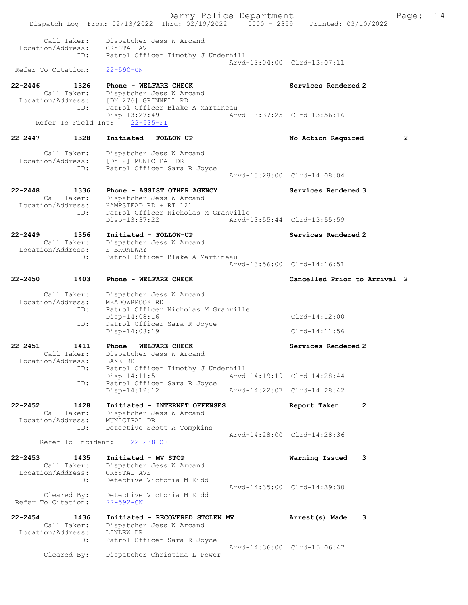Derry Police Department Fage: 14 Dispatch Log From: 02/13/2022 Thru: 02/19/2022 0000 - 2359 Printed: 03/10/2022 Call Taker: Dispatcher Jess W Arcand Location/Address: CRYSTAL AVE ID: Patrol Officer Timothy J Underhill Arvd-13:04:00 Clrd-13:07:11<br>22-590-CN Refer To Citation: 22-2446 1326 Phone - WELFARE CHECK Services Rendered 2 Call Taker: Dispatcher Jess W Arcand Location/Address: [DY 276] GRINNELL RD ID: Patrol Officer Blake A Martineau Disp-13:27:49<br>http://www.arvd-13:37:25 Clrd-13:56:16 Refer To Field Int: 22-535-FI 22-2447 1328 Initiated - FOLLOW-UP No Action Required 2 Call Taker: Dispatcher Jess W Arcand Location/Address: [DY 2] MUNICIPAL DR ID: Patrol Officer Sara R Joyce Arvd-13:28:00 Clrd-14:08:04 22-2448 1336 Phone - ASSIST OTHER AGENCY Services Rendered 3 Call Taker: Dispatcher Jess W Arcand Location/Address: HAMPSTEAD RD + RT 121 ID: Patrol Officer Nicholas M Granville Disp-13:37:22 Arvd-13:55:44 Clrd-13:55:59 22-2449 1356 Initiated - FOLLOW-UP Services Rendered 2 Call Taker: Dispatcher Jess W Arcand Location/Address: E BROADWAY ID: Patrol Officer Blake A Martineau Arvd-13:56:00 Clrd-14:16:51 22-2450 1403 Phone - WELFARE CHECK Cancelled Prior to Arrival 2 Call Taker: Dispatcher Jess W Arcand Location/Address: MEADOWBROOK RD ID: Patrol Officer Nicholas M Granville Disp-14:08:16 Clrd-14:12:00 ID: Patrol Officer Sara R Joyce Disp-14:08:19 Clrd-14:11:56 22-2451 1411 Phone - WELFARE CHECK Services Rendered 2 Call Taker: Dispatcher Jess W Arcand Location/Address: LANE RD ID: Patrol Officer Timothy J Underhill Arvd-14:19:19 Clrd-14:28:44 Disp-14:11:51<br>ID: Patrol Officer Sara R Joyce<br>Disp-14:12:12 Disp-14:12:12 Arvd-14:22:07 Clrd-14:28:42 22-2452 1428 Initiated - INTERNET OFFENSES Report Taken 2 Call Taker: Dispatcher Jess W Arcand Location/Address: MUNICIPAL DR ID: Detective Scott A Tompkins Arvd-14:28:00 Clrd-14:28:36<br>22-238-OF **Arvd-14:28:00** Refer To Incident: 22-2453 1435 Initiated - MV STOP Warning Issued 3 Call Taker: Dispatcher Jess W Arcand Location/Address: CRYSTAL AVE ID: Detective Victoria M Kidd Arvd-14:35:00 Clrd-14:39:30 Cleared By: Detective Victoria M Kidd Refer To Citation: 22-592-CN 22-2454 1436 Initiated - RECOVERED STOLEN MV Arrest(s) Made 3 Call Taker: Dispatcher Jess W Arcand Location/Address: LINLEW DR ID: Patrol Officer Sara R Joyce Arvd-14:36:00 Clrd-15:06:47 Cleared By: Dispatcher Christina L Power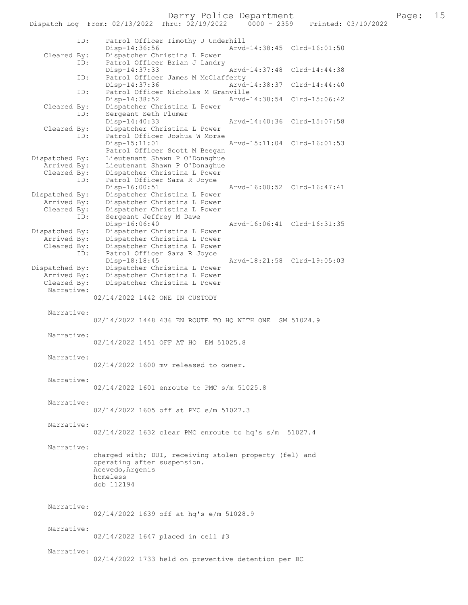Derry Police Department Fage: 15

|                | Dispatch Log From: 02/13/2022 Thru: 02/19/2022<br>$0000 - 2359$<br>Printed: 03/10/2022 |
|----------------|----------------------------------------------------------------------------------------|
| ID:            | Patrol Officer Timothy J Underhill                                                     |
|                | $Disp-14:36:56$<br>Arvd-14:38:45 Clrd-16:01:50                                         |
| Cleared By:    | Dispatcher Christina L Power                                                           |
| ID:            | Patrol Officer Brian J Landry                                                          |
|                | Arvd-14:37:48 Clrd-14:44:38<br>$Disp-14:37:33$                                         |
| ID:            | Patrol Officer James M McClafferty                                                     |
|                | Arvd-14:38:37 Clrd-14:44:40<br>Disp-14:37:36                                           |
| ID:            | Patrol Officer Nicholas M Granville                                                    |
|                | Disp-14:38:52<br>Arvd-14:38:54 Clrd-15:06:42                                           |
| Cleared By:    | Dispatcher Christina L Power                                                           |
| ID:            | Sergeant Seth Plumer                                                                   |
|                | Disp-14:40:33<br>Arvd-14:40:36 Clrd-15:07:58                                           |
| Cleared By:    | Dispatcher Christina L Power                                                           |
| ID:            | Patrol Officer Joshua W Morse                                                          |
|                | Disp-15:11:01<br>Arvd-15:11:04 Clrd-16:01:53                                           |
|                | Patrol Officer Scott M Beegan                                                          |
|                |                                                                                        |
| Dispatched By: | Lieutenant Shawn P O'Donaghue                                                          |
| Arrived By:    | Lieutenant Shawn P O'Donaghue                                                          |
| Cleared By:    | Dispatcher Christina L Power                                                           |
| ID:            | Patrol Officer Sara R Joyce                                                            |
|                | Disp-16:00:51<br>Arvd-16:00:52 Clrd-16:47:41                                           |
| Dispatched By: | Dispatcher Christina L Power                                                           |
| Arrived By:    | Dispatcher Christina L Power                                                           |
| Cleared By:    | Dispatcher Christina L Power                                                           |
| ID:            | Sergeant Jeffrey M Dawe                                                                |
|                | Disp-16:06:40<br>Arvd-16:06:41 Clrd-16:31:35                                           |
| Dispatched By: | Dispatcher Christina L Power                                                           |
| Arrived By:    | Dispatcher Christina L Power                                                           |
| Cleared By:    | Dispatcher Christina L Power                                                           |
| ID:            | Patrol Officer Sara R Joyce                                                            |
|                | Arvd-18:21:58 Clrd-19:05:03<br>Disp-18:18:45                                           |
| Dispatched By: | Dispatcher Christina L Power                                                           |
| Arrived By:    | Dispatcher Christina L Power                                                           |
| Cleared By:    | Dispatcher Christina L Power                                                           |
| Narrative:     |                                                                                        |
|                | 02/14/2022 1442 ONE IN CUSTODY                                                         |
|                |                                                                                        |
| Narrative:     | 02/14/2022 1448 436 EN ROUTE TO HQ WITH ONE SM 51024.9                                 |
|                |                                                                                        |
| Narrative:     |                                                                                        |
|                | 02/14/2022 1451 OFF AT HQ EM 51025.8                                                   |
|                |                                                                                        |
|                |                                                                                        |
| Narrative:     |                                                                                        |
|                | 02/14/2022 1600 mv released to owner.                                                  |
|                |                                                                                        |
| Narrative:     |                                                                                        |
|                | 02/14/2022 1601 enroute to PMC s/m 51025.8                                             |
|                |                                                                                        |
| Narrative:     |                                                                                        |
|                | 02/14/2022 1605 off at PMC e/m 51027.3                                                 |
|                |                                                                                        |
| Narrative:     |                                                                                        |
|                | 02/14/2022 1632 clear PMC enroute to hq's s/m 51027.4                                  |
|                |                                                                                        |
| Narrative:     |                                                                                        |
|                | charged with; DUI, receiving stolen property (fel) and                                 |
|                | operating after suspension.                                                            |
|                | Acevedo, Argenis                                                                       |
|                | homeless                                                                               |
|                | dob 112194                                                                             |
|                |                                                                                        |
|                |                                                                                        |
| Narrative:     |                                                                                        |
|                | 02/14/2022 1639 off at hq's e/m 51028.9                                                |
|                |                                                                                        |
| Narrative:     |                                                                                        |
|                |                                                                                        |
|                | 02/14/2022 1647 placed in cell #3                                                      |
| Narrative:     |                                                                                        |
|                |                                                                                        |
|                | 02/14/2022 1733 held on preventive detention per BC                                    |
|                |                                                                                        |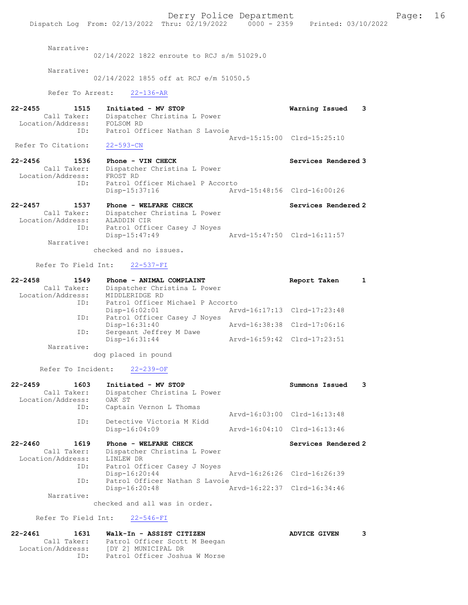Derry Police Department Fage: 16 Dispatch Log From: 02/13/2022 Thru: 02/19/2022 0000 - 2359 Printed: 03/10/2022 Narrative: 02/14/2022 1822 enroute to RCJ s/m 51029.0 Narrative: 02/14/2022 1855 off at RCJ e/m 51050.5 Refer To Arrest: 22-136-AR 22-2455 1515 Initiated - MV STOP Warning Issued 3 Call Taker: Dispatcher Christina L Power Location/Address: FOLSOM RD ID: Patrol Officer Nathan S Lavoie Arvd-15:15:00 Clrd-15:25:10 Refer To Citation: 22-593-CN 22-2456 1536 Phone - VIN CHECK North Services Rendered 3 Call Taker: Dispatcher Christina L Power Location/Address: FROST RD ID: Patrol Officer Michael P Accorto Disp-15:37:16 Arvd-15:48:56 Clrd-16:00:26 22-2457 1537 Phone - WELFARE CHECK Services Rendered 2 Call Taker: Dispatcher Christina L Power Location/Address: ALADDIN CIR ID: Patrol Officer Casey J Noyes Disp-15:47:49 Arvd-15:47:50 Clrd-16:11:57 Narrative: checked and no issues. Refer To Field Int: 22-537-FI 22-2458 1549 Phone - ANIMAL COMPLAINT COMPRESS Report Taken 1 Call Taker: Dispatcher Christina L Power Location/Address: MIDDLERIDGE RD ID: Patrol Officer Michael P Accorto Disp-16:02:01 Arvd-16:17:13 Clrd-17:23:48 ID: Patrol Officer Casey J Noyes<br>Disp-16:31:40 Arvd-16:38:38 Clrd-17:06:16 ID: Sergeant Jeffrey M Dawe Disp-16:31:44 Arvd-16:59:42 Clrd-17:23:51 Narrative: dog placed in pound Refer To Incident: 22-239-OF 22-2459 1603 Initiated - MV STOP Summons Issued 3 Call Taker: Dispatcher Christina L Power Location/Address: OAK ST ID: Captain Vernon L Thomas Arvd-16:03:00 Clrd-16:13:48 ID: Detective Victoria M Kidd Disp-16:04:09 Arvd-16:04:10 Clrd-16:13:46 22-2460 1619 Phone - WELFARE CHECK Services Rendered 2 Call Taker: Dispatcher Christina L Power 2460<br>Call Taker: Dispatence<br>Location/Address: LINLEW DR ID: Patrol Officer Casey J Noyes Disp-16:20:44 Arvd-16:26:26 Clrd-16:26:39 ID: Patrol Officer Nathan S Lavoie Disp-16:20:48 Arvd-16:22:37 Clrd-16:34:46 Narrative: checked and all was in order. Refer To Field Int: 22-546-FI 22-2461 1631 Walk-In - ASSIST CITIZEN ADVICE GIVEN 3 Call Taker: Patrol Officer Scott M Beegan Location/Address: [DY 2] MUNICIPAL DR

ID: Patrol Officer Joshua W Morse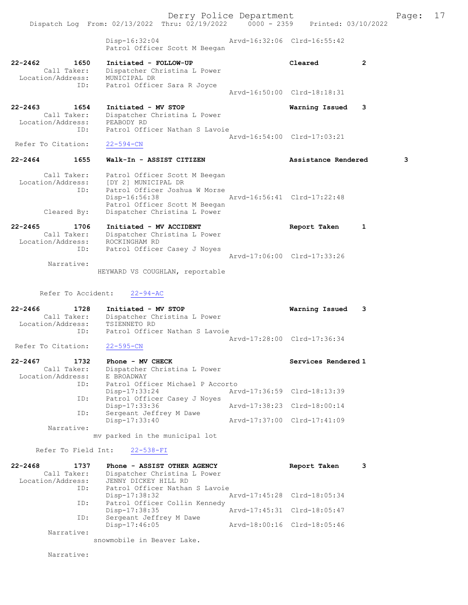Derry Police Department Fage: 17 Dispatch Log From: 02/13/2022 Thru: 02/19/2022 0000 - 2359 Printed: 03/10/2022 Disp-16:32:04 Arvd-16:32:06 Clrd-16:55:42 Patrol Officer Scott M Beegan 22-2462 1650 Initiated - FOLLOW-UP Cleared 2 Call Taker: Dispatcher Christina L Power Location/Address: MUNICIPAL DR ID: Patrol Officer Sara R Joyce Arvd-16:50:00 Clrd-18:18:31 22-2463 1654 Initiated - MV STOP Warning Issued 3 Call Taker: Dispatcher Christina L Power Location/Address: PEABODY RD ID: Patrol Officer Nathan S Lavoie Arvd-16:54:00 Clrd-17:03:21<br>22-594-CN Refer To Citation: 22-2464 1655 Walk-In - ASSIST CITIZEN Assistance Rendered 3 Call Taker: Patrol Officer Scott M Beegan Location/Address: [DY 2] MUNICIPAL DR ID: Patrol Officer Joshua W Morse Disp-16:56:38 Arvd-16:56:41 Clrd-17:22:48 Patrol Officer Scott M Beegan Cleared By: Dispatcher Christina L Power 22-2465 1706 Initiated - MV ACCIDENT Report Taken 1 Call Taker: Dispatcher Christina L Power Location/Address: ROCKINGHAM RD ID: Patrol Officer Casey J Noyes Arvd-17:06:00 Clrd-17:33:26 Narrative: HEYWARD VS COUGHLAN, reportable Refer To Accident: 22-94-AC 22-2466 1728 Initiated - MV STOP Warning Issued 3 Call Taker: Dispatcher Christina L Power Location/Address: TSIENNETO RD ID: Patrol Officer Nathan S Lavoie Arvd-17:28:00 Clrd-17:36:34<br>22-595-CN Refer To Citation: 22-2467 1732 Phone - MV CHECK Services Rendered 1 Call Taker: Dispatcher Christina L Power Location/Address: E BROADWAY ID: Patrol Officer Michael P Accorto<br>Disp-17:33:24 Arv Disp-17:33:24 Arvd-17:36:59 Clrd-18:13:39 ID: Patrol Officer Casey J Noyes Disp-17:33:36 Arvd-17:38:23 Clrd-18:00:14 ID: Sergeant Jeffrey M Dawe Disp-17:33:40 Arvd-17:37:00 Clrd-17:41:09 Narrative: mv parked in the municipal lot Refer To Field Int: 22-538-FI 22-2468 1737 Phone - ASSIST OTHER AGENCY Report Taken 3 Call Taker: Dispatcher Christina L Power Location/Address: JENNY DICKEY HILL RD ID: Patrol Officer Nathan S Lavoie Disp-17:38:32 Arvd-17:45:28 Clrd-18:05:34 ID: Patrol Officer Collin Kennedy Disp-17:38:35 Arvd-17:45:31 Clrd-18:05:47 ID: Sergeant Jeffrey M Dawe<br>Disp-17:46:05 Disp-17:46:05 Arvd-18:00:16 Clrd-18:05:46 Narrative: snowmobile in Beaver Lake.

Narrative: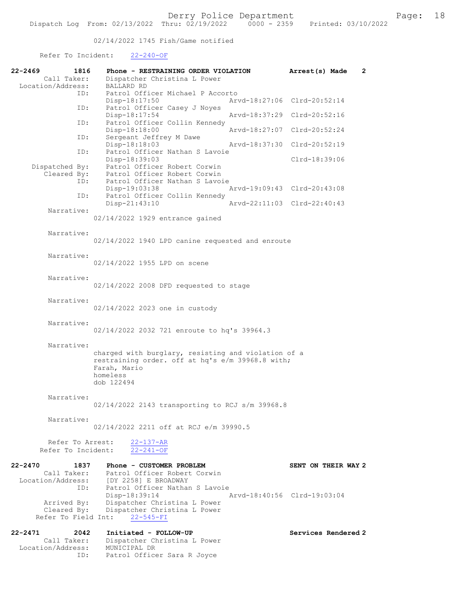02/14/2022 1745 Fish/Game notified

## Refer To Incident: 22-240-OF

| 22-2469<br>1816                                                | Phone - RESTRAINING ORDER VIOLATION                                                                                                                     | $\mathbf{2}$<br>Arrest(s) Made |
|----------------------------------------------------------------|---------------------------------------------------------------------------------------------------------------------------------------------------------|--------------------------------|
| Call Taker:<br>Location/Address:                               | Dispatcher Christina L Power<br><b>BALLARD RD</b>                                                                                                       |                                |
| ID:                                                            | Patrol Officer Michael P Accorto<br>Disp-18:17:50                                                                                                       | Arvd-18:27:06 Clrd-20:52:14    |
| ID:                                                            | Patrol Officer Casey J Noyes<br>Disp-18:17:54                                                                                                           | Arvd-18:37:29 Clrd-20:52:16    |
| ID:                                                            | Patrol Officer Collin Kennedy<br>Disp-18:18:00                                                                                                          | Arvd-18:27:07 Clrd-20:52:24    |
| ID:                                                            | Sergeant Jeffrey M Dawe<br>Disp-18:18:03<br>Arvd-18:37:30                                                                                               | $Clrd-20:52:19$                |
| ID:                                                            | Patrol Officer Nathan S Lavoie<br>Disp-18:39:03                                                                                                         | Clrd-18:39:06                  |
| Dispatched By:<br>Cleared By:<br>ID:                           | Patrol Officer Robert Corwin<br>Patrol Officer Robert Corwin<br>Patrol Officer Nathan S Lavoie                                                          |                                |
| ID:                                                            | Disp-19:03:38<br>Patrol Officer Collin Kennedy                                                                                                          | Arvd-19:09:43 Clrd-20:43:08    |
| Narrative:                                                     | Disp-21:43:10                                                                                                                                           | Arvd-22:11:03 Clrd-22:40:43    |
|                                                                | 02/14/2022 1929 entrance gained                                                                                                                         |                                |
| Narrative:                                                     | 02/14/2022 1940 LPD canine requested and enroute                                                                                                        |                                |
| Narrative:                                                     | 02/14/2022 1955 LPD on scene                                                                                                                            |                                |
| Narrative:                                                     | 02/14/2022 2008 DFD requested to stage                                                                                                                  |                                |
| Narrative:                                                     | 02/14/2022 2023 one in custody                                                                                                                          |                                |
| Narrative:                                                     | 02/14/2022 2032 721 enroute to hq's 39964.3                                                                                                             |                                |
| Narrative:                                                     | charged with burglary, resisting and violation of a<br>restraining order. off at hq's e/m 39968.8 with;<br>Farah, Mario<br>homeless<br>dob 122494       |                                |
| Narrative:                                                     | $02/14/2022$ 2143 transporting to RCJ s/m 39968.8                                                                                                       |                                |
| Narrative:                                                     | 02/14/2022 2211 off at RCJ e/m 39990.5                                                                                                                  |                                |
| Refer To Arrest:<br>Refer To Incident:                         | $22 - 137 - AR$<br>$22 - 241 - OF$                                                                                                                      |                                |
| $22 - 2470$<br>1837<br>Call Taker:<br>Location/Address:<br>ID: | Phone - CUSTOMER PROBLEM<br>Patrol Officer Robert Corwin<br>[DY 2258] E BROADWAY<br>Patrol Officer Nathan S Lavoie                                      | SENT ON THEIR WAY 2            |
| Refer To Field Int:                                            | Arvd-18:40:56 Clrd-19:03:04<br>Disp-18:39:14<br>Arrived By: Dispatcher Christina L Power<br>Cleared By: Dispatcher Christina L Power<br>$22 - 545 - FI$ |                                |
| $22 - 2471$<br>2042                                            | Initiated - FOLLOW-UP                                                                                                                                   | Services Rendered 2            |
| Call Taker:<br>Location/Address:<br>ID:                        | Dispatcher Christina L Power<br>MUNICIPAL DR<br>Patrol Officer Sara R Joyce                                                                             |                                |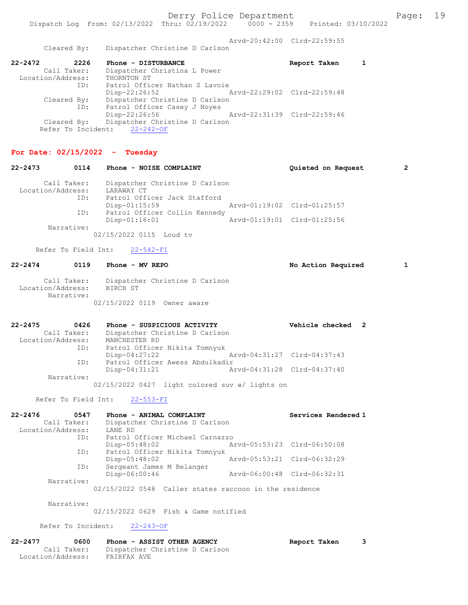Arvd-20:42:00 Clrd-22:59:55 Cleared By: Dispatcher Christine D Carlson 22-2472 2226 Phone - DISTURBANCE Report Taken 1 Call Taker: Dispatcher Christina L Power Location/Address: THORNTON ST ID: Patrol Officer Nathan S Lavoie Disp-22:26:52 Arvd-22:29:02 Clrd-22:59:48 Cleared By: Dispatcher Christine D Carlson ID: Patrol Officer Casey J Noyes Disp-22:26:56 Arvd-22:31:39 Clrd-22:59:46 Cleared By: Dispatcher Christine D Carlson Refer To Incident: 22-242-OF For Date:  $02/15/2022 -$  Tuesday 22-2473 0114 Phone - NOISE COMPLAINT Quieted on Request 2 Call Taker: Dispatcher Christine D Carlson Location/Address: LARAWAY CT ID: Patrol Officer Jack Stafford Disp-01:15:59 Arvd-01:19:02 Clrd-01:25:57 ID: Patrol Officer Collin Kennedy Disp-01:16:01 Arvd-01:19:01 Clrd-01:25:56 Narrative: 02/15/2022 0115 Loud tv Refer To Field Int: 22-542-FI 22-2474 0119 Phone - MV REPO No Action Required 1 Call Taker: Dispatcher Christine D Carlson Location/Address: BIRCH ST Narrative: 02/15/2022 0119 Owner aware 22-2475 0426 Phone - SUSPICIOUS ACTIVITY Vehicle checked 2 Call Taker: Dispatcher Christine D Carlson Location/Address: MANCHESTER RD ID: Patrol Officer Nikita Tomnyuk Disp-04:27:22 Arvd-04:31:27 Clrd-04:37:43<br>ID: Patrol Officer Awess Abdulkadir Patrol Officer Awess Abdulkadir Disp-04:31:21 Arvd-04:31:28 Clrd-04:37:40 Narrative: 02/15/2022 0427 light colored suv w/ lights on Refer To Field Int: 22-553-FI 22-2476 0547 Phone - ANIMAL COMPLAINT Services Rendered 1 Call Taker: Dispatcher Christine D Carlson Location/Address: LANE RD ID: Patrol Officer Michael Carnazzo Disp-05:48:02 Arvd-05:53:23 Clrd-06:50:08 ID: Patrol Officer Nikita Tomnyuk Disp-05:48:02 Arvd-05:53:21 Clrd-06:32:29 ID: Sergeant James M Belanger Disp-06:00:46 Arvd-06:00:48 Clrd-06:32:31 Narrative: 02/15/2022 0548 Caller states raccoon in the residence Narrative: 02/15/2022 0629 Fish & Game notified Refer To Incident: 22-243-OF 22-2477 0600 Phone - ASSIST OTHER AGENCY Report Taken 3 Call Taker: Dispatcher Christine D Carlson Location/Address: FAIRFAX AVE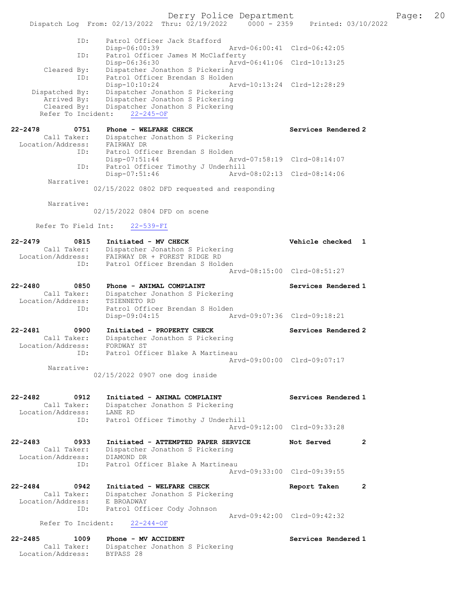Derry Police Department Fage: 20 Dispatch Log From: 02/13/2022 Thru: 02/19/2022 0000 - 2359 Printed: 03/10/2022 ID: Patrol Officer Jack Stafford Disp-06:00:39 Arvd-06:00:41 Clrd-06:42:05 ID: Patrol Officer James M McClafferty Disp-06:36:30 Arvd-06:41:06 Clrd-10:13:25 Cleared By: Dispatcher Jonathon S Pickering ID: Patrol Officer Brendan S Holden Disp-10:10:24 Arvd-10:13:24 Clrd-12:28:29 Dispatched By: Dispatcher Jonathon S Pickering Arrived By: Dispatcher Jonathon S Pickering Cleared By: Dispatcher Jonathon S Pickering Refer To Incident: 22-245-OF 22-2478 0751 Phone - WELFARE CHECK Services Rendered 2 Call Taker: Dispatcher Jonathon S Pickering Location/Address: FAIRWAY DR ID: Patrol Officer Brendan S Holden Disp-07:51:44 Arvd-07:58:19 Clrd-08:14:07 ID: Patrol Officer Timothy J Underhill Disp-07:51:46 Arvd-08:02:13 Clrd-08:14:06 Narrative: 02/15/2022 0802 DFD requested and responding Narrative: 02/15/2022 0804 DFD on scene Refer To Field Int: 22-539-FI 22-2479 0815 Initiated - MV CHECK Vehicle checked 1 Call Taker: Dispatcher Jonathon S Pickering Location/Address: FAIRWAY DR + FOREST RIDGE RD ID: Patrol Officer Brendan S Holden Arvd-08:15:00 Clrd-08:51:27 22-2480 0850 Phone - ANIMAL COMPLAINT Services Rendered 1 Call Taker: Dispatcher Jonathon S Pickering Location/Address: TSIENNETO RD ID: Patrol Officer Brendan S Holden Disp-09:04:15 Arvd-09:07:36 Clrd-09:18:21 22-2481 0900 Initiated - PROPERTY CHECK Services Rendered 2 Call Taker: Dispatcher Jonathon S Pickering Location/Address: FORDWAY ST ID: Patrol Officer Blake A Martineau Arvd-09:00:00 Clrd-09:07:17 Narrative: 02/15/2022 0907 one dog inside 22-2482 0912 Initiated - ANIMAL COMPLAINT Services Rendered 1 Call Taker: Dispatcher Jonathon S Pickering Location/Address: LANE RD ID: Patrol Officer Timothy J Underhill Arvd-09:12:00 Clrd-09:33:28 22-2483 0933 Initiated - ATTEMPTED PAPER SERVICE Not Served 2 Call Taker: Dispatcher Jonathon S Pickering Location/Address: DIAMOND DR ID: Patrol Officer Blake A Martineau Arvd-09:33:00 Clrd-09:39:55 22-2484 0942 Initiated - WELFARE CHECK Report Taken 2 Call Taker: Dispatcher Jonathon S Pickering Location/Address: E BROADWAY ID: Patrol Officer Cody Johnson Arvd-09:42:00 Clrd-09:42:32 Refer To Incident: 22-244-OF 22-2485 1009 Phone - MV ACCIDENT Services Rendered 1 Call Taker: Dispatcher Jonathon S Pickering Location/Address: BYPASS 28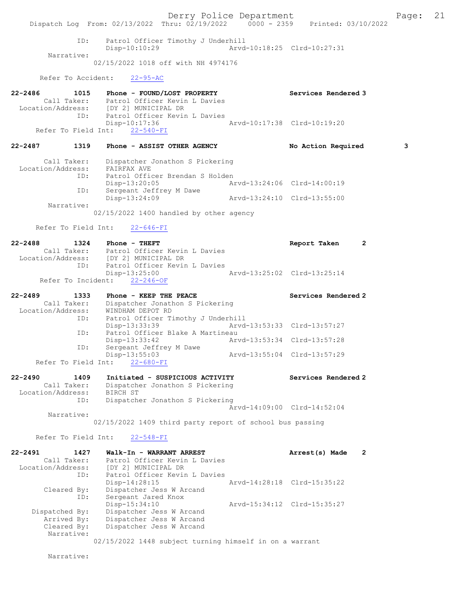Derry Police Department Fage: 21 Dispatch Log From: 02/13/2022 Thru: 02/19/2022 0000 - 2359 Printed: 03/10/2022 ID: Patrol Officer Timothy J Underhill Disp-10:10:29 Arvd-10:18:25 Clrd-10:27:31 Narrative: 02/15/2022 1018 off with NH 4974176 Refer To Accident: 22-95-AC 22-2486 1015 Phone - FOUND/LOST PROPERTY Services Rendered 3 Patrol Officer Kevin L Davies<br>[DY 2] MUNICIPAL DR Call Taker:<br>Location/Address:<br>ID: Patrol Officer Kevin L Davies<br>Disp-10:17:36 Disp-10:17:36 Arvd-10:17:38 Clrd-10:19:20 Refer To Field Int: 22-540-FI 22-2487 1319 Phone - ASSIST OTHER AGENCY No Action Required 3 Call Taker: Dispatcher Jonathon S Pickering Location/Address: FAIRFAX AVE ID: Patrol Officer Brendan S Holden Disp-13:20:05 Arvd-13:24:06 Clrd-14:00:19 ID: Sergeant Jeffrey M Dawe Disp-13:24:09 Arvd-13:24:10 Clrd-13:55:00 Narrative: 02/15/2022 1400 handled by other agency Refer To Field Int: 22-646-FI 22-2488 1324 Phone - THEFT Report Taken 2 Call Taker: Patrol Officer Kevin L Davies Location/Address: [DY 2] MUNICIPAL DR ID: Patrol Officer Kevin L Davies Disp-13:25:00 Arvd-13:25:02 Clrd-13:25:14 Refer To Incident: 22-246-OF 22-2489 1333 Phone - KEEP THE PEACE Services Rendered 2 Call Taker: Dispatcher Jonathon S Pickering Location/Address: WINDHAM DEPOT RD ID: Patrol Officer Timothy J Underhill Disp-13:33:39 Arvd-13:53:33 Clrd-13:57:27 ID: Patrol Officer Blake A Martineau Disp-13:33:42 Arvd-13:53:34 Clrd-13:57:28<br>ID: Sergeant Jeffrey M Dawe Disp-15:55.72<br>Sergeant Jeffrey M Dawe<br>Disp-13:55:03 Disp-13:55:03 Arvd-13:55:04 Clrd-13:57:29 Refer To Field Int: 22-2490 1409 Initiated - SUSPICIOUS ACTIVITY Services Rendered 2 Call Taker: Dispatcher Jonathon S Pickering Location/Address: BIRCH ST ID: Dispatcher Jonathon S Pickering Arvd-14:09:00 Clrd-14:52:04 Narrative: 02/15/2022 1409 third party report of school bus passing Refer To Field Int: 22-548-FI 22-2491 1427 Walk-In - WARRANT ARREST 2 Call Taker: Patrol Officer Kevin L Davies Location/Address: [DY 2] MUNICIPAL DR ID: Patrol Officer Kevin L Davies Disp-14:28:15 Arvd-14:28:18 Clrd-15:35:22 Cleared By: Dispatcher Jess W Arcand ID: Sergeant Jared Knox<br>Disp-15:34:10 Disp-15:34:10 Arvd-15:34:12 Clrd-15:35:27 Dispatched By: Dispatcher Jess W Arcand Arrived By: Dispatcher Jess W Arcand Cleared By: Dispatcher Jess W Arcand Narrative: 02/15/2022 1448 subject turning himself in on a warrant

Narrative: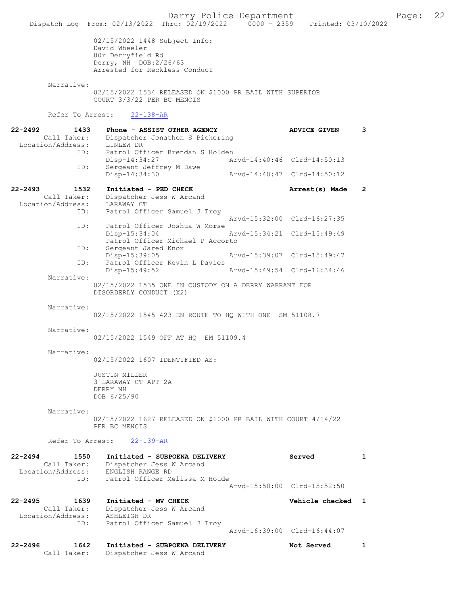Dispatch Log From: 02/13/2022 Thru: 02/19/2022 0000 - 2359 Printed: 03/10/2022 02/15/2022 1448 Subject Info: David Wheeler 80r Derryfield Rd Derry, NH DOB:2/26/63 Arrested for Reckless Conduct Narrative: 02/15/2022 1534 RELEASED ON \$1000 PR BAIL WITH SUPERIOR COURT 3/3/22 PER BC MENCIS Refer To Arrest: 22-138-AR 22-2492 1433 Phone - ASSIST OTHER AGENCY ADVICE GIVEN 3 Call Taker: Dispatcher Jonathon S Pickering Location/Address: LINLEW DR ID: Patrol Officer Brendan S Holden Disp-14:34:27 Arvd-14:40:46 Clrd-14:50:13 ID: Sergeant Jeffrey M Dawe<br>Disp-14:34:30 Disp-14:34:30 Arvd-14:40:47 Clrd-14:50:12 22-2493 1532 Initiated - PED CHECK 1988 Arrest(s) Made 2 Call Taker: Dispatcher Jess W Arcand Location/Address: LARAWAY CT ID: Patrol Officer Samuel J Troy Arvd-15:32:00 Clrd-16:27:35<br>TD: Patrol Officer Joshua W Morse Patrol Officer Joshua W Morse Disp-15:34:04 Arvd-15:34:21 Clrd-15:49:49 Patrol Officer Michael P Accorto<br>ID: Sergeant Jared Knox Sergeant Jared Knox Disp-15:39:05 Arvd-15:39:07 Clrd-15:49:47<br>ID: Patrol Officer Kevin L Davies Patrol Officer Kevin L Davies<br>Disp-15:49:52 Disp-15:49:52 Arvd-15:49:54 Clrd-16:34:46 Narrative: 02/15/2022 1535 ONE IN CUSTODY ON A DERRY WARRANT FOR DISORDERLY CONDUCT (X2) Narrative: 02/15/2022 1545 423 EN ROUTE TO HQ WITH ONE SM 51108.7 Narrative: 02/15/2022 1549 OFF AT HQ EM 51109.4 Narrative: 02/15/2022 1607 IDENTIFIED AS: JUSTIN MILLER 3 LARAWAY CT APT 2A DERRY NH DOB 6/25/90 Narrative: 02/15/2022 1627 RELEASED ON \$1000 PR BAIL WITH COURT 4/14/22 PER BC MENCIS Refer To Arrest: 22-139-AR 22-2494 1550 Initiated - SUBPOENA DELIVERY Served 1 Call Taker: Dispatcher Jess W Arcand Location/Address: ENGLISH RANGE RD ess: ANGLISH KANGE RD<br>ID: Patrol Officer Melissa M Houde Arvd-15:50:00 Clrd-15:52:50 22-2495 1639 Initiated - MV CHECK Vehicle checked 1 Call Taker: Dispatcher Jess W Arcand Location/Address: ASHLEIGH DR ID: Patrol Officer Samuel J Troy Arvd-16:39:00 Clrd-16:44:07 22-2496 1642 Initiated - SUBPOENA DELIVERY Not Served 1 Call Taker: Dispatcher Jess W Arcand

Derry Police Department The Page: 22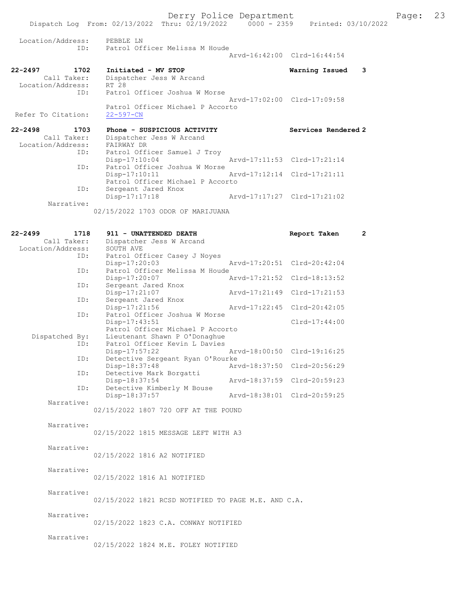|                              | Dispatch Log From: 02/13/2022 Thru: 02/19/2022 0000 - 2359 Printed: 03/10/2022 |                             |
|------------------------------|--------------------------------------------------------------------------------|-----------------------------|
| Location/Address: PEBBLE LN  | ID: Patrol Officer Melissa M Houde                                             | Arvd-16:42:00 Clrd-16:44:54 |
|                              |                                                                                |                             |
| 22-2497<br>1702              | Initiated - MV STOP                                                            | 3<br>Warning Issued         |
| Call Taker:                  | Dispatcher Jess W Arcand                                                       |                             |
| Location/Address: RT 28      |                                                                                |                             |
|                              | ID: Patrol Officer Joshua W Morse                                              |                             |
|                              |                                                                                | Arvd-17:02:00 Clrd-17:09:58 |
|                              | Patrol Officer Michael P Accorto                                               |                             |
| Refer To Citation:           | $22 - 597 - CN$                                                                |                             |
| $22 - 2498$<br>1703          | Phone - SUSPICIOUS ACTIVITY                                                    | Services Rendered 2         |
| Call Taker:                  | Dispatcher Jess W Arcand                                                       |                             |
| Location/Address: FAIRWAY DR |                                                                                |                             |
| ID:                          | Patrol Officer Samuel J Troy                                                   |                             |
|                              | $Disp-17:10:04$<br>Arvd-17:11:53 Clrd-17:21:14                                 |                             |
| ID:                          | Patrol Officer Joshua W Morse                                                  |                             |
|                              | Disp-17:10:11 Arvd-17:12:14 Clrd-17:21:11                                      |                             |
|                              | Patrol Officer Michael P Accorto                                               |                             |

 ID: Sergeant Jared Knox Disp-17:17:18 Arvd-17:17:27 Clrd-17:21:02 Narrative:

02/15/2022 1703 ODOR OF MARIJUANA

| 22-2499 | 1718              | 911 - UNATTENDED DEATH                              |               | Report Taken                | $\mathbf{2}^{\prime}$ |
|---------|-------------------|-----------------------------------------------------|---------------|-----------------------------|-----------------------|
|         | Call Taker:       | Dispatcher Jess W Arcand                            |               |                             |                       |
|         | Location/Address: | SOUTH AVE                                           |               |                             |                       |
|         | ID:               | Patrol Officer Casey J Noyes                        |               |                             |                       |
|         |                   | Disp-17:20:03                                       |               | Arvd-17:20:51 Clrd-20:42:04 |                       |
|         | ID:               | Patrol Officer Melissa M Houde                      |               |                             |                       |
|         |                   | Disp-17:20:07                                       |               | Arvd-17:21:52 Clrd-18:13:52 |                       |
|         | ID:               | Sergeant Jared Knox                                 |               |                             |                       |
|         |                   | Disp-17:21:07                                       | Arvd-17:21:49 | $Clrd-17:21:53$             |                       |
|         | ID:               | Sergeant Jared Knox                                 |               |                             |                       |
|         |                   | Disp-17:21:56                                       | Arvd-17:22:45 | Clrd-20:42:05               |                       |
|         | ID:               | Patrol Officer Joshua W Morse                       |               |                             |                       |
|         |                   | Disp-17:43:51                                       |               | $Clrd-17:44:00$             |                       |
|         |                   | Patrol Officer Michael P Accorto                    |               |                             |                       |
|         | Dispatched By:    | Lieutenant Shawn P O'Donaghue                       |               |                             |                       |
|         | ID:               | Patrol Officer Kevin L Davies                       |               |                             |                       |
|         |                   | Disp-17:57:22                                       |               | Arvd-18:00:50 Clrd-19:16:25 |                       |
|         | ID:               | Detective Sergeant Ryan O'Rourke                    |               |                             |                       |
|         |                   | Disp-18:37:48                                       | Arvd-18:37:50 | Clrd-20:56:29               |                       |
|         | ID:               | Detective Mark Borgatti                             |               |                             |                       |
|         |                   | Disp-18:37:54                                       |               | Arvd-18:37:59 Clrd-20:59:23 |                       |
|         | ID:               | Detective Kimberly M Bouse                          |               |                             |                       |
|         |                   | Disp-18:37:57                                       |               | Arvd-18:38:01 Clrd-20:59:25 |                       |
|         | Narrative:        |                                                     |               |                             |                       |
|         |                   | 02/15/2022 1807 720 OFF AT THE POUND                |               |                             |                       |
|         |                   |                                                     |               |                             |                       |
|         | Narrative:        |                                                     |               |                             |                       |
|         |                   | 02/15/2022 1815 MESSAGE LEFT WITH A3                |               |                             |                       |
|         |                   |                                                     |               |                             |                       |
|         | Narrative:        |                                                     |               |                             |                       |
|         |                   | 02/15/2022 1816 A2 NOTIFIED                         |               |                             |                       |
|         |                   |                                                     |               |                             |                       |
|         | Narrative:        |                                                     |               |                             |                       |
|         |                   | 02/15/2022 1816 A1 NOTIFIED                         |               |                             |                       |
|         | Narrative:        |                                                     |               |                             |                       |
|         |                   | 02/15/2022 1821 RCSD NOTIFIED TO PAGE M.E. AND C.A. |               |                             |                       |
|         |                   |                                                     |               |                             |                       |
|         | Narrative:        |                                                     |               |                             |                       |
|         |                   | 02/15/2022 1823 C.A. CONWAY NOTIFIED                |               |                             |                       |
|         |                   |                                                     |               |                             |                       |
|         | Narrative:        |                                                     |               |                             |                       |
|         |                   | 02/15/2022 1824 M.E. FOLEY NOTIFIED                 |               |                             |                       |
|         |                   |                                                     |               |                             |                       |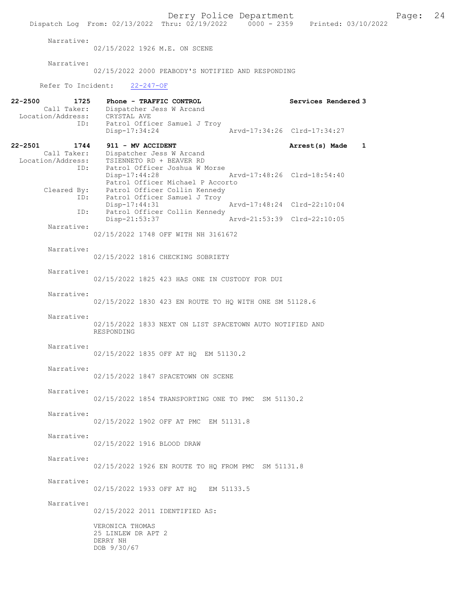Derry Police Department The Page: 24 Dispatch Log From:  $02/13/2022$  Thru:  $02/19/2022$  0000 - 2359 Printed: 03/10/2022 Narrative: 02/15/2022 1926 M.E. ON SCENE Narrative: 02/15/2022 2000 PEABODY'S NOTIFIED AND RESPONDING Refer To Incident: 22-247-OF 22-2500 1725 Phone - TRAFFIC CONTROL Services Rendered 3 Call Taker: Dispatcher Jess W Arcand Location/Address: CRYSTAL AVE ID: Patrol Officer Samuel J Troy<br>Disp-17:34:24 Disp-17:34:24 Arvd-17:34:26 Clrd-17:34:27 22-2501 1744 911 - MV ACCIDENT Call Taker: Dispatcher Jess W Arcand Arrest(s) Made 1 Call Taker: Dispatcher Jess W Arcand Location/Address: TSIENNETO RD + BEAVER RD ID: Patrol Officer Joshua W Morse Disp-17:44:28 Arvd-17:48:26 Clrd-18:54:40 Patrol Officer Michael P Accorto<br>Cleared By: Patrol Officer Collin Kennedy Cleared By: Patrol Officer Collin Kennedy ID: Patrol Officer Samuel J Troy Disp-17:44:31 Arvd-17:48:24 Clrd-22:10:04 ID: Patrol Officer Collin Kennedy Disp-21:53:37 Arvd-21:53:39 Clrd-22:10:05 Narrative: 02/15/2022 1748 OFF WITH NH 3161672 Narrative: 02/15/2022 1816 CHECKING SOBRIETY Narrative: 02/15/2022 1825 423 HAS ONE IN CUSTODY FOR DUI Narrative: 02/15/2022 1830 423 EN ROUTE TO HQ WITH ONE SM 51128.6 Narrative: 02/15/2022 1833 NEXT ON LIST SPACETOWN AUTO NOTIFIED AND RESPONDING Narrative: 02/15/2022 1835 OFF AT HQ EM 51130.2 Narrative: 02/15/2022 1847 SPACETOWN ON SCENE Narrative: 02/15/2022 1854 TRANSPORTING ONE TO PMC SM 51130.2 Narrative: 02/15/2022 1902 OFF AT PMC EM 51131.8 Narrative: 02/15/2022 1916 BLOOD DRAW Narrative: 02/15/2022 1926 EN ROUTE TO HQ FROM PMC SM 51131.8 Narrative: 02/15/2022 1933 OFF AT HQ EM 51133.5 Narrative: 02/15/2022 2011 IDENTIFIED AS: VERONICA THOMAS 25 LINLEW DR APT 2 DERRY NH DOB 9/30/67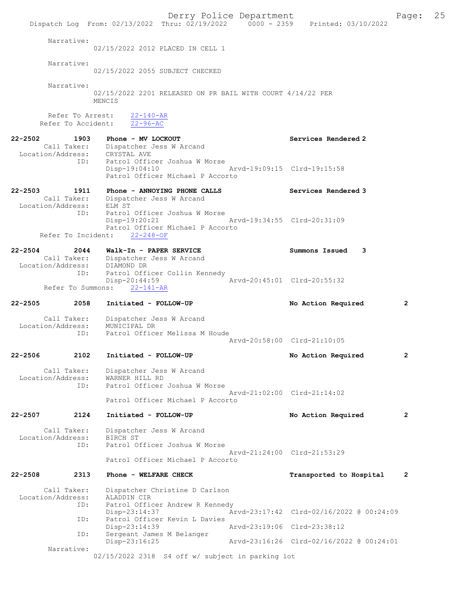Derry Police Department Form Page: 25 Dispatch Log From: 02/13/2022 Thru: 02/19/2022 0000 - 2359 Printed: 03/10/2022 Narrative: 02/15/2022 2012 PLACED IN CELL 1 Narrative: 02/15/2022 2055 SUBJECT CHECKED Narrative: 02/15/2022 2201 RELEASED ON PR BAIL WITH COURT 4/14/22 PER MENCIS Refer To Arrest:  $\frac{22-140-AR}{22-96-AC}$ Refer To Accident: 22-2502 1903 Phone - MV LOCKOUT Services Rendered 2 Call Taker: Dispatcher Jess W Arcand<br>.ion/Address: CRYSTAL AVE Location/Address:<br>ID: Patrol Officer Joshua W Morse Disp-19:04:10 Arvd-19:09:15 Clrd-19:15:58 Patrol Officer Michael P Accorto 22-2503 1911 Phone - ANNOYING PHONE CALLS Services Rendered 3 Call Taker: Dispatcher Jess W Arcand<br>tion/Address: ELM ST Location/Address:<br>ID: Patrol Officer Joshua W Morse<br>Disp-19:20:21 Disp-19:20:21 Arvd-19:34:55 Clrd-20:31:09 Patrol Officer Michael P Accorto<br>ht: 22-248-OF Refer To Incident: 22-2504 2044 Walk-In - PAPER SERVICE Summons Issued 3<br>Call Taker: Dispatcher Jess W Arcand Dispatcher Jess W Arcand<br>DIAMOND DR Location/Address:<br>ID: Patrol Officer Collin Kennedy<br>Disp-20:44:59 Arvd-20:45:01 Clrd-20:55:32 Refer To Summons: 22-141-AR 22-2505 2058 Initiated - FOLLOW-UP No Action Required 2 Call Taker: Dispatcher Jess W Arcand<br>ion/Address: MUNICIPAL DR Location/Address:<br>TD: Patrol Officer Melissa M Houde Arvd-20:58:00 Clrd-21:10:05 22-2506 2102 Initiated - FOLLOW-UP No Action Required 2 Call Taker: Dispatcher Jess W Arcand<br>ion/Address: WARNER HILL RD Location/Address:<br>ID: Patrol Officer Joshua W Morse Arvd-21:02:00 Clrd-21:14:02 Patrol Officer Michael P Accorto 22-2507 2124 Initiated - FOLLOW-UP No Action Required 2 Call Taker: Dispatcher Jess W Arcand<br>ion/Address: BIRCH ST Location/Address:<br>ID: Patrol Officer Joshua W Morse Arvd-21:24:00 Clrd-21:53:29 Patrol Officer Michael P Accorto 22-2508 2313 Phone - WELFARE CHECK Transported to Hospital 2 Call Taker: Dispatcher Christine D Carlson Location/Address: ALADDIN CIR Patrol Officer Andrew R Kennedy<br>Disp-23:14:37 Ar Disp-23:14:37 Arvd-23:17:42 Clrd-02/16/2022 @ 00:24:09 ID: Patrol Officer Kevin L Davies<br>Disp-23:14:39 Disp-23:14:39 Arvd-23:19:06 Clrd-23:38:12 ID: Sergeant James M Belanger Disp-23:16:25 Arvd-23:16:26 Clrd-02/16/2022 @ 00:24:01 Narrative: 02/15/2022 2318 S4 off w/ subject in parking lot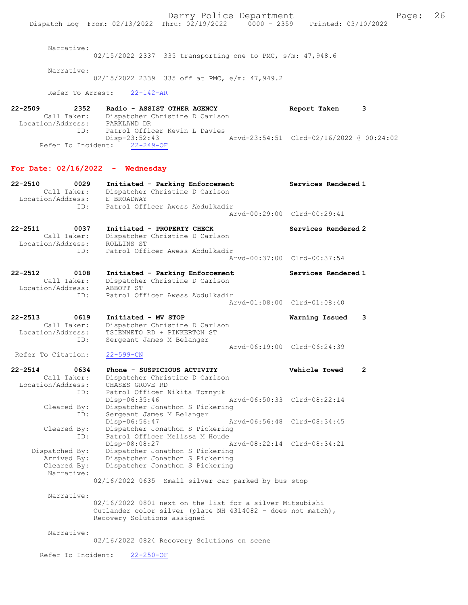Narrative:

02/15/2022 2337 335 transporting one to PMC, s/m: 47,948.6

Narrative:

02/15/2022 2339 335 off at PMC, e/m: 47,949.2

Refer To Arrest: 22-142-AR

22-2509 2352 Radio - ASSIST OTHER AGENCY Report Taken 3 Call Taker: Dispatcher Christine D Carlson Location/Address: PARKLAND DR ID: Patrol Officer Kevin L Davies<br>Disp-23:52:43 Disp-23:52:43 Arvd-23:54:51 Clrd-02/16/2022 @ 00:24:02 Refer To Incident: 22-249-OF

### For Date:  $02/16/2022 -$  Wednesday

| 22-2510<br>0029     | Initiated - Parking Enforcement                             | Services Rendered 1         |                |
|---------------------|-------------------------------------------------------------|-----------------------------|----------------|
| Call Taker:         | Dispatcher Christine D Carlson                              |                             |                |
| Location/Address:   | E BROADWAY                                                  |                             |                |
| ID:                 | Patrol Officer Awess Abdulkadir                             |                             |                |
|                     |                                                             | Arvd-00:29:00 Clrd-00:29:41 |                |
|                     |                                                             |                             |                |
| $22 - 2511$<br>0037 | Initiated - PROPERTY CHECK                                  | Services Rendered 2         |                |
| Call Taker:         | Dispatcher Christine D Carlson                              |                             |                |
| Location/Address:   | ROLLINS ST                                                  |                             |                |
| ID:                 | Patrol Officer Awess Abdulkadir                             |                             |                |
|                     |                                                             | Arvd-00:37:00 Clrd-00:37:54 |                |
| $22 - 2512$<br>0108 |                                                             | Services Rendered 1         |                |
| Call Taker:         | Initiated - Parking Enforcement                             |                             |                |
| Location/Address:   | Dispatcher Christine D Carlson<br>ABBOTT ST                 |                             |                |
| ID:                 | Patrol Officer Awess Abdulkadir                             |                             |                |
|                     |                                                             | Aryd-01:08:00 Clrd-01:08:40 |                |
|                     |                                                             |                             |                |
| $22 - 2513$<br>0619 | Initiated - MV STOP                                         | Warning Issued              | 3              |
| Call Taker:         | Dispatcher Christine D Carlson                              |                             |                |
| Location/Address:   | TSIENNETO RD + PINKERTON ST                                 |                             |                |
| ID:                 | Sergeant James M Belanger                                   |                             |                |
|                     |                                                             | Arvd-06:19:00 Clrd-06:24:39 |                |
| Refer To Citation:  | $22 - 599 - CN$                                             |                             |                |
|                     |                                                             |                             |                |
|                     |                                                             |                             |                |
| $22 - 2514$<br>0634 | Phone - SUSPICIOUS ACTIVITY                                 | Vehicle Towed               | $\overline{2}$ |
| Call Taker:         | Dispatcher Christine D Carlson                              |                             |                |
| Location/Address:   | CHASES GROVE RD                                             |                             |                |
| ID:                 | Patrol Officer Nikita Tomnyuk                               |                             |                |
|                     | Disp-06:35:46                                               | Arvd-06:50:33 Clrd-08:22:14 |                |
| Cleared By:         | Dispatcher Jonathon S Pickering                             |                             |                |
| ID:                 | Sergeant James M Belanger                                   |                             |                |
|                     | Disp-06:56:47                                               | Arvd-06:56:48 Clrd-08:34:45 |                |
| Cleared By:         | Dispatcher Jonathon S Pickering                             |                             |                |
| ID:                 | Patrol Officer Melissa M Houde                              |                             |                |
|                     | Disp-08:08:27                                               | Arvd-08:22:14 Clrd-08:34:21 |                |
| Dispatched By:      | Dispatcher Jonathon S Pickering                             |                             |                |
| Arrived By:         | Dispatcher Jonathon S Pickering                             |                             |                |
| Cleared By:         | Dispatcher Jonathon S Pickering                             |                             |                |
| Narrative:          |                                                             |                             |                |
|                     | 02/16/2022 0635<br>Small silver car parked by bus stop      |                             |                |
|                     |                                                             |                             |                |
| Narrative:          |                                                             |                             |                |
|                     | 02/16/2022 0801 next on the list for a silver Mitsubishi    |                             |                |
|                     | Outlander color silver (plate NH 4314082 - does not match), |                             |                |
|                     | Recovery Solutions assigned                                 |                             |                |
|                     |                                                             |                             |                |
| Narrative:          |                                                             |                             |                |
|                     | 02/16/2022 0824 Recovery Solutions on scene                 |                             |                |

Refer To Incident: 22-250-OF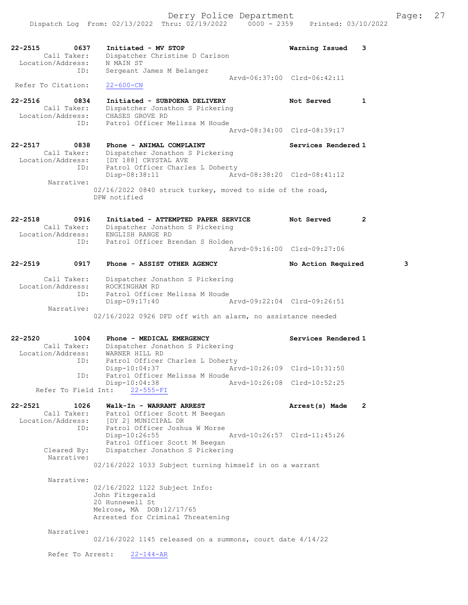Dispatch Log From: 02/13/2022 Thru: 02/19/2022 0000 - 2359 Printed: 03/10/2022

| 22-2515     | 0637<br>Call Taker:<br>Location/Address:        | Initiated - MV STOP<br>Dispatcher Christine D Carlson<br>N MAIN ST                                                                   | Warning Issued              | 3            |
|-------------|-------------------------------------------------|--------------------------------------------------------------------------------------------------------------------------------------|-----------------------------|--------------|
|             | ID:                                             | Sergeant James M Belanger                                                                                                            |                             |              |
|             | Refer To Citation:                              | $22 - 600 - CN$                                                                                                                      | Arvd-06:37:00 Clrd-06:42:11 |              |
| $22 - 2516$ | 0834<br>Call Taker:<br>Location/Address:        | Initiated - SUBPOENA DELIVERY<br>Dispatcher Jonathon S Pickering<br>CHASES GROVE RD<br>Patrol Officer Melissa M Houde                | Not Served                  | $\mathbf{1}$ |
|             | ID:                                             |                                                                                                                                      | Arvd-08:34:00 Clrd-08:39:17 |              |
| $22 - 2517$ | 0838<br>Call Taker:<br>Location/Address:<br>ID: | Phone - ANIMAL COMPLAINT<br>Dispatcher Jonathon S Pickering<br>[DY 188] CRYSTAL AVE<br>Patrol Officer Charles L Doherty              | Services Rendered 1         |              |
|             | Narrative:                                      | $Disp-08:38:11$                                                                                                                      | Arvd-08:38:20 Clrd-08:41:12 |              |
|             |                                                 | 02/16/2022 0840 struck turkey, moved to side of the road,<br>DPW notified                                                            |                             |              |
| $22 - 2518$ | 0916<br>Call Taker:<br>Location/Address:        | Initiated - ATTEMPTED PAPER SERVICE<br>Dispatcher Jonathon S Pickering<br>ENGLISH RANGE RD                                           | Not Served                  | $\mathbf{2}$ |
|             | ID:                                             | Patrol Officer Brendan S Holden                                                                                                      | Arvd-09:16:00 Clrd-09:27:06 |              |
| $22 - 2519$ | 0917                                            | Phone - ASSIST OTHER AGENCY                                                                                                          | No Action Required          | з            |
|             | Call Taker:<br>Location/Address:<br>ID:         | Dispatcher Jonathon S Pickering<br>ROCKINGHAM RD<br>Patrol Officer Melissa M Houde                                                   |                             |              |
|             | Narrative:                                      | Arvd-09:22:04 Clrd-09:26:51<br>Disp-09:17:40                                                                                         |                             |              |
|             |                                                 | 02/16/2022 0926 DFD off with an alarm, no assistance needed                                                                          |                             |              |
| $22 - 2520$ | 1004<br>Call Taker:<br>Location/Address:<br>ID: | Phone - MEDICAL EMERGENCY<br>Dispatcher Jonathon S Pickering<br>WARNER HILL RD<br>Patrol Officer Charles L Doherty                   | Services Rendered 1         |              |
|             | ID:                                             | Disp-10:04:37<br>Patrol Officer Melissa M Houde                                                                                      | Arvd-10:26:09 Clrd-10:31:50 |              |
|             | Refer To Field Int:                             | Disp-10:04:38<br>$22 - 555 - FI$                                                                                                     | Arvd-10:26:08 Clrd-10:52:25 |              |
|             |                                                 |                                                                                                                                      |                             |              |
| $22 - 2521$ | 1026<br>Call Taker:<br>Location/Address:<br>ID: | Walk-In - WARRANT ARREST<br>Patrol Officer Scott M Beegan<br>[DY 2] MUNICIPAL DR<br>Patrol Officer Joshua W Morse                    | Arrest(s) Made              | $\mathbf{2}$ |
|             | Cleared By:                                     | $Disp-10:26:55$<br>Patrol Officer Scott M Beegan<br>Dispatcher Jonathon S Pickering                                                  | Arvd-10:26:57 Clrd-11:45:26 |              |
|             | Narrative:                                      | 02/16/2022 1033 Subject turning himself in on a warrant                                                                              |                             |              |
|             | Narrative:                                      | 02/16/2022 1122 Subject Info:<br>John Fitzgerald<br>20 Hunnewell St<br>Melrose, MA DOB:12/17/65<br>Arrested for Criminal Threatening |                             |              |
|             | Narrative:                                      | $02/16/2022$ 1145 released on a summons, court date $4/14/22$                                                                        |                             |              |

Refer To Arrest: 22-144-AR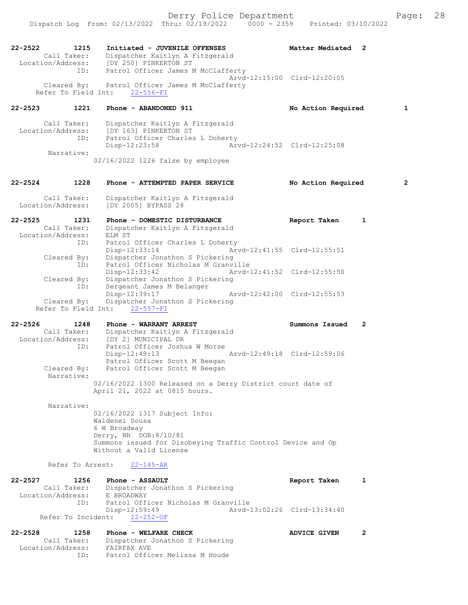22-2522 1215 Initiated - JUVENILE OFFENSES Matter Mediated 2 Call Taker: Dispatcher Kaitlyn A Fitzgerald Location/Address: [DY 250] PINKERTON ST ID: Patrol Officer James M McClafferty Arvd-12:15:00 Clrd-12:20:05 Cleared By: Patrol Officer James M McClafferty Refer To Field Int: 22-556-FI 22-2523 1221 Phone - ABANDONED 911 No Action Required 1 Call Taker: Dispatcher Kaitlyn A Fitzgerald Location/Address: [DY 163] PINKERTON ST ID: Patrol Officer Charles L Doherty Disp-12:23:58 Arvd-12:24:52 Clrd-12:25:08 Narrative: 02/16/2022 1226 false by employee 22-2524 1228 Phone - ATTEMPTED PAPER SERVICE No Action Required 2 Call Taker: Dispatcher Kaitlyn A Fitzgerald<br>Location/Address: [DY 2005] BYPASS 28 [DY 2005] BYPASS 28 22-2525 1231 Phone - DOMESTIC DISTURBANCE Report Taken 1 Call Taker: Dispatcher Kaitlyn A Fitzgerald Location/Address: ELM ST ID: Patrol Officer Charles L Doherty<br>Disp-12:33:14 Arvd-12:41:55 Clrd-12:55:51 Disp-12:33:14 Arvd-12:41:55 Clrd-12:55:51 Cleared By: Dispatcher Jonathon S Pickering ID: Patrol Officer Nicholas M Granville Disp-12:33:42 Arvd-12:41:52 Clrd-12:55:50 Cleared By: Dispatcher Jonathon S Pickering<br>ID: Sergeant James M Belanger .<br>Sergeant James M Belanger<br>Disp-12:39:17 Arvd-12:42:00 Clrd-12:55:53 Cleared By: Dispatcher Jonathon S Pickering Refer To Field Int: 22-557-FI 22-2526 1248 Phone - WARRANT ARREST Summons Issued 2 Call Taker: Dispatcher Kaitlyn A Fitzgerald Location/Address: [DY 2] MUNICIPAL DR ID: Patrol Officer Joshua W Morse Disp-12:49:13 Arvd-12:49:18 Clrd-12:59:06 Patrol Officer Scott M Beegan<br>Cleared By: Patrol Officer Scott M Beegan Patrol Officer Scott M Beegan Narrative: 02/16/2022 1300 Released on a Derry District court date of April 21, 2022 at 0815 hours. Narrative: 02/16/2022 1317 Subject Info: Waldenei Sousa 6 W Broadway Derry, NH DOB:8/10/81 Summons issued for Disobeying Traffic Control Device and Op Without a Valid License Refer To Arrest: 22-145-AR 22-2527 1256 Phone - ASSAULT Report Taken 1<br>Call Taker: Dispatcher Jonathon S Pickering Dispatcher Jonathon S Pickering<br>E BROADWAY Location/Address:<br>TD: Patrol Officer Nicholas M Granville<br>Disp-12:59:49 Arvd-1 Disp-12:59:49 Arvd-13:02:26 Clrd-13:34:40 Refer To Incident: 22-252-OF 22-2528 1258 Phone - WELFARE CHECK ADVICE GIVEN 2 Call Taker: Dispatcher Jonathon S Pickering Location/Address: FAIRFAX AVE ID: Patrol Officer Melissa M Houde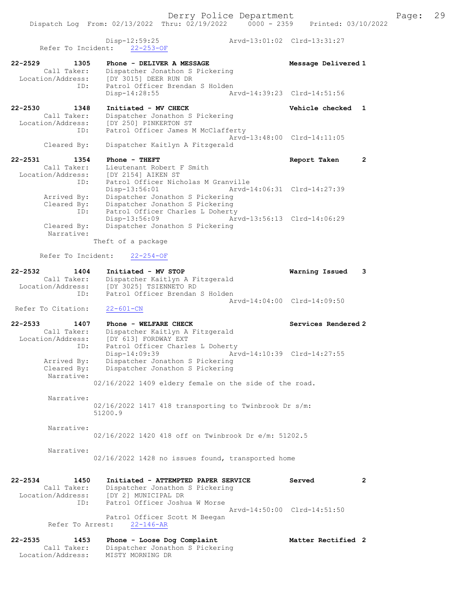Dispatch Log From: 02/13/2022 Thru: 02/19/2022 0000 - 2359 Printed: 03/10/2022

 Disp-12:59:25 Arvd-13:01:02 Clrd-13:31:27 Refer To Incident: 22-253-OF

22-2529 1305 Phone - DELIVER A MESSAGE Message Delivered 1 Call Taker: Dispatcher Jonathon S Pickering Location/Address: [DY 3015] DEER RUN DR ID: Patrol Officer Brendan S Holden Disp-14:28:55 Arvd-14:39:23 Clrd-14:51:56 22-2530 1348 Initiated - MV CHECK Vehicle checked 1 Call Taker: Dispatcher Jonathon S Pickering Location/Address: [DY 250] PINKERTON ST ID: Patrol Officer James M McClafferty Arvd-13:48:00 Clrd-14:11:05 Cleared By: Dispatcher Kaitlyn A Fitzgerald

#### 22-2531 1354 Phone - THEFT Report Taken 2 Call Taker: Lieutenant Robert F Smith Location/Address: [DY 2154] AIKEN ST ID: Patrol Officer Nicholas M Granville Disp-13:56:01 Arvd-14:06:31 Clrd-14:27:39 Arrived By: Dispatcher Jonathon S Pickering Cleared By: Dispatcher Jonathon S Pickering ID: Patrol Officer Charles L Doherty Disp-13:56:09 Arvd-13:56:13 Clrd-14:06:29<br>Cleared By: Dispatcher Jonathon S Pickering Dispatcher Jonathon S Pickering Narrative: Theft of a package

Refer To Incident: 22-254-OF

| 22-2532           | 1404        | Initiated - MV STOP             | Warning Issued 3            |  |
|-------------------|-------------|---------------------------------|-----------------------------|--|
|                   | Call Taker: | Dispatcher Kaitlyn A Fitzgerald |                             |  |
| Location/Address: |             | [DY 3025] TSIENNETO RD          |                             |  |
|                   | TD:         | Patrol Officer Brendan S Holden |                             |  |
|                   |             |                                 | Arvd-14:04:00 Clrd-14:09:50 |  |

Refer To Citation: 22-601-CN

22-2533 1407 Phone - WELFARE CHECK Services Rendered 2 Call Taker: Dispatcher Kaitlyn A Fitzgerald Location/Address: [DY 613] FORDWAY EXT ID: Patrol Officer Charles L Doherty Disp-14:09:39 Arvd-14:10:39 Clrd-14:27:55 Arrived By: Dispatcher Jonathon S Pickering Cleared By: Dispatcher Jonathon S Pickering Narrative:

02/16/2022 1409 eldery female on the side of the road.

 Narrative: 02/16/2022 1417 418 transporting to Twinbrook Dr s/m: 51200.9

Narrative:

02/16/2022 1420 418 off on Twinbrook Dr e/m: 51202.5

Narrative:

02/16/2022 1428 no issues found, transported home

22-2534 1450 Initiated - ATTEMPTED PAPER SERVICE Served 2 Call Taker: Dispatcher Jonathon S Pickering Location/Address: [DY 2] MUNICIPAL DR ID: Patrol Officer Joshua W Morse Arvd-14:50:00 Clrd-14:51:50 Patrol Officer Scott M Beegan Refer To Arrest: 22-146-AR

| $22 - 2535$       | 1453        | Phone - Loose Dog Complaint     | Matter Rectified 2 |  |
|-------------------|-------------|---------------------------------|--------------------|--|
|                   | Call Taker: | Dispatcher Jonathon S Pickering |                    |  |
| Location/Address: |             | MISTY MORNING DR                |                    |  |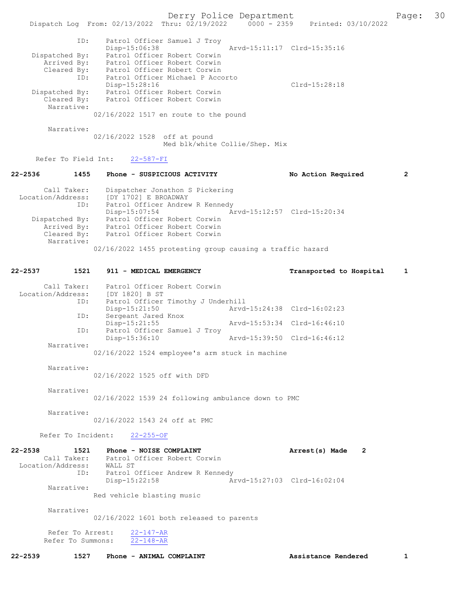Derry Police Department<br>Page: 30 Printed: 03/10/2022 Printed: 03/10/2022 Dispatch Log From: 02/13/2022 Thru: 02/19/2022 ID: Patrol Officer Samuel J Troy Disp-15:06:38 Arvd-15:11:17 Clrd-15:35:16 Dispatched By: Patrol Officer Robert Corwin Arrived By: Factor Officer Robert Corwin<br>Arrived By: Patrol Officer Robert Corwin Cleared By: Patrol Officer Robert Corwin ID: Patrol Officer Michael P Accorto Disp-15:28:16 Clrd-15:28:18 Dispatched By: Patrol Officer Robert Corwin Cleared By: Patrol Officer Robert Corwin Narrative: 02/16/2022 1517 en route to the pound Narrative: 02/16/2022 1528 off at pound Med blk/white Collie/Shep. Mix Refer To Field Int: 22-587-FI 22-2536 1455 Phone - SUSPICIOUS ACTIVITY No Action Required 2 Call Taker: Dispatcher Jonathon S Pickering Location/Address: [DY 1702] E BROADWAY ID: Patrol Officer Andrew R Kennedy Disp-15:07:54 Arvd-15:12:57 Clrd-15:20:34<br>Dispatched By: Patrol Officer Robert Corwin Patrol Officer Robert Corwin Arrived By: Patrol Officer Robert Corwin Cleared By: Patrol Officer Robert Corwin Narrative: 02/16/2022 1455 protesting group causing a traffic hazard 22-2537 1521 911 - MEDICAL EMERGENCY Transported to Hospital 1 Call Taker: Patrol Officer Robert Corwin<br>ion/Address: [DY 1820] B ST Location/Address: ext.<br>ID: Patrol Officer Timothy J Underhill<br>Disp-15:21:50 Arvd Disp-15:21:50 Arvd-15:24:38 Clrd-16:02:23<br>TD: Sergeant Jared Knox Sergeant Jared Knox<br>Disp-15:21:55 Disp-15:21:55 Arvd-15:53:34 Clrd-16:46:10<br>TD: Patrol Officer Samuel J Trov Patrol Officer Samuel J Troy Disp-15:36:10 Arvd-15:39:50 Clrd-16:46:12 Narrative: 02/16/2022 1524 employee's arm stuck in machine Narrative: 02/16/2022 1525 off with DFD Narrative: 02/16/2022 1539 24 following ambulance down to PMC Narrative: 02/16/2022 1543 24 off at PMC Refer To Incident: 22-255-OF 22-2538 1521 Phone - NOISE COMPLAINT Arrest(s) Made 2 Call Taker: Patrol Officer Robert Corwin Location/Address: WALL ST<br>ID: Patrol ( Patrol Officer Andrew R Kennedy<br>Disp-15:22:58 Ar Disp-15:22:58 Arvd-15:27:03 Clrd-16:02:04 Narrative: Red vehicle blasting music Narrative: 02/16/2022 1601 both released to parents Refer To Arrest: 22-147-AR Refer To Summons: 22-148-AR

22-2539 1527 Phone - ANIMAL COMPLAINT 1527 2539 1527 Phone - ANIMAL COMPLAINT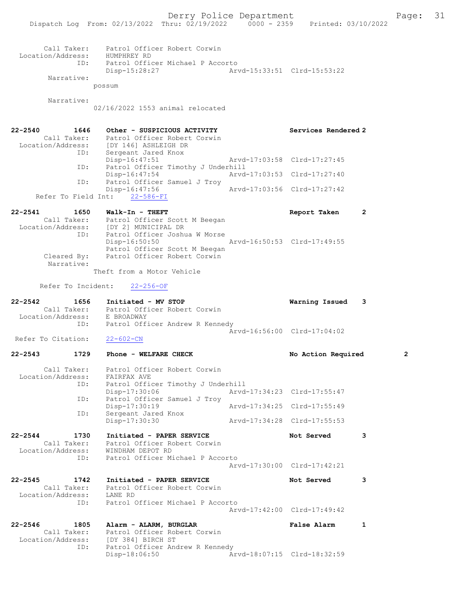Call Taker: Patrol Officer Robert Corwin Location/Address: HUMPHREY RD ID: Patrol Officer Michael P Accorto Disp-15:28:27 Arvd-15:33:51 Clrd-15:53:22 Narrative: possum Narrative: 02/16/2022 1553 animal relocated 22-2540 1646 Other - SUSPICIOUS ACTIVITY Services Rendered 2 Call Taker: Patrol Officer Robert Corwin Location/Address: [DY 146] ASHLEIGH DR ID: Sergeant Jared Knox Disp-16:47:51 Arvd-17:03:58 Clrd-17:27:45 ID: Patrol Officer Timothy J Underhill Disp-16:47:54 Arvd-17:03:53 Clrd-17:27:40<br>ID: Patrol Officer Samuel J Troy ID: Patrol Officer Samuel J Troy Disp-16:47:56 Arvd-17:03:56 Clrd-17:27:42 Refer To Field Int: 22-586-FI 22-2541 1650 Walk-In - THEFT Report Taken 2 Call Taker: Patrol Officer Scott M Beegan Location/Address: [DY 2] MUNICIPAL DR ID: Patrol Officer Joshua W Morse Disp-16:50:50 Arvd-16:50:53 Clrd-17:49:55 Patrol Officer Scott M Beegan Cleared By: Patrol Officer Robert Corwin Narrative: Theft from a Motor Vehicle Refer To Incident: 22-256-OF 22-2542 1656 Initiated - MV STOP Warning Issued 3 Call Taker: Patrol Officer Robert Corwin Location/Address: E BROADWAY ID: Patrol Officer Andrew R Kennedy  $\bar{A}rvd-16:56:00$  Clrd-17:04:02<br>22-602-CN Refer To Citation: 22-2543 1729 Phone - WELFARE CHECK No Action Required 2 Call Taker: Patrol Officer Robert Corwin Location/Address: FAIRFAX AVE ID: Patrol Officer Timothy J Underhill<br>Disp-17:30:06 Mrvd-17:34:23 Clrd-17:55:47 Disp-17:30:06 Arvd-17:34:23 Clrd-17:55:47 ID: Patrol Officer Samuel J Troy Disp-17:30:19 Arvd-17:34:25 Clrd-17:55:49 ID: Sergeant Jared Knox Disp-17:30:30 Arvd-17:34:28 Clrd-17:55:53 22-2544 1730 Initiated - PAPER SERVICE Not Served 3 Call Taker: Patrol Officer Robert Corwin Location/Address: WINDHAM DEPOT RD ID: Patrol Officer Michael P Accorto Arvd-17:30:00 Clrd-17:42:21 22-2545 1742 Initiated - PAPER SERVICE 1997 Not Served 3 Call Taker: Patrol Officer Robert Corwin Location/Address: LANE RD ID: Patrol Officer Michael P Accorto Arvd-17:42:00 Clrd-17:49:42 22-2546 1805 Alarm - ALARM, BURGLAR False Alarm 1 Call Taker: Patrol Officer Robert Corwin Location/Address: [DY 384] BIRCH ST ID: Patrol Officer Andrew R Kennedy<br>Disp-18:06:50 Ar Disp-18:06:50 Arvd-18:07:15 Clrd-18:32:59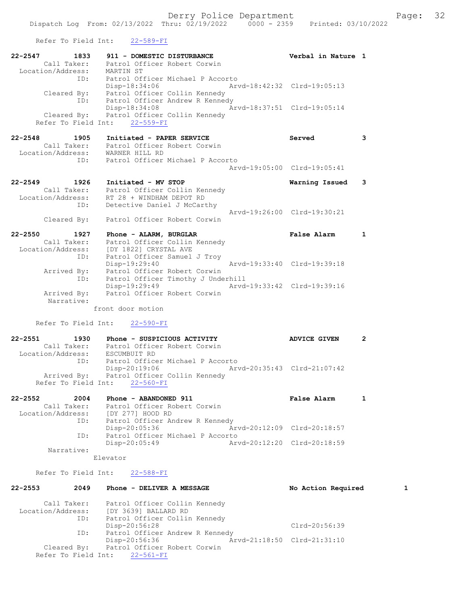Refer To Field Int: 22-589-FI

| 1833<br>$22 - 2547$              | 911 - DOMESTIC DISTURBANCE                                                | Verbal in Nature 1          |                         |
|----------------------------------|---------------------------------------------------------------------------|-----------------------------|-------------------------|
|                                  | Call Taker: Patrol Officer Robert Corwin                                  |                             |                         |
| Location/Address: MARTIN ST      |                                                                           |                             |                         |
| ID:                              | Patrol Officer Michael P Accorto                                          |                             |                         |
|                                  | Arvd-18:42:32 Clrd-19:05:13<br>Disp-18:34:06                              |                             |                         |
|                                  | Cleared By: Patrol Officer Collin Kennedy                                 |                             |                         |
| ID:                              | Patrol Officer Andrew R Kennedy                                           |                             |                         |
|                                  | Disp-18:34:08 Arvd-18:37:51 Clrd-19:05:14                                 |                             |                         |
|                                  | Cleared By: Patrol Officer Collin Kennedy                                 |                             |                         |
|                                  | Refer To Field Int: 22-559-FI                                             |                             |                         |
|                                  |                                                                           |                             |                         |
|                                  |                                                                           |                             |                         |
|                                  | 22-2548 1905 Initiated - PAPER SERVICE                                    | Served                      | 3                       |
|                                  | Call Taker: Patrol Officer Robert Corwin                                  |                             |                         |
| Location/Address: WARNER HILL RD |                                                                           |                             |                         |
|                                  | ID: Patrol Officer Michael P Accorto                                      |                             |                         |
|                                  |                                                                           | Arvd-19:05:00 Clrd-19:05:41 |                         |
|                                  |                                                                           |                             |                         |
| $22 - 2549$<br>1926              | Initiated - MV STOP                                                       | Warning Issued              | $\overline{\mathbf{3}}$ |
| Call Taker:                      | Patrol Officer Collin Kennedy                                             |                             |                         |
| ID:                              | Location/Address: RT 28 + WINDHAM DEPOT RD<br>Detective Daniel J McCarthy |                             |                         |

 Arvd-19:26:00 Clrd-19:30:21 Cleared By: Patrol Officer Robert Corwin

| $22 - 2550$       | 1927        | Phone - ALARM, BURGLAR       |                                    |                             | False Alarm |  |
|-------------------|-------------|------------------------------|------------------------------------|-----------------------------|-------------|--|
|                   | Call Taker: |                              | Patrol Officer Collin Kennedy      |                             |             |  |
| Location/Address: |             | [DY 1822] CRYSTAL AVE        |                                    |                             |             |  |
|                   | ID:         | Patrol Officer Samuel J Troy |                                    |                             |             |  |
|                   |             | Disp-19:29:40                |                                    | Arvd-19:33:40 Clrd-19:39:18 |             |  |
|                   | Arrived By: | Patrol Officer Robert Corwin |                                    |                             |             |  |
|                   | ID:         |                              | Patrol Officer Timothy J Underhill |                             |             |  |
|                   |             | Disp-19:29:49                |                                    | Arvd-19:33:42 Clrd-19:39:16 |             |  |
|                   | Arrived By: | Patrol Officer Robert Corwin |                                    |                             |             |  |
|                   | Narrative:  |                              |                                    |                             |             |  |

front door motion

Refer To Field Int: 22-590-FI

22-2551 1930 Phone - SUSPICIOUS ACTIVITY ADVICE GIVEN 2 Call Taker: Patrol Officer Robert Corwin Location/Address: ESCUMBUIT RD ID: Patrol Officer Michael P Accorto Disp-20:19:06 Arvd-20:35:43 Clrd-21:07:42 Arrived By: Patrol Officer Collin Kennedy Refer To Field Int: 22-560-FI

22-2552 2004 Phone - ABANDONED 911 False Alarm 1 Call Taker: Patrol Officer Robert Corwin Location/Address: [DY 277] HOOD RD ID: Patrol Officer Andrew R Kennedy Disp-20:05:36 Arvd-20:12:09 Clrd-20:18:57 ID: Patrol Officer Michael P Accorto Disp-20:05:49 Arvd-20:12:20 Clrd-20:18:59 Narrative:

Elevator

#### Refer To Field Int: 22-588-FI

| $22 - 2553$                      | 2049 | Phone - DELIVER A MESSAGE                                     | No Action Required          |  |
|----------------------------------|------|---------------------------------------------------------------|-----------------------------|--|
| Call Taker:<br>Location/Address: |      | Patrol Officer Collin Kennedy<br>[DY 3639] BALLARD RD         |                             |  |
|                                  | ID:  | Patrol Officer Collin Kennedy<br>Disp-20:56:28                | Clrd-20:56:39               |  |
|                                  | ID:  | Patrol Officer Andrew R Kennedy<br>Disp-20:56:36              | Arvd-21:18:50 Clrd-21:31:10 |  |
| Cleared By:                      |      | Patrol Officer Robert Corwin<br>Refer To Field Int: 22-561-FI |                             |  |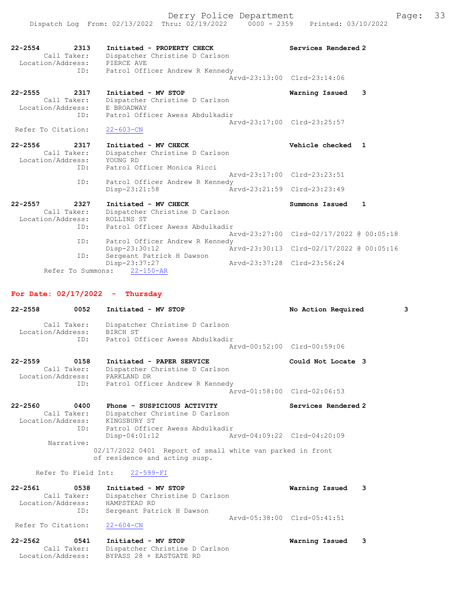|                    | ------------                    |                             | <u> -</u> | -- |
|--------------------|---------------------------------|-----------------------------|-----------|----|
| Call Taker:        | Dispatcher Christine D Carlson  |                             |           |    |
| Location/Address:  | E BROADWAY                      |                             |           |    |
| ID:                | Patrol Officer Awess Abdulkadir |                             |           |    |
|                    |                                 | Aryd-23:17:00 Clrd-23:25:57 |           |    |
| Refer To Citation: | $22 - 603 - CN$                 |                             |           |    |

| 22-2556           | 2317 | Initiated - MV CHECK            | Vehicle checked 1           |  |
|-------------------|------|---------------------------------|-----------------------------|--|
| Call Taker:       |      | Dispatcher Christine D Carlson  |                             |  |
| Location/Address: |      | YOUNG RD                        |                             |  |
|                   | ID:  | Patrol Officer Monica Ricci     |                             |  |
|                   |      |                                 | Arvd-23:17:00 Clrd-23:23:51 |  |
|                   | ID:  | Patrol Officer Andrew R Kennedy |                             |  |
|                   |      | $Disp-23:21:58$                 | Arvd-23:21:59 Clrd-23:23:49 |  |

#### 22-2557 2327 Initiated - MV CHECK Summons Issued 1 Call Taker: Dispatcher Christine D Carlson Location/Address: ROLLINS ST ID: Patrol Officer Awess Abdulkadir Arvd-23:27:00 Clrd-02/17/2022 @ 00:05:18<br>ID: Patrol Officer Andrew R Kennedy Patrol Officer Andrew R Kennedy Disp-23:30:12 Arvd-23:30:13 Clrd-02/17/2022 @ 00:05:16 ID: Sergeant Patrick H Dawson Disp-23:37:27 Arvd-23:37:28 Clrd-23:56:24 Refer To Summons: 22-150-AR

# For Date: 02/17/2022 - Thursday

| 0052<br>22-2558                                                      | Initiated - MV STOP                                                                        | No Action Required          | 3 |
|----------------------------------------------------------------------|--------------------------------------------------------------------------------------------|-----------------------------|---|
| Call Taker:<br>Location/Address:                                     | Dispatcher Christine D Carlson<br>BIRCH ST                                                 |                             |   |
|                                                                      | ID: Patrol Officer Awess Abdulkadir                                                        |                             |   |
|                                                                      |                                                                                            | Arvd-00:52:00 Clrd-00:59:06 |   |
| 22-2559<br>0158<br>Call Taker:<br>Location/Address: PARKLAND DR      | Initiated - PAPER SERVICE<br>Dispatcher Christine D Carlson                                | Could Not Locate 3          |   |
| ID:                                                                  | Patrol Officer Andrew R Kennedy                                                            | Arvd-01:58:00 Clrd-02:06:53 |   |
| $22 - 2560$<br>0400<br>Call Taker:<br>Location/Address: KINGSBURY ST | Phone - SUSPICIOUS ACTIVITY<br>Dispatcher Christine D Carlson                              | Services Rendered 2         |   |
| ID:                                                                  | Patrol Officer Awess Abdulkadir                                                            |                             |   |
| Narrative:                                                           | $Disp-04:01:12$                                                                            | Arvd-04:09:22 Clrd-04:20:09 |   |
|                                                                      | 02/17/2022 0401 Report of small white van parked in front<br>of residence and acting susp. |                             |   |

# Refer To Field Int: 22-599-FI

| 22-2561           | 0538 | Initiated - MV STOP            | Warning Issued 3            |  |
|-------------------|------|--------------------------------|-----------------------------|--|
| Call Taker:       |      | Dispatcher Christine D Carlson |                             |  |
| Location/Address: |      | HAMPSTEAD RD                   |                             |  |
|                   | ID:  | Sergeant Patrick H Dawson      |                             |  |
|                   |      |                                | Arvd-05:38:00 Clrd-05:41:51 |  |

### Refer To Citation: 22-604-CN

| 22-2562 | 0541              | Initiated - MV STOP            | Warning Issued |  |
|---------|-------------------|--------------------------------|----------------|--|
|         | Call Taker:       | Dispatcher Christine D Carlson |                |  |
|         | Location/Address: | BYPASS 28 + EASTGATE RD        |                |  |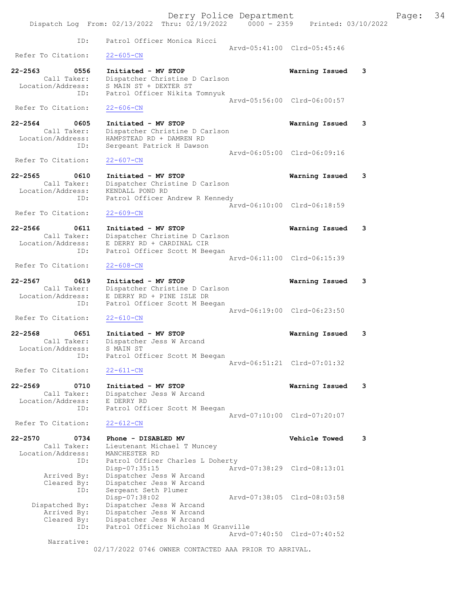Derry Police Department Fage: 34 Dispatch Log From: 02/13/2022 Thru: 02/19/2022 0000 - 2359 Printed: 03/10/2022 ID: Patrol Officer Monica Ricci Arvd-05:41:00 Clrd-05:45:46<br>22-605-CN Refer To Citation: 22-2563 0556 Initiated - MV STOP Warning Issued 3 Call Taker: Dispatcher Christine D Carlson Location/Address: S MAIN ST + DEXTER ST ID: Patrol Officer Nikita Tomnyuk Arvd-05:56:00 Clrd-06:00:57 Refer To Citation: 22-606-CN 22-2564 0605 Initiated - MV STOP Warning Issued 3 Call Taker: Dispatcher Christine D Carlson Location/Address: HAMPSTEAD RD + DAMREN RD ID: Sergeant Patrick H Dawson Arvd-06:05:00 Clrd-06:09:16 Refer To Citation: 22-607-CN 22-2565 0610 Initiated - MV STOP Warning Issued 3 Call Taker: Dispatcher Christine D Carlson Location/Address: KENDALL POND RD ID: Patrol Officer Andrew R Kennedy Arvd-06:10:00 Clrd-06:18:59 Refer To Citation: 22-609-CN 22-2566 0611 Initiated - MV STOP Warning Issued 3 Call Taker: Dispatcher Christine D Carlson Location/Address: E DERRY RD + CARDINAL CIR ID: Patrol Officer Scott M Beegan Arvd-06:11:00 Clrd-06:15:39<br>22-608-CN Refer To Citation: 22-2567 0619 Initiated - MV STOP Warning Issued 3 Call Taker: Dispatcher Christine D Carlson Location/Address: E DERRY RD + PINE ISLE DR ID: Patrol Officer Scott M Beegan Arvd-06:19:00 Clrd-06:23:50 Refer To Citation: 22-610-CN 22-2568 0651 Initiated - MV STOP Warning Issued 3 Call Taker: Dispatcher Jess W Arcand Location/Address: S MAIN ST ID: Patrol Officer Scott M Beegan Arvd-06:51:21 Clrd-07:01:32<br>22-611-CN Refer To Citation: 22-2569 0710 Initiated - MV STOP Warning Issued 3 Call Taker: Dispatcher Jess W Arcand Location/Address: E DERRY RD ID: Patrol Officer Scott M Beegan Arvd-07:10:00 Clrd-07:20:07 Refer To Citation: 22-612-CN 22-2570 0734 Phone - DISABLED MV Vehicle Towed 3 Call Taker: Lieutenant Michael T Muncey Location/Address: MANCHESTER RD ID: Patrol Officer Charles L Doherty<br>Disp-07:35:15 Arv Disp-07:35:15 Arvd-07:38:29 Clrd-08:13:01 Arrived By: Dispatcher Jess W Arcand Cleared By: Dispatcher Jess W Arcand ID: Sergeant Seth Plumer Disp-07:38:02 Arvd-07:38:05 Clrd-08:03:58 Dispatched By: Dispatcher Jess W Arcand Arrived By: Dispatcher Jess W Arcand Cleared By: Dispatcher Jess W Arcand ID: Patrol Officer Nicholas M Granville Arvd-07:40:50 Clrd-07:40:52 Narrative: 02/17/2022 0746 OWNER CONTACTED AAA PRIOR TO ARRIVAL.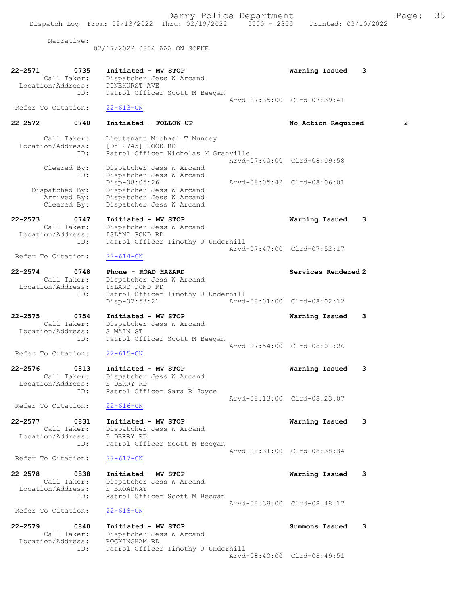02/17/2022 0804 AAA ON SCENE

| 22-2571<br>0735                  | Initiated - MV STOP                        | Warning Issued<br>3         |
|----------------------------------|--------------------------------------------|-----------------------------|
| Call Taker:<br>Location/Address: | Dispatcher Jess W Arcand<br>PINEHURST AVE  |                             |
| ID:                              | Patrol Officer Scott M Beegan              |                             |
|                                  |                                            | Arvd-07:35:00 Clrd-07:39:41 |
| Refer To Citation:               | $22 - 613 - CN$                            |                             |
| $22 - 2572$<br>0740              | Initiated - FOLLOW-UP                      | 2<br>No Action Required     |
| Call Taker:                      | Lieutenant Michael T Muncey                |                             |
| Location/Address:                | [DY 2745] HOOD RD                          |                             |
| ID:                              | Patrol Officer Nicholas M Granville        |                             |
|                                  |                                            | Arvd-07:40:00 Clrd-08:09:58 |
| Cleared By:                      | Dispatcher Jess W Arcand                   |                             |
| ID:                              | Dispatcher Jess W Arcand                   |                             |
|                                  | Disp-08:05:26                              | Arvd-08:05:42 Clrd-08:06:01 |
| Dispatched By:                   | Dispatcher Jess W Arcand                   |                             |
| Arrived By:                      | Dispatcher Jess W Arcand                   |                             |
| Cleared By:                      | Dispatcher Jess W Arcand                   |                             |
| $22 - 2573$<br>0747              | Initiated - MV STOP                        | Warning Issued<br>3         |
| Call Taker:                      | Dispatcher Jess W Arcand                   |                             |
| Location/Address:                | ISLAND POND RD                             |                             |
| ID:                              | Patrol Officer Timothy J Underhill         |                             |
|                                  |                                            | Arvd-07:47:00 Clrd-07:52:17 |
| Refer To Citation:               | $22 - 614 - CN$                            |                             |
| $22 - 2574$<br>0748              | Phone - ROAD HAZARD                        | Services Rendered 2         |
| Call Taker:                      | Dispatcher Jess W Arcand                   |                             |
| Location/Address:                | ISLAND POND RD                             |                             |
| ID:                              | Patrol Officer Timothy J Underhill         |                             |
|                                  | Disp-07:53:21                              | Arvd-08:01:00 Clrd-08:02:12 |
|                                  |                                            |                             |
| $22 - 2575$<br>0754              | Initiated - MV STOP                        | Warning Issued<br>3         |
| Call Taker:                      | Dispatcher Jess W Arcand                   |                             |
| Location/Address:<br>ID:         | S MAIN ST<br>Patrol Officer Scott M Beegan |                             |
|                                  |                                            | Arvd-07:54:00 Clrd-08:01:26 |
| Refer To Citation:               | $22 - 615 - CN$                            |                             |
|                                  |                                            |                             |
| $22 - 2576$<br>0813              | Initiated - MV STOP                        | Warning Issued<br>3         |
| Call Taker:                      | Dispatcher Jess W Arcand                   |                             |
| Location/Address:                | E DERRY RD                                 |                             |
| ID:                              | Patrol Officer Sara R Joyce                | Aryd-08:13:00 Clrd-08:23:07 |
| Refer To Citation:               | $22 - 616 - CN$                            |                             |
|                                  |                                            |                             |
| $22 - 2577$<br>0831              | Initiated - MV STOP                        | Warning Issued<br>3         |
| Call Taker:                      | Dispatcher Jess W Arcand                   |                             |
| Location/Address:                | E DERRY RD                                 |                             |
| ID:                              | Patrol Officer Scott M Beegan              |                             |
|                                  |                                            | Arvd-08:31:00 Clrd-08:38:34 |
| Refer To Citation:               | $22 - 617 - CN$                            |                             |
| 0838<br>$22 - 2578$              | Initiated - MV STOP                        | Warning Issued<br>3         |
| Call Taker:                      | Dispatcher Jess W Arcand                   |                             |
| Location/Address:                | E BROADWAY                                 |                             |
| ID:                              | Patrol Officer Scott M Beegan              |                             |
|                                  |                                            | Arvd-08:38:00 Clrd-08:48:17 |
| Refer To Citation:               | $22 - 618 - CN$                            |                             |
| $22 - 2579$<br>0840              | Initiated - MV STOP                        | Summons Issued<br>3         |
| Call Taker:                      | Dispatcher Jess W Arcand                   |                             |
| Location/Address:                | ROCKINGHAM RD                              |                             |
| ID:                              | Patrol Officer Timothy J Underhill         |                             |
|                                  |                                            | Arvd-08:40:00 Clrd-08:49:51 |
|                                  |                                            |                             |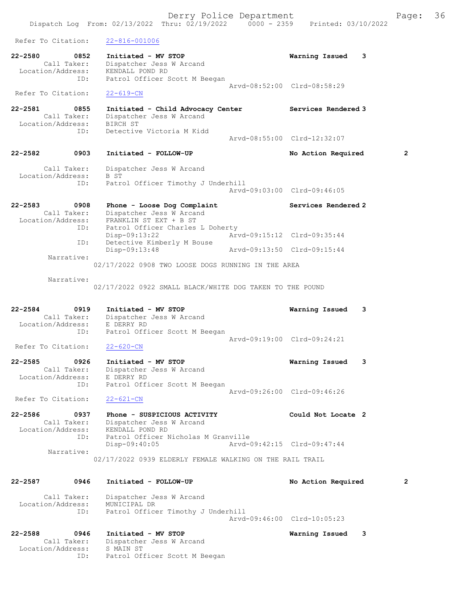Refer To Citation: 22-816-001006 22-2580 0852 Initiated - MV STOP Warning Issued 3 Call Taker: Dispatcher Jess W Arcand Location/Address: KENDALL POND RD ID: Patrol Officer Scott M Beegan Arvd-08:52:00 Clrd-08:58:29 Refer To Citation: 22-619-CN 22-2581 0855 Initiated - Child Advocacy Center Services Rendered 3 Call Taker: Dispatcher Jess W Arcand Location/Address: BIRCH ST ID: Detective Victoria M Kidd Arvd-08:55:00 Clrd-12:32:07 22-2582 0903 Initiated - FOLLOW-UP No Action Required 2 Call Taker: Dispatcher Jess W Arcand Location/Address: B ST ID: Patrol Officer Timothy J Underhill Arvd-09:03:00 Clrd-09:46:05 22-2583 0908 Phone - Loose Dog Complaint Services Rendered 2 Call Taker: Dispatcher Jess W Arcand Location/Address: FRANKLIN ST EXT + B ST ID: Patrol Officer Charles L Doherty Disp-09:13:22 Arvd-09:15:12 Clrd-09:35:44 ID: Detective Kimberly M Bouse Disp-09:13:48 Arvd-09:13:50 Clrd-09:15:44 Narrative: 02/17/2022 0908 TWO LOOSE DOGS RUNNING IN THE AREA Narrative: 02/17/2022 0922 SMALL BLACK/WHITE DOG TAKEN TO THE POUND 22-2584 0919 Initiated - MV STOP Warning Issued 3 Call Taker: Dispatcher Jess W Arcand Location/Address: E DERRY RD ID: Patrol Officer Scott M Beegan Arvd-09:19:00 Clrd-09:24:21<br>22-620-CN Refer To Citation: 22-2585 0926 Initiated - MV STOP Warning Issued 3 Call Taker: Dispatcher Jess W Arcand Location/Address: E DERRY RD ID: Patrol Officer Scott M Beegan Arvd-09:26:00 Clrd-09:46:26 Refer To Citation: 22-621-CN 22-2586 0937 Phone - SUSPICIOUS ACTIVITY Could Not Locate 2 Call Taker: Dispatcher Jess W Arcand Location/Address: KENDALL POND RD ID: Patrol Officer Nicholas M Granville<br>Disp-09:40:05 Arvd-0 Disp-09:40:05 Arvd-09:42:15 Clrd-09:47:44 Narrative: 02/17/2022 0939 ELDERLY FEMALE WALKING ON THE RAIL TRAIL 22-2587 0946 Initiated - FOLLOW-UP No Action Required 2 Call Taker: Dispatcher Jess W Arcand Location/Address: MUNICIPAL DR ID: Patrol Officer Timothy J Underhill Arvd-09:46:00 Clrd-10:05:23 22-2588 0946 Initiated - MV STOP Warning Issued 3 Call Taker: Dispatcher Jess W Arcand Location/Address: S MAIN ST ID: Patrol Officer Scott M Beegan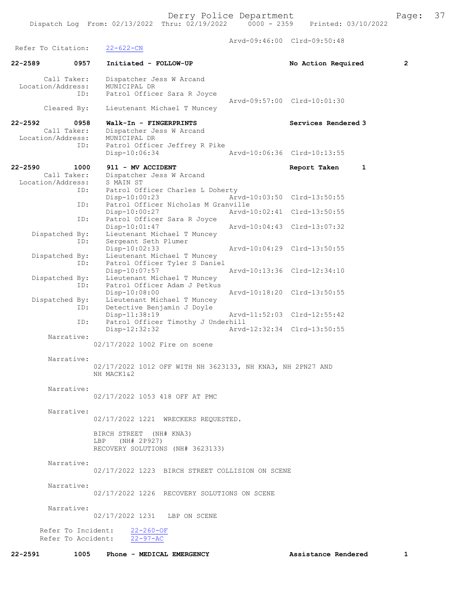Arvd-09:46:00 Clrd-09:50:48 Refer To Citation: 22-622-CN 22-2589 0957 Initiated - FOLLOW-UP No Action Required 2 Call Taker: Dispatcher Jess W Arcand Location/Address: MUNICIPAL DR<br>TD: Patrol Office Patrol Officer Sara R Joyce Arvd-09:57:00 Clrd-10:01:30 Cleared By: Lieutenant Michael T Muncey 22-2592 0958 Walk-In - FINGERPRINTS Services Rendered 3 Call Taker: Dispatcher Jess W Arcand<br>ion/Address: MUNICIPAL DR Location/Address:<br>ID: Patrol Officer Jeffrey R Pike Disp-10:06:34 Arvd-10:06:36 Clrd-10:13:55 22-2590 1000 911 - MV ACCIDENT Report Taken 1 Call Taker: Dispatcher Jess W Arcand<br>ion/Address: S MAIN ST Location/Address:<br>ID: Patrol Officer Charles L Doherty<br>Disp-10:00:23 Ar Arvd-10:03:50 Clrd-13:50:55 ID: Patrol Officer Nicholas M Granville Disp-10:00:27 Arvd-10:02:41 Clrd-13:50:55<br>TD: Patrol Officer Sara R Jovce Patrol Officer Sara R Joyce<br>Disp-10:01:47 Disp-10:01:47 Arvd-10:04:43 Clrd-13:07:32<br>Dispatched By: Lieutenant Michael T Muncey<br>ID: Sergeant Seth Plumer Lieutenant Michael T Muncey -- ..<br>Sergeant Seth Plumer Disp-10:02:33 Arvd-10:04:29 Clrd-13:50:55 Dispatched By: Lieutenant Michael T Muncey ID: Patrol Officer Tyler S Daniel<br>Disp-10:07:57 Mrvd-10:13:36 Clrd-12:34:10 Disp-10:07:57 Arvd-10:13:36 Clrd-12:34:10 Dispatched By: Lieutenant Michael T Muncey ID: Patrol Officer Adam J Petkus Disp-10:08:00 Arvd-10:18:20 Clrd-13:50:55 Dispatched By: Lieutenant Michael T Muncey ID: Detective Benjamin J Doyle<br>Disp-11:38:19 Disp-11:38:19 Arvd-11:52:03 Clrd-12:55:42 ID: Patrol Officer Timothy J Underhill<br>Disp-12:32:32 Arvd Disp-12:32:32 Arvd-12:32:34 Clrd-13:50:55 Narrative: 02/17/2022 1002 Fire on scene Narrative: 02/17/2022 1012 OFF WITH NH 3623133, NH KNA3, NH 2PN27 AND NH MACK1&2 Narrative: 02/17/2022 1053 418 OFF AT PMC Narrative: 02/17/2022 1221 WRECKERS REQUESTED. BIRCH STREET (NH# KNA3) LBP (NH# 2P927) RECOVERY SOLUTIONS (NH# 3623133) Narrative: 02/17/2022 1223 BIRCH STREET COLLISION ON SCENE Narrative: 02/17/2022 1226 RECOVERY SOLUTIONS ON SCENE Narrative: 02/17/2022 1231 LBP ON SCENE Refer To Incident: 22-260-OF Refer To Accident: 22-97-AC 22-2591 1005 Phone - MEDICAL EMERGENCY 18 Assistance Rendered 1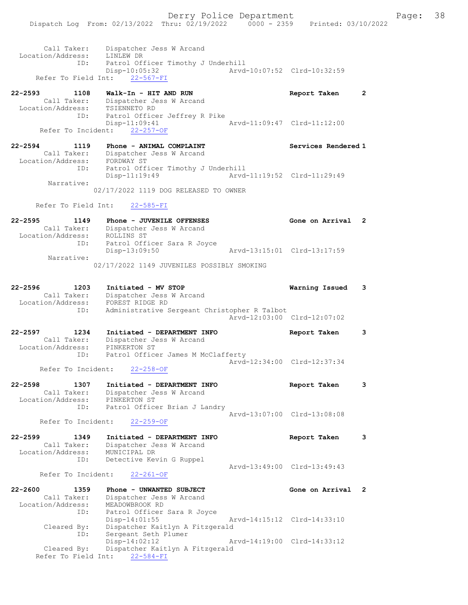| Call Taker:<br>Location/Address: | Dispatcher Jess W Arcand<br>LINLEW DR          |                             |  |
|----------------------------------|------------------------------------------------|-----------------------------|--|
| ID:                              | Patrol Officer Timothy J Underhill             |                             |  |
|                                  | Disp-10:05:32<br>Refer To Field Int: 22-567-FI | Aryd-10:07:52 Clrd-10:32:59 |  |

| 22-2593           | 1108        | Walk-In - HIT AND RUN         | Report Taken                |  |
|-------------------|-------------|-------------------------------|-----------------------------|--|
|                   | Call Taker: | Dispatcher Jess W Arcand      |                             |  |
| Location/Address: |             | TSIENNETO RD                  |                             |  |
|                   | ID:         | Patrol Officer Jeffrey R Pike |                             |  |
|                   |             | Disp-11:09:41                 | Arvd-11:09:47 Clrd-11:12:00 |  |
|                   |             | Refer To Incident: 22-257-OF  |                             |  |

| 22-2594           | 1119        | Phone - ANIMAL COMPLAINT           | Services Rendered 1         |
|-------------------|-------------|------------------------------------|-----------------------------|
|                   | Call Taker: | Dispatcher Jess W Arcand           |                             |
| Location/Address: |             | FORDWAY ST                         |                             |
|                   | ID:         | Patrol Officer Timothy J Underhill |                             |
|                   |             | Disp-11:19:49                      | Arvd-11:19:52 Clrd-11:29:49 |
|                   | Narrative:  |                                    |                             |

02/17/2022 1119 DOG RELEASED TO OWNER

Refer To Field Int: 22-585-FI

| $22 - 2595$ | 1149              | Phone - JUVENILE OFFENSES                  | Gone on Arrival 2           |  |
|-------------|-------------------|--------------------------------------------|-----------------------------|--|
|             | Call Taker:       | Dispatcher Jess W Arcand                   |                             |  |
|             | Location/Address: | ROLLINS ST                                 |                             |  |
|             | ID:               | Patrol Officer Sara R Joyce                |                             |  |
|             |                   | Disp-13:09:50                              | Arvd-13:15:01 Clrd-13:17:59 |  |
|             | Narrative:        |                                            |                             |  |
|             |                   | 02/17/2022 1149 JUVENILES POSSIBLY SMOKING |                             |  |

| 22-2596           | 1203 | Initiated - MV STOP                          | Warning Issued | $\sim$ 3 |
|-------------------|------|----------------------------------------------|----------------|----------|
| Call Taker:       |      | Dispatcher Jess W Arcand                     |                |          |
| Location/Address: |      | FOREST RIDGE RD                              |                |          |
|                   | ID:  | Administrative Sergeant Christopher R Talbot |                |          |
|                   |      | Arvd-12:03:00 Clrd-12:07:02                  |                |          |

| 22-2597<br>1234   | Initiated - DEPARTMENT INFO        | Report Taken                |  |
|-------------------|------------------------------------|-----------------------------|--|
| Call Taker:       | Dispatcher Jess W Arcand           |                             |  |
| Location/Address: | PINKERTON ST                       |                             |  |
| ID:               | Patrol Officer James M McClafferty |                             |  |
|                   |                                    | Arvd-12:34:00 Clrd-12:37:34 |  |

Refer To Incident: 22-258-OF

| 22-2598           | 1307 | Initiated - DEPARTMENT INFO   | Report Taken                |  |
|-------------------|------|-------------------------------|-----------------------------|--|
| Call Taker:       |      | Dispatcher Jess W Arcand      |                             |  |
| Location/Address: |      | PINKERTON ST                  |                             |  |
|                   | ID:  | Patrol Officer Brian J Landry |                             |  |
|                   |      |                               | Arvd-13:07:00 Clrd-13:08:08 |  |

Refer To Incident: 22-259-OF

```
22-2599 1349 Initiated - DEPARTMENT INFO Report Taken 3 
 Call Taker: Dispatcher Jess W Arcand
 Location/Address: MUNICIPAL DR
 ID: Detective Kevin G Ruppel
                   Arvd-13:49:00 Clrd-13:49:43<br>22-261-OF
```
Refer To Incident:

| $22 - 2600$       | 1359        | Phone - UNWANTED SUBJECT        | Gone on Arrival 2           |  |
|-------------------|-------------|---------------------------------|-----------------------------|--|
|                   | Call Taker: | Dispatcher Jess W Arcand        |                             |  |
| Location/Address: |             | MEADOWBROOK RD                  |                             |  |
|                   | ID:         | Patrol Officer Sara R Joyce     |                             |  |
|                   |             | $Disp-14:01:55$                 | Arvd-14:15:12 Clrd-14:33:10 |  |
|                   | Cleared By: | Dispatcher Kaitlyn A Fitzgerald |                             |  |
|                   | ID:         | Sergeant Seth Plumer            |                             |  |
|                   |             | $Disp-14:02:12$                 | Arvd-14:19:00 Clrd-14:33:12 |  |
|                   | Cleared By: | Dispatcher Kaitlyn A Fitzgerald |                             |  |
|                   |             | Refer To Field Int: 22-584-FI   |                             |  |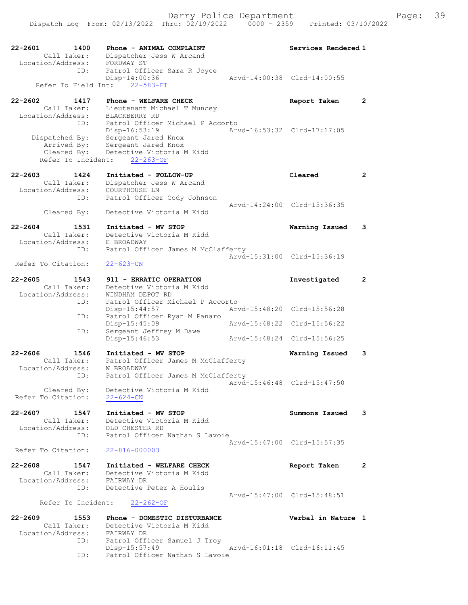| 22-2601<br>1400<br>Call Taker:                                     | Phone - ANIMAL COMPLAINT<br>Dispatcher Jess W Arcand                                              | Services Rendered 1         |                       |
|--------------------------------------------------------------------|---------------------------------------------------------------------------------------------------|-----------------------------|-----------------------|
| Location/Address:<br>ID:                                           | FORDWAY ST<br>Patrol Officer Sara R Joyce<br>Disp-14:00:36                                        | Aryd-14:00:38 Clrd-14:00:55 |                       |
| Refer To Field Int:                                                | $22 - 583 - FI$                                                                                   |                             |                       |
| $22 - 2602$<br>1417                                                | Phone - WELFARE CHECK                                                                             | Report Taken                | $\mathbf{2}^{\prime}$ |
| Call Taker:<br>Location/Address:<br>ID:                            | Lieutenant Michael T Muncey<br>BLACKBERRY RD<br>Patrol Officer Michael P Accorto<br>Disp-16:53:19 | Arvd-16:53:32 Clrd-17:17:05 |                       |
| Dispatched By:<br>Arrived By:<br>Cleared By:<br>Refer To Incident: | Sergeant Jared Knox<br>Sergeant Jared Knox<br>Detective Victoria M Kidd<br>$22 - 263 - OF$        |                             |                       |
| $22 - 2603$<br>1424                                                | Initiated - FOLLOW-UP                                                                             | Cleared                     | $\overline{2}$        |
| Call Taker:<br>Location/Address:<br>ID:                            | Dispatcher Jess W Arcand<br>COURTHOUSE LN<br>Patrol Officer Cody Johnson                          |                             |                       |
| Cleared By:                                                        | Detective Victoria M Kidd                                                                         | Arvd-14:24:00 Clrd-15:36:35 |                       |
| $22 - 2604$<br>1531<br>Call Taker:                                 | Initiated - MV STOP<br>Detective Victoria M Kidd                                                  | Warning Issued              | 3                     |
| Location/Address:                                                  | E BROADWAY                                                                                        |                             |                       |
| ID:                                                                | Patrol Officer James M McClafferty                                                                | Arvd-15:31:00 Clrd-15:36:19 |                       |
| Refer To Citation:                                                 | $22 - 623 - CN$                                                                                   |                             |                       |
| $22 - 2605$<br>1543<br>Call Taker:                                 | 911 - ERRATIC OPERATION<br>Detective Victoria M Kidd                                              | Investigated                | $\mathbf{2}$          |
| Location/Address:                                                  | WINDHAM DEPOT RD                                                                                  |                             |                       |
| ID:                                                                | Patrol Officer Michael P Accorto<br>$Disp-15:44:57$                                               | Arvd-15:48:20 Clrd-15:56:28 |                       |
| ID:                                                                | Patrol Officer Ryan M Panaro                                                                      |                             |                       |
| ID:                                                                | Disp-15:45:09<br>Sergeant Jeffrey M Dawe                                                          | Arvd-15:48:22 Clrd-15:56:22 |                       |
|                                                                    | Disp-15:46:53                                                                                     | Arvd-15:48:24 Clrd-15:56:25 |                       |
| 22-2606<br>1546<br>Call Taker:                                     | Initiated - MV STOP<br>Patrol Officer James M McClafferty                                         | Warning Issued              | 3                     |
| Location/Address:<br>ID:                                           | W BROADWAY<br>Patrol Officer James M McClafferty                                                  |                             |                       |
| Cleared By:<br>Refer To Citation:                                  | Detective Victoria M Kidd<br>$22 - 624 - CN$                                                      | Arvd-15:46:48 Clrd-15:47:50 |                       |
|                                                                    |                                                                                                   |                             |                       |
| 22-2607<br>1547<br>Call Taker:<br>Location/Address:                | Initiated - MV STOP<br>Detective Victoria M Kidd<br>OLD CHESTER RD                                | Summons Issued              | 3                     |
| ID:                                                                | Patrol Officer Nathan S Lavoie                                                                    | Arvd-15:47:00 Clrd-15:57:35 |                       |
| Refer To Citation:                                                 | $22 - 816 - 000003$                                                                               |                             |                       |
| $22 - 2608$<br>1547                                                | Initiated - WELFARE CHECK                                                                         | Report Taken                | $\mathbf{2}$          |
| Call Taker:<br>Location/Address:                                   | Detective Victoria M Kidd<br>FAIRWAY DR                                                           |                             |                       |
| ID:                                                                | Detective Peter A Houlis                                                                          |                             |                       |
| Refer To Incident:                                                 | $22 - 262 - 0F$                                                                                   | Arvd-15:47:00 Clrd-15:48:51 |                       |
| $22 - 2609$<br>1553                                                | Phone - DOMESTIC DISTURBANCE                                                                      | Verbal in Nature 1          |                       |
| Call Taker:<br>Location/Address:                                   | Detective Victoria M Kidd<br>FAIRWAY DR                                                           |                             |                       |
| ID:                                                                | Patrol Officer Samuel J Troy                                                                      |                             |                       |
| ID:                                                                | Disp-15:57:49<br>Patrol Officer Nathan S Lavoie                                                   | Arvd-16:01:18 Clrd-16:11:45 |                       |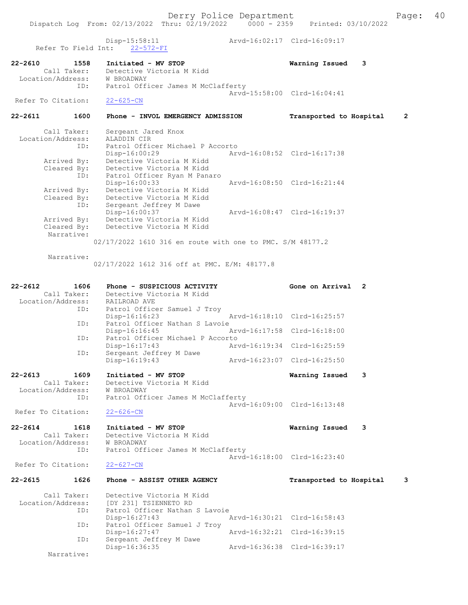Dispatch Log From: 02/13/2022 Thru: 02/19/2022 0000 - 2359 Printed: 03/10/2022

Disp-15:58:11 Arvd-16:02:17 Clrd-16:09:17

 Refer To Field Int: 22-572-FI 22-2610 1558 Initiated - MV STOP Warning Issued 3 Detective Victoria M Kidd Location/Address: W BROADWAY ID: Patrol Officer James M McClafferty Arvd-15:58:00 Clrd-16:04:41<br>22-625-CN Refer To Citation: 22-2611 1600 Phone - INVOL EMERGENCY ADMISSION Transported to Hospital 2 Call Taker: Sergeant Jared Knox<br>ion/Address: ALADDIN CIR Location/Address: ID: Patrol Officer Michael P Accorto<br>Disp-16:00:29 Mrvd-16:08:52 Clrd-16:17:38 Disp-16:00:29 Arvd-16:08:52 Clrd-16:17:38 Arrived By: Detective Victoria M Kidd Cleared By: Detective Victoria M Kidd ID: Patrol Officer Ryan M Panaro<br>Disp-16:00:33 Disp-16:00:33 Arvd-16:08:50 Clrd-16:21:44 Arrived By: Detective Victoria M Kidd Cleared By: Detective Victoria M Kidd ID: Sergeant Jeffrey M Dawe Disp-16:00:37 <br>Arrived By: Detective Victoria M Kidd Arrived By: Detective Victoria M Kidd Arrived By: Detective Victoria M Kidd<br>Cleared By: Detective Victoria M Kidd Detective Victoria M Kidd Narrative: 02/17/2022 1610 316 en route with one to PMC. S/M 48177.2 Narrative: 02/17/2022 1612 316 off at PMC. E/M: 48177.8 22-2612 1606 Phone - SUSPICIOUS ACTIVITY Cone on Arrival 2<br>Call Taker: Detective Victoria M Kidd Detective Victoria M Kidd Location/Address: RAILROAD AVE<br>ID: Patrol Office Patrol Officer Samuel J Troy<br>Disp-16:16:23 Arvd-16:18:10 Clrd-16:25:57 ID: Patrol Officer Nathan S Lavoie<br>Disp-16:16:45 Disp-16:16:45 Arvd-16:17:58 Clrd-16:18:00 Th: The Patrol Officer Michael P Accorto<br>Disp-16:17:43 Ar Disp-16:17:43 Arvd-16:19:34 Clrd-16:25:59<br>ID: Sergeant Jeffrey M Dawe Sergeant Jeffrey M Dawe<br>Disp-16:19:43 Disp-16:19:43 Arvd-16:23:07 Clrd-16:25:50 22-2613 1609 Initiated - MV STOP 1609 Varning Issued 3<br>Call Taker: Detective Victoria M Kidd Call Taker: Detective Victoria M Kidd Location/Address: W BROADWAY ID: Patrol Officer James M McClafferty Arvd-16:09:00 Clrd-16:13:48<br>22-626-CN Refer To Citation: 22-2614 1618 Initiated - MV STOP 1997 1891 1891 1891 1892 1894 1895 1998 1998 1999 1991 1991 1992 1994 1998 1 Detective Victoria M Kidd<br>W BROADWAY Location/Address:<br>ID: Patrol Officer James M McClafferty Arvd-16:18:00 Clrd-16:23:40 Refer To Citation: 22-627-CN 22-2615 1626 Phone - ASSIST OTHER AGENCY Transported to Hospital 3 Call Taker: Detective Victoria M Kidd<br>Location/Address: [DY 2311 TSIENNETO RD Location/Address: [DY 231] TSIENNETO RD ID: Patrol Officer Nathan S Lavoie<br>Disp-16:27:43 Disp-16:27:43 Arvd-16:30:21 Clrd-16:58:43<br>TD: Patrol Officer Samuel J Trov Patrol Officer Samuel J Troy<br>Disp-16:27:47 Arvd-16:32:21 Clrd-16:39:15 ID: Sergeant Jeffrey M Dawe<br>Disp-16:36:35 Disp-16:36:35 Arvd-16:36:38 Clrd-16:39:17 Narrative: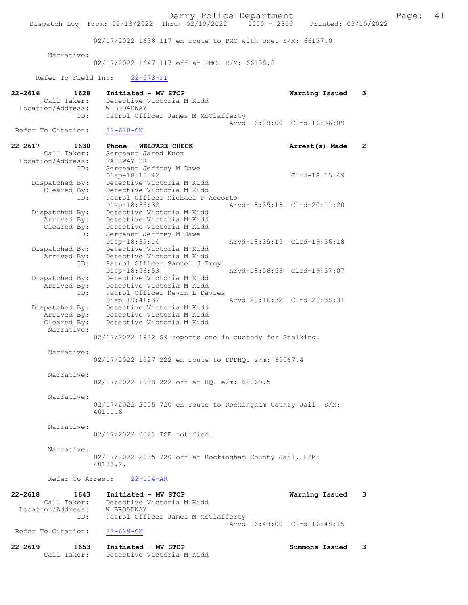02/17/2022 1638 117 en route to PMC with one. S/M: 66137.0

Narrative:

02/17/2022 1647 117 off at PMC. E/M: 66138.8

Refer To Field Int: 22-573-FI

| 22-2616<br>1628<br>Call Taker: | Initiated - MV STOP<br>Detective Victoria M Kidd                        | Warning Issued              | 3              |
|--------------------------------|-------------------------------------------------------------------------|-----------------------------|----------------|
| Location/Address:<br>ID:       | W BROADWAY<br>Patrol Officer James M McClafferty                        |                             |                |
|                                |                                                                         | Arvd-16:28:00 Clrd-16:36:09 |                |
| Refer To Citation:             | $22 - 628 - CN$                                                         |                             |                |
| 22-2617<br>1630<br>Call Taker: | Phone - WELFARE CHECK<br>Sergeant Jared Knox                            | Arrest(s) Made              | $\overline{2}$ |
| Location/Address:              | FAIRWAY DR                                                              |                             |                |
| ID:                            | Sergeant Jeffrey M Dawe                                                 |                             |                |
|                                | Disp-18:15:42                                                           | Clrd-18:15:49               |                |
| Dispatched By:<br>Cleared By:  | Detective Victoria M Kidd<br>Detective Victoria M Kidd                  |                             |                |
| ID:                            | Patrol Officer Michael P Accorto                                        |                             |                |
|                                | Disp-18:36:32                                                           | Arvd-18:39:18 Clrd-20:11:20 |                |
| Dispatched By:                 | Detective Victoria M Kidd                                               |                             |                |
| Arrived By:                    | Detective Victoria M Kidd                                               |                             |                |
| Cleared By:                    | Detective Victoria M Kidd                                               |                             |                |
| ID:                            | Sergeant Jeffrey M Dawe                                                 |                             |                |
| Dispatched By:                 | Disp-18:39:14<br>Detective Victoria M Kidd                              | Arvd-18:39:15 Clrd-19:36:18 |                |
| Arrived By:                    | Detective Victoria M Kidd                                               |                             |                |
| ID:                            | Patrol Officer Samuel J Troy                                            |                             |                |
|                                | Disp-18:56:53                                                           | Arvd-18:56:56 Clrd-19:37:07 |                |
| Dispatched By:                 | Detective Victoria M Kidd                                               |                             |                |
| Arrived By:                    | Detective Victoria M Kidd                                               |                             |                |
| ID:                            | Patrol Officer Kevin L Davies                                           |                             |                |
|                                | $Disp-19:41:37$                                                         | Arvd-20:16:32 Clrd-21:38:31 |                |
| Dispatched By:<br>Arrived By:  | Detective Victoria M Kidd<br>Detective Victoria M Kidd                  |                             |                |
| Cleared By:                    | Detective Victoria M Kidd                                               |                             |                |
| Narrative:                     |                                                                         |                             |                |
|                                | 02/17/2022 1922 S9 reports one in custody for Stalking.                 |                             |                |
| Narrative:                     |                                                                         |                             |                |
|                                | 02/17/2022 1927 222 en route to DPDHQ. s/m: 69067.4                     |                             |                |
|                                |                                                                         |                             |                |
| Narrative:                     |                                                                         |                             |                |
|                                | 02/17/2022 1933 222 off at HQ. e/m: 69069.5                             |                             |                |
|                                |                                                                         |                             |                |
| Narrative:                     |                                                                         |                             |                |
|                                | 02/17/2022 2005 720 en route to Rockingham County Jail. S/M:<br>40111.6 |                             |                |
|                                |                                                                         |                             |                |
| Narrative:                     |                                                                         |                             |                |
|                                | 02/17/2022 2021 ICE notified.                                           |                             |                |
|                                |                                                                         |                             |                |
| Narrative:                     |                                                                         |                             |                |
|                                | 02/17/2022 2035 720 off at Rockingham County Jail. E/M:                 |                             |                |
|                                | 40133.2.                                                                |                             |                |
| Refer To Arrest:               | $22 - 154 - AR$                                                         |                             |                |
| 22-2618<br>1643                | Initiated - MV STOP                                                     | Warning Issued              | 3              |
| Call Taker:                    | Detective Victoria M Kidd                                               |                             |                |
| Location/Address:              | W BROADWAY                                                              |                             |                |
| ID:                            | Patrol Officer James M McClafferty                                      |                             |                |
|                                |                                                                         | Arvd-16:43:00 Clrd-16:48:15 |                |
| Refer To Citation:             | $22 - 629 - CN$                                                         |                             |                |
| 22-2619<br>1653                | Initiated - MV STOP                                                     | Summons Issued              | 3              |
| Call Taker:                    | Detective Victoria M Kidd                                               |                             |                |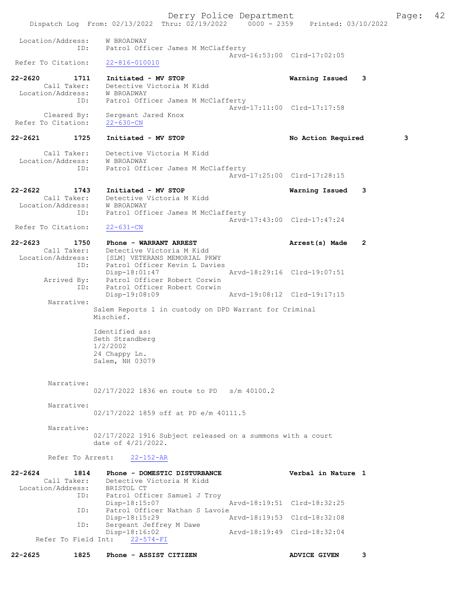Derry Police Department Fage: 42 Dispatch Log From: 02/13/2022 Thru: 02/19/2022 0000 - 2359 Printed: 03/10/2022 Location/Address: W BROADWAY ID: Patrol Officer James M McClafferty Arvd-16:53:00 Clrd-17:02:05<br>22-816-010010 Refer To Citation: 22-2620 1711 Initiated - MV STOP Warning Issued 3 Call Taker: Detective Victoria M Kidd Location/Address: W BROADWAY ID: Patrol Officer James M McClafferty Arvd-17:11:00 Clrd-17:17:58 Cleared By: Sergeant Jared Knox Refer To Citation: 22-630-CN 22-2621 1725 Initiated - MV STOP 128 No Action Required 3 Call Taker: Detective Victoria M Kidd Location/Address: W BROADWAY ID: Patrol Officer James M McClafferty Arvd-17:25:00 Clrd-17:28:15 22-2622 1743 Initiated - MV STOP Warning Issued 3 Call Taker: Detective Victoria M Kidd Location/Address: W BROADWAY ID: Patrol Officer James M McClafferty Arvd-17:43:00 Clrd-17:47:24 Refer To Citation: 22-631-CN 22-2623 1750 Phone - WARRANT ARREST Arrest(s) Made 2 Call Taker: Detective Victoria M Kidd Location/Address: [SLM] VETERANS MEMORIAL PKWY ID: Patrol Officer Kevin L Davies Disp-18:01:47 Arvd-18:29:16 Clrd-19:07:51 Arrived By: Patrol Officer Robert Corwin ID: Patrol Officer Robert Corwin Disp-19:08:09 Arvd-19:08:12 Clrd-19:17:15 Narrative: Salem Reports 1 in custody on DPD Warrant for Criminal Mischief. Identified as: Seth Strandberg 1/2/2002 24 Chappy Ln. Salem, NH 03079 Narrative: 02/17/2022 1836 en route to PD s/m 40100.2 Narrative: 02/17/2022 1859 off at PD e/m 40111.5 Narrative: 02/17/2022 1916 Subject released on a summons with a court date of 4/21/2022. Refer To Arrest: 22-152-AR 22-2624 1814 Phone - DOMESTIC DISTURBANCE Verbal in Nature 1 Call Taker: Detective Victoria M Kidd Location/Address:<br>ID: IIIIII<br>BRISTOL CT<br>Patrol Officer Samuel J Troy Disp-18:15:07 Arvd-18:19:51 Clrd-18:32:25<br>ID: Patrol Officer Nathan S Lavoie Patrol Officer Nathan S Lavoie<br>Disp-18:15:29 A Disp-18:15:29 Arvd-18:19:53 Clrd-18:32:08<br>TD: Sergeant Jeffrey M Dawe Disp Iorrocal<br>Sergeant Jeffrey M Dawe<br>Disp-18:16:02 Disp-18:16:02 Arvd-18:19:49 Clrd-18:32:04 Refer To Field Int: 22-574-FI

22-2625 1825 Phone - ASSIST CITIZEN ADVICE GIVEN 3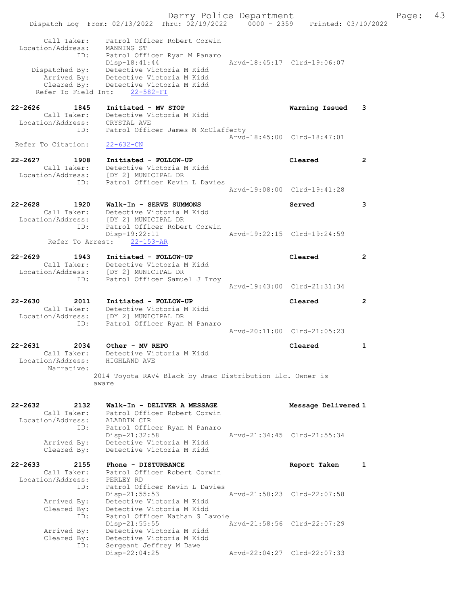Derry Police Department Fage: 43 Dispatch Log From: 02/13/2022 Thru: 02/19/2022 0000 - 2359 Printed: 03/10/2022 Call Taker: Patrol Officer Robert Corwin Location/Address: MANNING ST ID: Patrol Officer Ryan M Panaro Disp-18:41:44 Arvd-18:45:17 Clrd-19:06:07 Dispatched By: Detective Victoria M Kidd Arrived By: Detective Victoria M Kidd Cleared By: Detective Victoria M Kidd Refer To Field Int: 22-582-FI 22-2626 1845 Initiated - MV STOP Warning Issued 3 Call Taker: Detective Victoria M Kidd Location/Address: CRYSTAL AVE ID: Patrol Officer James M McClafferty Arvd-18:45:00 Clrd-18:47:01<br>22-632-CN Refer To Citation: 22-2627 1908 Initiated - FOLLOW-UP Cleared 2 Call Taker: Detective Victoria M Kidd Location/Address: [DY 2] MUNICIPAL DR ID: Patrol Officer Kevin L Davies Arvd-19:08:00 Clrd-19:41:28 22-2628 1920 Walk-In - SERVE SUMMONS Served 3 Call Taker: Detective Victoria M Kidd Location/Address: [DY 2] MUNICIPAL DR ID: Patrol Officer Robert Corwin Disp-19:22:11 Arvd-19:22:15 Clrd-19:24:59 Refer To Arrest: 22-153-AR 22-2629 1943 Initiated - FOLLOW-UP Cleared 2 Call Taker: Detective Victoria M Kidd Location/Address: [DY 2] MUNICIPAL DR ID: Patrol Officer Samuel J Troy Arvd-19:43:00 Clrd-21:31:34 22-2630 2011 Initiated - FOLLOW-UP Cleared 2 Call Taker: Detective Victoria M Kidd Location/Address: [DY 2] MUNICIPAL DR ID: Patrol Officer Ryan M Panaro Arvd-20:11:00 Clrd-21:05:23 22-2631 2034 Other - MV REPO Cleared 1 Call Taker: Detective Victoria M Kidd Location/Address: HIGHLAND AVE Narrative: 2014 Toyota RAV4 Black by Jmac Distribution Llc. Owner is aware 22-2632 2132 Walk-In - DELIVER A MESSAGE Message Delivered 1 Call Taker: Patrol Officer Robert Corwin Location/Address: ALADDIN CIR ID: Patrol Officer Ryan M Panaro Disp-21:32:58 Arvd-21:34:45 Clrd-21:55:34 Arrived By: Detective Victoria M Kidd Cleared By: Detective Victoria M Kidd 22-2633 2155 Phone - DISTURBANCE Report Taken 1 Call Taker: Patrol Officer Robert Corwin Location/Address: PERLEY RD ID: Patrol Officer Kevin L Davies Disp-21:55:53 Arvd-21:58:23 Clrd-22:07:58 Arrived By: Detective Victoria M Kidd Cleared By: Detective Victoria M Kidd ID: Patrol Officer Nathan S Lavoie Disp-21:55:55 Arvd-21:58:56 Clrd-22:07:29 Arrived By: Detective Victoria M Kidd Cleared By: Detective Victoria M Kidd ID: Sergeant Jeffrey M Dawe<br>Disp-22:04:25 Disp-22:04:25 Arvd-22:04:27 Clrd-22:07:33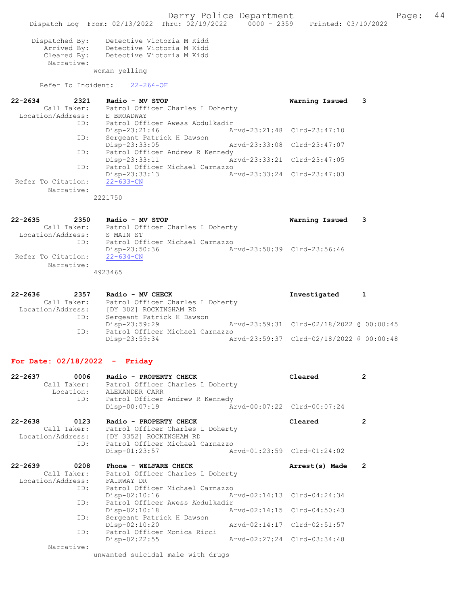|                                                                            | Dispatch Log From: 02/13/2022 Thru: 02/19/2022 0000 - 2359 Printed: 03/10/2022                                  | Derry Police Department     |                                          | Page:                | 44 |
|----------------------------------------------------------------------------|-----------------------------------------------------------------------------------------------------------------|-----------------------------|------------------------------------------|----------------------|----|
| Dispatched By:<br>Cleared By:<br>Narrative:                                | Detective Victoria M Kidd<br>Arrived By: Detective Victoria M Kidd<br>Detective Victoria M Kidd                 |                             |                                          |                      |    |
|                                                                            | woman yelling                                                                                                   |                             |                                          |                      |    |
| Refer To Incident:                                                         | $22 - 264 - OF$                                                                                                 |                             |                                          |                      |    |
| $22 - 2634$<br>2321                                                        | Radio - MV STOP<br>Call Taker: Patrol Officer Charles L Doherty                                                 |                             | Warning Issued                           | 3                    |    |
|                                                                            | Location/Address: E BROADWAY<br>ID: Patrol Officer Awess Abdulkadir<br>$Disp-23:21:46$                          | Arvd-23:21:48 Clrd-23:47:10 |                                          |                      |    |
| ID:                                                                        | Sergeant Patrick H Dawson<br>Disp-23:33:05                                                                      | Arvd-23:33:08 Clrd-23:47:07 |                                          |                      |    |
| ID:                                                                        | Patrol Officer Andrew R Kennedy<br>Disp-23:33:11                                                                | Arvd-23:33:21 Clrd-23:47:05 |                                          |                      |    |
| ID:                                                                        | Patrol Officer Michael Carnazzo<br>Disp-23:33:13                                                                | Arvd-23:33:24 Clrd-23:47:03 |                                          |                      |    |
| Refer To Citation:<br>Narrative:                                           | $22 - 633 - CN$<br>2221750                                                                                      |                             |                                          |                      |    |
|                                                                            |                                                                                                                 |                             |                                          |                      |    |
| 22-2635                                                                    | 2350 Radio - MV STOP<br>Call Taker: Patrol Officer Charles L Doherty                                            |                             | Warning Issued                           | 3                    |    |
| Location/Address: S MAIN ST<br>ID: Patrol Of:<br>ID:<br>Refer To Citation: | Patrol Officer Michael Carnazzo<br>Disp-23:50:36<br>$22 - 634 - CN$                                             | Arvd-23:50:39 Clrd-23:56:46 |                                          |                      |    |
| Narrative:                                                                 | 4923465                                                                                                         |                             |                                          |                      |    |
| 22-2636<br>2357                                                            | Radio - MV CHECK<br>Call Taker: Patrol Officer Charles L Doherty<br>Location/Address: [DY 302] ROCKINGHAM RD    |                             | Investigated                             | 1                    |    |
| ID:                                                                        | Sergeant Patrick H Dawson<br>Disp-23:59:29                                                                      |                             | Arvd-23:59:31 Clrd-02/18/2022 @ 00:00:45 |                      |    |
| ID:                                                                        | Patrol Officer Michael Carnazzo<br>Disp-23:59:34                                                                |                             | Arvd-23:59:37 Clrd-02/18/2022 @ 00:00:48 |                      |    |
| For Date: $02/18/2022 -$ Friday                                            |                                                                                                                 |                             |                                          |                      |    |
| 0006<br>22-2637<br>Call Taker:<br>Location:<br>ID:                         | Radio - PROPERTY CHECK<br>Patrol Officer Charles L Doherty<br>ALEXANDER CARR<br>Patrol Officer Andrew R Kennedy |                             | Cleared                                  | $\overline{2}$       |    |
|                                                                            | $Disp-00:07:19$                                                                                                 |                             | Arvd-00:07:22 Clrd-00:07:24              |                      |    |
| 22-2638<br>0123<br>Call Taker:<br>Location/Address:                        | Radio - PROPERTY CHECK<br>Patrol Officer Charles L Doherty<br>[DY 3352] ROCKINGHAM RD                           |                             | Cleared                                  | $\mathbf{2}^{\circ}$ |    |
| ID:                                                                        | Patrol Officer Michael Carnazzo<br>$Disp-01:23:57$                                                              | Arvd-01:23:59 Clrd-01:24:02 |                                          |                      |    |
| 22-2639<br>0208<br>Call Taker:<br>Location/Address:                        | Phone - WELFARE CHECK<br>Patrol Officer Charles L Doherty<br>FAIRWAY DR                                         |                             | Arrest(s) Made                           | $\overline{2}$       |    |
| ID:<br>ID:                                                                 | Patrol Officer Michael Carnazzo<br>Disp-02:10:16<br>Patrol Officer Awess Abdulkadir                             | Arvd-02:14:13 Clrd-04:24:34 |                                          |                      |    |
| ID:                                                                        | $Disp-02:10:18$<br>Sergeant Patrick H Dawson                                                                    | Arvd-02:14:15 Clrd-04:50:43 |                                          |                      |    |
|                                                                            | $Disp-02:10:20$<br>Patrol Officer Monica Ricci                                                                  | Arvd-02:14:17 Clrd-02:51:57 |                                          |                      |    |
| ID:                                                                        | $Disp-02:22:55$                                                                                                 | Arvd-02:27:24 Clrd-03:34:48 |                                          |                      |    |
| Narrative:                                                                 | unwanted suicidal male with drugs                                                                               |                             |                                          |                      |    |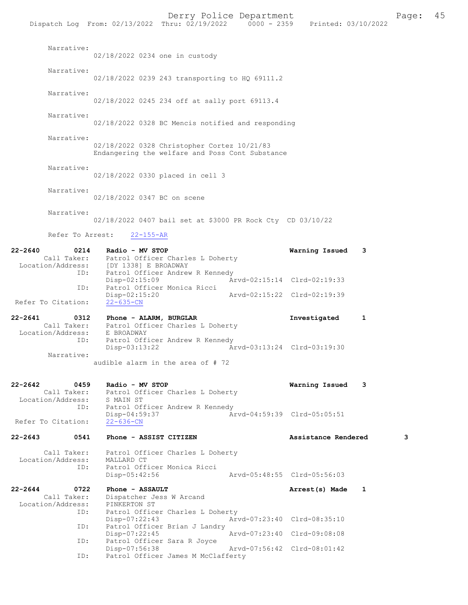| Narrative:                          | 02/18/2022 0234 one in custody                                                                 |                             |                             |              |   |
|-------------------------------------|------------------------------------------------------------------------------------------------|-----------------------------|-----------------------------|--------------|---|
| Narrative:                          | 02/18/2022 0239 243 transporting to HQ 69111.2                                                 |                             |                             |              |   |
|                                     |                                                                                                |                             |                             |              |   |
| Narrative:                          | 02/18/2022 0245 234 off at sally port 69113.4                                                  |                             |                             |              |   |
| Narrative:                          | 02/18/2022 0328 BC Mencis notified and responding                                              |                             |                             |              |   |
| Narrative:                          | 02/18/2022 0328 Christopher Cortez 10/21/83<br>Endangering the welfare and Poss Cont Substance |                             |                             |              |   |
| Narrative:                          | 02/18/2022 0330 placed in cell 3                                                               |                             |                             |              |   |
| Narrative:                          | 02/18/2022 0347 BC on scene                                                                    |                             |                             |              |   |
| Narrative:                          | 02/18/2022 0407 bail set at \$3000 PR Rock Cty CD 03/10/22                                     |                             |                             |              |   |
|                                     | Refer To Arrest: 22-155-AR                                                                     |                             |                             |              |   |
| $22 - 2640$                         | 0214 Radio - MV STOP                                                                           |                             | Warning Issued              | 3            |   |
|                                     | Call Taker: Patrol Officer Charles L Doherty<br>Location/Address: [DY 1338] E BROADWAY         |                             |                             |              |   |
| ID:                                 | Patrol Officer Andrew R Kennedy<br>$Disp-02:15:09$                                             | Arvd-02:15:14 Clrd-02:19:33 |                             |              |   |
| ID:                                 | Patrol Officer Monica Ricci<br>Disp-02:15:20                                                   | Arvd-02:15:22 Clrd-02:19:39 |                             |              |   |
| Refer To Citation:                  | $22 - 635 - CN$                                                                                |                             |                             |              |   |
| 22-2641<br>0312                     | Phone - ALARM, BURGLAR<br>Call Taker: Patrol Officer Charles L Doherty                         |                             | Investigated                | $\mathbf{1}$ |   |
| Location/Address: E BROADWAY<br>ID: | Patrol Officer Andrew R Kennedy<br>Disp-03:13:22                                               | Arvd-03:13:24 Clrd-03:19:30 |                             |              |   |
| Narrative:                          | audible alarm in the area of $# 72$                                                            |                             |                             |              |   |
| $22 - 2642$<br>0459                 | Radio - MV STOP                                                                                |                             | Warning Issued              | 3            |   |
| Call Taker:<br>Location/Address:    | Patrol Officer Charles L Doherty<br>S MAIN ST                                                  |                             |                             |              |   |
| ID:<br>Refer To Citation:           | Patrol Officer Andrew R Kennedy<br>Disp-04:59:37<br>$22 - 636 - CN$                            |                             | Arvd-04:59:39 Clrd-05:05:51 |              |   |
| $22 - 2643$<br>0541                 | Phone - ASSIST CITIZEN                                                                         |                             | Assistance Rendered         |              | 3 |
| Call Taker:<br>Location/Address:    | Patrol Officer Charles L Doherty<br>MALLARD CT                                                 |                             |                             |              |   |
| ID:                                 | Patrol Officer Monica Ricci<br>Disp-05:42:56                                                   |                             | Arvd-05:48:55 Clrd-05:56:03 |              |   |
| 0722<br>22-2644                     | Phone - ASSAULT                                                                                |                             | Arrest(s) Made              | 1            |   |
| Call Taker:<br>Location/Address:    | Dispatcher Jess W Arcand<br>PINKERTON ST                                                       |                             |                             |              |   |
| ID:                                 | Patrol Officer Charles L Doherty                                                               |                             |                             |              |   |
| ID:                                 | Disp-07:22:43<br>Patrol Officer Brian J Landry                                                 |                             | Arvd-07:23:40 Clrd-08:35:10 |              |   |
| ID:                                 | Disp-07:22:45<br>Patrol Officer Sara R Joyce                                                   |                             | Arvd-07:23:40 Clrd-09:08:08 |              |   |
| ID:                                 | Disp-07:56:38<br>Patrol Officer James M McClafferty                                            |                             | Arvd-07:56:42 Clrd-08:01:42 |              |   |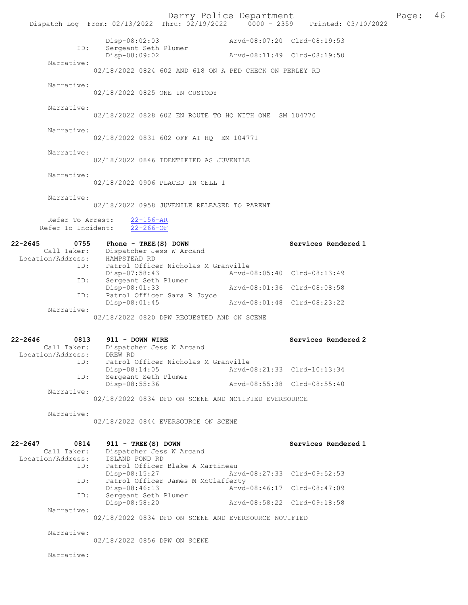|                                          | Dispatch Log From: 02/13/2022 Thru: 02/19/2022 0000 - 2359 Printed: 03/10/2022 | Derry Police Department             |                             | Page: | 46 |
|------------------------------------------|--------------------------------------------------------------------------------|-------------------------------------|-----------------------------|-------|----|
| ID:                                      | Disp-08:02:03<br>Sergeant Seth Plumer                                          |                                     | Arvd-08:07:20 Clrd-08:19:53 |       |    |
|                                          | Disp-08:09:02                                                                  |                                     | Arvd-08:11:49 Clrd-08:19:50 |       |    |
| Narrative:                               | 02/18/2022 0824 602 AND 618 ON A PED CHECK ON PERLEY RD                        |                                     |                             |       |    |
| Narrative:                               | 02/18/2022 0825 ONE IN CUSTODY                                                 |                                     |                             |       |    |
| Narrative:                               | 02/18/2022 0828 602 EN ROUTE TO HQ WITH ONE SM 104770                          |                                     |                             |       |    |
| Narrative:                               | 02/18/2022 0831 602 OFF AT HQ EM 104771                                        |                                     |                             |       |    |
| Narrative:                               | 02/18/2022 0846 IDENTIFIED AS JUVENILE                                         |                                     |                             |       |    |
| Narrative:                               | 02/18/2022 0906 PLACED IN CELL 1                                               |                                     |                             |       |    |
| Narrative:                               | 02/18/2022 0958 JUVENILE RELEASED TO PARENT                                    |                                     |                             |       |    |
| Refer To Arrest:<br>Refer To Incident:   | $22 - 156 - AR$<br>$22 - 266 - OF$                                             |                                     |                             |       |    |
| 22-2645                                  | 0755 Phone - TREE (S) DOWN                                                     |                                     | Services Rendered 1         |       |    |
| Location/Address:                        | Call Taker: Dispatcher Jess W Arcand<br>HAMPSTEAD RD                           |                                     |                             |       |    |
| ID:                                      | Disp-07:58:43                                                                  | Patrol Officer Nicholas M Granville | Arvd-08:05:40 Clrd-08:13:49 |       |    |
| ID:                                      | Sergeant Seth Plumer<br>Disp-08:01:33                                          |                                     | Arvd-08:01:36 Clrd-08:08:58 |       |    |
| ID:                                      | Patrol Officer Sara R Joyce                                                    |                                     |                             |       |    |
| Narrative:                               | Disp-08:01:45                                                                  |                                     | Arvd-08:01:48 Clrd-08:23:22 |       |    |
|                                          | 02/18/2022 0820 DPW REQUESTED AND ON SCENE                                     |                                     |                             |       |    |
| 22-2646                                  | 0813 911 - DOWN WIRE                                                           |                                     | Services Rendered 2         |       |    |
| Call Taker:<br>Location/Address: DREW RD | Dispatcher Jess W Arcand                                                       |                                     |                             |       |    |
| ID:                                      |                                                                                | Patrol Officer Nicholas M Granville |                             |       |    |
| ID:                                      | $Disp-08:14:05$<br>Sergeant Seth Plumer                                        |                                     | Arvd-08:21:33 Clrd-10:13:34 |       |    |
| Narrative:                               | Disp-08:55:36                                                                  |                                     | Aryd-08:55:38 Clrd-08:55:40 |       |    |
|                                          | 02/18/2022 0834 DFD ON SCENE AND NOTIFIED EVERSOURCE                           |                                     |                             |       |    |
| Narrative:                               | 02/18/2022 0844 EVERSOURCE ON SCENE                                            |                                     |                             |       |    |
| 22-2647<br>0814<br>Call Taker:           | 911 - TREE (S) DOWN<br>Dispatcher Jess W Arcand                                |                                     | Services Rendered 1         |       |    |
| Location/Address:                        | ISLAND POND RD                                                                 |                                     |                             |       |    |
| ID:                                      | Disp-08:15:27                                                                  | Patrol Officer Blake A Martineau    | Arvd-08:27:33 Clrd-09:52:53 |       |    |
| ID:                                      | Disp-08:46:13                                                                  | Patrol Officer James M McClafferty  | Arvd-08:46:17 Clrd-08:47:09 |       |    |
| ID:                                      | Sergeant Seth Plumer<br>Disp-08:58:20                                          |                                     | Arvd-08:58:22 Clrd-09:18:58 |       |    |
| Narrative:                               | 02/18/2022 0834 DFD ON SCENE AND EVERSOURCE NOTIFIED                           |                                     |                             |       |    |
| Narrative:                               | 02/18/2022 0856 DPW ON SCENE                                                   |                                     |                             |       |    |
| Narrative:                               |                                                                                |                                     |                             |       |    |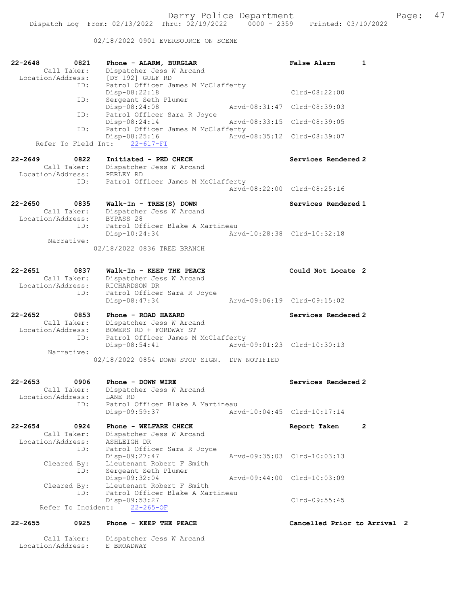02/18/2022 0901 EVERSOURCE ON SCENE

| 22-2648<br>0821<br>Call Taker:                     | Phone - ALARM, BURGLAR<br>Dispatcher Jess W Arcand<br>Location/Address: [DY 192] GULF RD | <b>False Alarm</b>           | 1              |
|----------------------------------------------------|------------------------------------------------------------------------------------------|------------------------------|----------------|
| ID:<br>ID:                                         | Patrol Officer James M McClafferty<br>$Disp-08:22:18$<br>Sergeant Seth Plumer            | $Clrd-08:22:00$              |                |
|                                                    | Disp-08:24:08                                                                            | Arvd-08:31:47 Clrd-08:39:03  |                |
| ID:                                                | Patrol Officer Sara R Joyce<br>$Disp-08:24:14$                                           | Arvd-08:33:15 Clrd-08:39:05  |                |
| ID:<br>Refer To Field Int:                         | Patrol Officer James M McClafferty<br>Disp-08:25:16<br>$22 - 617 - FI$                   | Arvd-08:35:12 Clrd-08:39:07  |                |
|                                                    |                                                                                          |                              |                |
| $22 - 2649$<br>0822<br>Location/Address: PERLEY RD | Initiated - PED CHECK<br>Call Taker: Dispatcher Jess W Arcand                            | Services Rendered 2          |                |
| ID:                                                | Patrol Officer James M McClafferty                                                       |                              |                |
|                                                    |                                                                                          | Arvd-08:22:00 Clrd-08:25:16  |                |
| $22 - 2650$<br>0835                                | $Walk-In - TREE(S)$ DOWN                                                                 | Services Rendered 1          |                |
| Call Taker:<br>Location/Address: BYPASS 28         | Dispatcher Jess W Arcand                                                                 |                              |                |
| ID:                                                | Patrol Officer Blake A Martineau                                                         |                              |                |
| Narrative:                                         | Disp-10:24:34                                                                            | Arvd-10:28:38 Clrd-10:32:18  |                |
|                                                    | 02/18/2022 0836 TREE BRANCH                                                              |                              |                |
| 22-2651<br>0837                                    | Walk-In - KEEP THE PEACE                                                                 | Could Not Locate 2           |                |
|                                                    | Call Taker: Dispatcher Jess W Arcand<br>Location/Address: RICHARDSON DR                  |                              |                |
| ID:                                                | Patrol Officer Sara R Joyce<br>Disp-08:47:34                                             | Arvd-09:06:19 Clrd-09:15:02  |                |
| 22-2652<br>0853                                    | Phone - ROAD HAZARD                                                                      | Services Rendered 2          |                |
| Call Taker:                                        | Dispatcher Jess W Arcand                                                                 |                              |                |
| ID:                                                | Location/Address: BOWERS RD + FORDWAY ST<br>Patrol Officer James M McClafferty           |                              |                |
|                                                    | Disp-08:54:41                                                                            | Arvd-09:01:23 Clrd-10:30:13  |                |
| Narrative:                                         |                                                                                          |                              |                |
|                                                    | 02/18/2022 0854 DOWN STOP SIGN. DPW NOTIFIED                                             |                              |                |
| 22-2653<br>0906                                    | Phone - DOWN WIRE                                                                        | Services Rendered 2          |                |
| Call Taker:<br>Location/Address:                   | Dispatcher Jess W Arcand<br>LANE RD                                                      |                              |                |
| ID:                                                | Patrol Officer Blake A Martineau                                                         |                              |                |
|                                                    | Disp-09:59:37                                                                            | Arvd-10:04:45 Clrd-10:17:14  |                |
| 22-2654<br>0924                                    | Phone - WELFARE CHECK                                                                    | Report Taken                 | $\overline{2}$ |
| Call Taker:                                        | Dispatcher Jess W Arcand                                                                 |                              |                |
| Location/Address:<br>ID:                           | ASHLEIGH DR<br>Patrol Officer Sara R Joyce                                               |                              |                |
|                                                    | Disp-09:27:47                                                                            | Arvd-09:35:03 Clrd-10:03:13  |                |
| Cleared By:<br>ID:                                 | Lieutenant Robert F Smith<br>Sergeant Seth Plumer                                        |                              |                |
|                                                    | Disp-09:32:04                                                                            | Arvd-09:44:00 Clrd-10:03:09  |                |
| Cleared By:<br>ID:                                 | Lieutenant Robert F Smith<br>Patrol Officer Blake A Martineau                            |                              |                |
|                                                    | Disp-09:53:27                                                                            | $Clrd-09:55:45$              |                |
| Refer To Incident:                                 | $22 - 265 - OF$                                                                          |                              |                |
| $22 - 2655$<br>0925                                | Phone - KEEP THE PEACE                                                                   | Cancelled Prior to Arrival 2 |                |

 Call Taker: Dispatcher Jess W Arcand Location/Address: E BROADWAY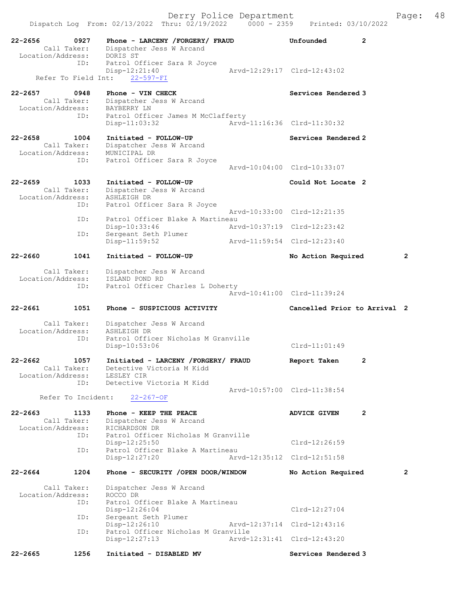| $22 - 2656$ | 0927<br>Call Taker:<br>Location/Address: | Phone - LARCENY /FORGERY/ FRAUD<br>Dispatcher Jess W Arcand<br>DORIS ST                         | Unfounded                                          | $\overline{2}$ |                |
|-------------|------------------------------------------|-------------------------------------------------------------------------------------------------|----------------------------------------------------|----------------|----------------|
|             | ID:<br>Refer To Field Int:               | Patrol Officer Sara R Joyce<br>$Disp-12:21:40$<br>$22 - 597 - FI$                               | Arvd-12:29:17 Clrd-12:43:02                        |                |                |
| $22 - 2657$ | 0948<br>Call Taker:<br>Location/Address: | Phone - VIN CHECK<br>Dispatcher Jess W Arcand<br>BAYBERRY LN                                    | Services Rendered 3                                |                |                |
|             | ID:                                      | Patrol Officer James M McClafferty<br>Disp-11:03:32                                             | Arvd-11:16:36 Clrd-11:30:32                        |                |                |
| $22 - 2658$ | 1004<br>Call Taker:<br>Location/Address: | Initiated - FOLLOW-UP<br>Dispatcher Jess W Arcand<br>MUNICIPAL DR                               | Services Rendered 2                                |                |                |
|             | ID:                                      | Patrol Officer Sara R Joyce                                                                     | Arvd-10:04:00 Clrd-10:33:07                        |                |                |
| $22 - 2659$ | 1033<br>Call Taker:<br>Location/Address: | Initiated - FOLLOW-UP<br>Dispatcher Jess W Arcand<br>ASHLEIGH DR                                | Could Not Locate 2                                 |                |                |
|             | ID:                                      | Patrol Officer Sara R Joyce                                                                     | Arvd-10:33:00 Clrd-12:21:35                        |                |                |
|             | ID:                                      | Patrol Officer Blake A Martineau<br>Disp-10:33:46                                               | Arvd-10:37:19 Clrd-12:23:42                        |                |                |
|             | ID:                                      | Sergeant Seth Plumer<br>Disp-11:59:52                                                           | Arvd-11:59:54 Clrd-12:23:40                        |                |                |
| 22-2660     | 1041                                     | Initiated - FOLLOW-UP                                                                           | No Action Required                                 |                | $\mathbf{2}$   |
|             | Call Taker:<br>Location/Address:<br>ID:  | Dispatcher Jess W Arcand<br>ISLAND POND RD<br>Patrol Officer Charles L Doherty                  |                                                    |                |                |
|             |                                          |                                                                                                 | Arvd-10:41:00 Clrd-11:39:24                        |                |                |
| 22-2661     | 1051                                     | Phone - SUSPICIOUS ACTIVITY                                                                     | Cancelled Prior to Arrival 2                       |                |                |
|             | Call Taker:<br>Location/Address:<br>ID:  | Dispatcher Jess W Arcand<br>ASHLEIGH DR<br>Patrol Officer Nicholas M Granville<br>Disp-10:53:06 | $Clrd-11:01:49$                                    |                |                |
| $22 - 2662$ | 1057                                     | Initiated - LARCENY /FORGERY/ FRAUD                                                             | Report Taken                                       | $\overline{2}$ |                |
|             | Call Taker:<br>ID:                       | Detective Victoria M Kidd<br>Location/Address: LESLEY CIR<br>Detective Victoria M Kidd          |                                                    |                |                |
|             | Refer To Incident:                       | $22 - 267 - OF$                                                                                 | Arvd-10:57:00 Clrd-11:38:54                        |                |                |
| $22 - 2663$ | 1133<br>Call Taker:<br>Location/Address: | Phone - KEEP THE PEACE<br>Dispatcher Jess W Arcand<br>RICHARDSON DR                             | <b>ADVICE GIVEN</b>                                | $\overline{2}$ |                |
|             | ID:                                      | Patrol Officer Nicholas M Granville<br>Disp-12:25:50                                            | $Clrd-12:26:59$                                    |                |                |
|             | ID:                                      | Patrol Officer Blake A Martineau<br>Disp-12:27:20                                               | Arvd-12:35:12 Clrd-12:51:58                        |                |                |
| 22-2664     | 1204                                     | Phone - SECURITY /OPEN DOOR/WINDOW                                                              | No Action Required                                 |                | $\overline{2}$ |
|             | Call Taker:<br>Location/Address:<br>ID:  | Dispatcher Jess W Arcand<br>ROCCO DR<br>Patrol Officer Blake A Martineau                        |                                                    |                |                |
|             | ID:                                      | $Disp-12:26:04$<br>Sergeant Seth Plumer                                                         | $Clrd-12:27:04$                                    |                |                |
|             | ID:                                      | Disp-12:26:10<br>Patrol Officer Nicholas M Granville                                            | Arvd-12:37:14 Clrd-12:43:16                        |                |                |
| $22 - 2665$ | 1256                                     | Disp-12:27:13<br>Initiated - DISABLED MV                                                        | Arvd-12:31:41 Clrd-12:43:20<br>Services Rendered 3 |                |                |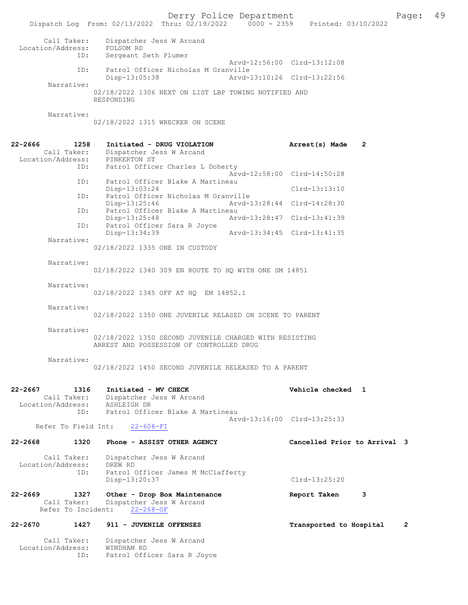Derry Police Department The Page: 49 Dispatch Log From: 02/13/2022 Thru: 02/19/2022 0000 - 2359 Printed: 03/10/2022 Call Taker: Dispatcher Jess W Arcand Location/Address: FOLSOM RD ID: Sergeant Seth Plumer Arvd-12:56:00 Clrd-13:12:08 ID: Patrol Officer Nicholas M Granville<br>Disp-13:05:38 Arvd-1 Disp-13:05:38 Arvd-13:10:26 Clrd-13:22:56 Narrative: 02/18/2022 1306 NEXT ON LIST LBP TOWING NOTIFIED AND RESPONDING Narrative: 02/18/2022 1315 WRECKER ON SCENE 22-2666 1258 Initiated - DRUG VIOLATION Arrest(s) Made 2 Call Taker: Dispatcher Jess W Arcand Location/Address: PINKERTON ST ID: Patrol Officer Charles L Doherty Arvd-12:58:00 Clrd-14:50:28 ID: Patrol Officer Blake A Martineau Disp-13:03:24 Clrd-13:13:10 ID: Patrol Officer Nicholas M Granville Disp-13:25:46 Arvd-13:28:44 Clrd-14:28:30 ID: Patrol Officer Blake A Martineau Disp-13:25:48 Arvd-13:28:47 Clrd-13:41:39 ID: Patrol Officer Sara R Joyce Disp-13:34:39 Arvd-13:34:45 Clrd-13:41:35 Narrative: 02/18/2022 1335 ONE IN CUSTODY Narrative: 02/18/2022 1340 309 EN ROUTE TO HQ WITH ONE SM 14851 Narrative: 02/18/2022 1345 OFF AT HQ EM 14852.1 Narrative: 02/18/2022 1350 ONE JUVENILE RELASED ON SCENE TO PARENT Narrative: 02/18/2022 1350 SECOND JUVENILE CHARGED WITH RESISTING ARREST AND POSSESSION OF CONTROLLED DRUG Narrative: 02/18/2022 1450 SECOND JUVENILE RELEASED TO A PARENT 22-2667 1316 Initiated - MV CHECK Vehicle checked 1 Call Taker: Dispatcher Jess W Arcand Location/Address: ASHLEIGH DR<br>ID: Patrol Offic Patrol Officer Blake A Martineau Arvd-13:16:00 Clrd-13:25:33<br>22-608-FI Refer To Field Int: 22-2668 1320 Phone - ASSIST OTHER AGENCY Cancelled Prior to Arrival 3 Call Taker: Dispatcher Jess W Arcand<br>.on/Address: DREW RD Location/Address:<br>ID: Patrol Officer James M McClafferty Disp-13:20:37 Clrd-13:25:20 22-2669 1327 Other - Drop Box Maintenance 1988 Report Taken 3 Call Taker: Dispatcher Jess W Arcand Refer To Incident: 22-268-OF 22-2670 1427 911 - JUVENILE OFFENSES TRANSPORTED to Hospital 2 Call Taker: Dispatcher Jess W Arcand Location/Address: WINDHAM RD

ID: Patrol Officer Sara R Joyce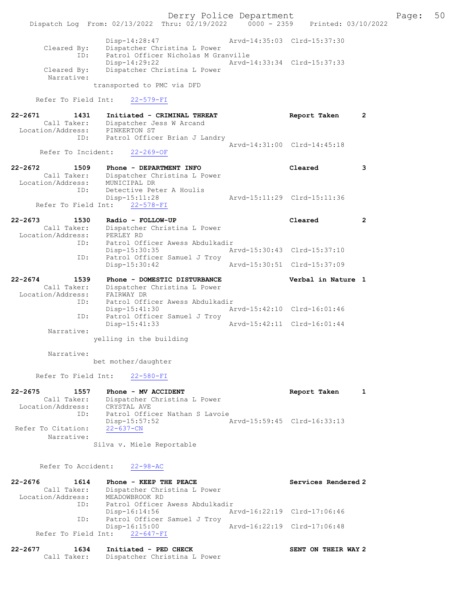Derry Police Department The Page: 50 Dispatch Log From: 02/13/2022 Thru: 02/19/2022 0000 - 2359 Printed: 03/10/2022 Disp-14:28:47 Arvd-14:35:03 Clrd-15:37:30 Cleared By: Dispatcher Christina L Power ID: Patrol Officer Nicholas M Granville Disp-14:29:22 Arvd-14:33:34 Clrd-15:37:33 Cleared By: Dispatcher Christina L Power Narrative: transported to PMC via DFD Refer To Field Int: 22-579-FI 22-2671 1431 Initiated - CRIMINAL THREAT CONFINERT Report Taken 2 Call Taker: Dispatcher Jess W Arcand Location/Address: PINKERTON ST<br>ID: Patrol Office Patrol Officer Brian J Landry Arvd-14:31:00 Clrd-14:45:18 Refer To Incident: 22-269-OF 22-2672 1509 Phone - DEPARTMENT INFO Cleared 3 Call Taker: Dispatcher Christina L Power Location/Address: MUNICIPAL DR ID: Detective Peter A Houlis Disp-15:11:28 Arvd-15:11:29 Clrd-15:11:36 Refer To Field Int: 22-578-FI 22-2673 1530 Radio - FOLLOW-UP Cleared 2 Call Taker: Dispatcher Christina L Power Location/Address: PERLEY RD ID: Patrol Officer Awess Abdulkadir<br>Disp-15:30:35 Ar Disp-15:30:35 Arvd-15:30:43 Clrd-15:37:10 ID: Patrol Officer Samuel J Troy Disp-15:30:42 Arvd-15:30:51 Clrd-15:37:09 22-2674 1539 Phone - DOMESTIC DISTURBANCE Verbal in Nature 1 Call Taker: Dispatcher Christina L Power Location/Address: FAIRWAY DR ID: Patrol Officer Awess Abdulkadir Disp-15:41:30 Arvd-15:42:10 Clrd-16:01:46 ID: Patrol Officer Samuel J Troy Arvd-15:42:11 Clrd-16:01:44 Narrative: yelling in the building Narrative: bet mother/daughter Refer To Field Int: 22-580-FI 22-2675 1557 Phone - MV ACCIDENT Report Taken 1 Call Taker: Dispatcher Christina L Power Location/Address: CRYSTAL AVE ID: Patrol Officer Nathan S Lavoie Disp-15:57:52 Arvd-15:59:45 Clrd-16:33:13 Refer To Citation: Narrative: Silva v. Miele Reportable Refer To Accident: 22-98-AC

22-2676 1614 Phone - KEEP THE PEACE No. 22-2676 Services Rendered 2 Call Taker: Dispatcher Christina L Power Location/Address: MEADOWBROOK RD<br>TD: Patrol Officer Patrol Officer Awess Abdulkadir<br>Disp-16:14:56 Ar Disp-16:14:56 Arvd-16:22:19 Clrd-17:06:46 ID: Patrol Officer Samuel J Troy Disp-16:15:00 Arvd-16:22:19 Clrd-17:06:48 Refer To Field Int: 22-647-FI

| 22-2677 | 1634 | Initiated - PED CHECK                    | SENT ON THEIR WAY 2 |  |  |
|---------|------|------------------------------------------|---------------------|--|--|
|         |      | Call Taker: Dispatcher Christina L Power |                     |  |  |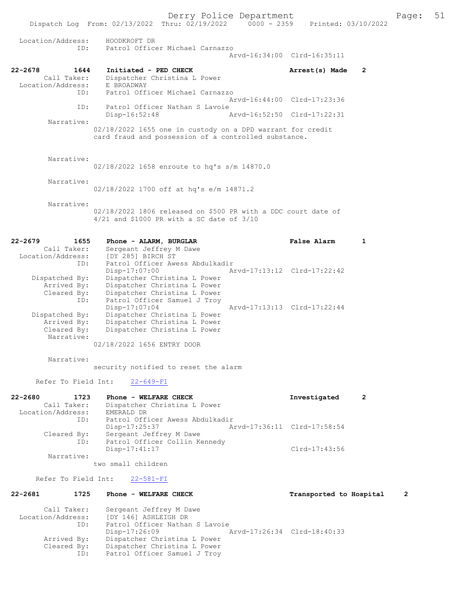Derry Police Department The Page: 51 Dispatch Log From: 02/13/2022 Thru: 02/19/2022 0000 - 2359 Printed: 03/10/2022 Location/Address: HOODKROFT DR ID: Patrol Officer Michael Carnazzo Arvd-16:34:00 Clrd-16:35:11 22-2678 1644 Initiated - PED CHECK Arrest(s) Made 2 Call Taker: Dispatcher Christina L Power<br>ion/Address: E BROADWAY Location/Address:<br>TD: Patrol Officer Michael Carnazzo Arvd-16:44:00 Clrd-17:23:36 ID: Patrol Officer Nathan S Lavoie Disp-16:52:48 Arvd-16:52:50 Clrd-17:22:31 Narrative: 02/18/2022 1655 one in custody on a DPD warrant for credit card fraud and possession of a controlled substance. Narrative: 02/18/2022 1658 enroute to hq's s/m 14870.0 Narrative: 02/18/2022 1700 off at hq's e/m 14871.2 Narrative: 02/18/2022 1806 released on \$500 PR with a DDC court date of 4/21 and \$1000 PR with a SC date of 3/10 22-2679 1655 Phone - ALARM, BURGLAR False Alarm 1 Call Taker: Sergeant Jeffrey M Dawe Location/Address: [DY 285] BIRCH ST ID: Patrol Officer Awess Abdulkadir<br>Disp-17:07:00 Mrvd-17:13:12 Clrd-17:22:42 Disp-17:07:00 Arvd-17:13:12 Clrd-17:22:42 Dispatched By: Dispatcher Christina L Power Arrived By: Dispatcher Christina L Power Cleared By: Dispatcher Christina L Power ID: Patrol Officer Samuel J Troy Disp-17:07:04 Arvd-17:13:13 Clrd-17:22:44 Dispatched By: Dispatcher Christina L Power Arrived By: Dispatcher Christina L Power Cleared By: Dispatcher Christina L Power Narrative: 02/18/2022 1656 ENTRY DOOR Narrative: security notified to reset the alarm Refer To Field Int: 22-649-FI 22-2680 1723 Phone - WELFARE CHECK Investigated 2 Call Taker: Dispatcher Christina L Power Location/Address: EMERALD DR<br>ID: Patrol Offi Patrol Officer Awess Abdulkadir<br>Disp-17:25:37 A Disp-17:25:37 Arvd-17:36:11 Clrd-17:58:54 Cleared By: Sergeant Jeffrey M Dawe ID: Patrol Officer Collin Kennedy Disp-17:41:17 Clrd-17:43:56 Narrative: two small children Refer To Field Int: 22-581-FI 22-2681 1725 Phone - WELFARE CHECK 12 Transported to Hospital 2 Call Taker: Sergeant Jeffrey M Dawe Location/Address: [DY 146] ASHLEIGH DR<br>ID: Patrol Officer Nathan Patrol Officer Nathan S Lavoie<br>Disp-17:26:09 1 Disp-17:26:09 Arvd-17:26:34 Clrd-18:40:33<br>Arrived By: Dispatcher Christina L Power

Dispatcher Christina L Power

ID: Patrol Officer Samuel J Troy

Cleared By: Dispatcher Christina L Power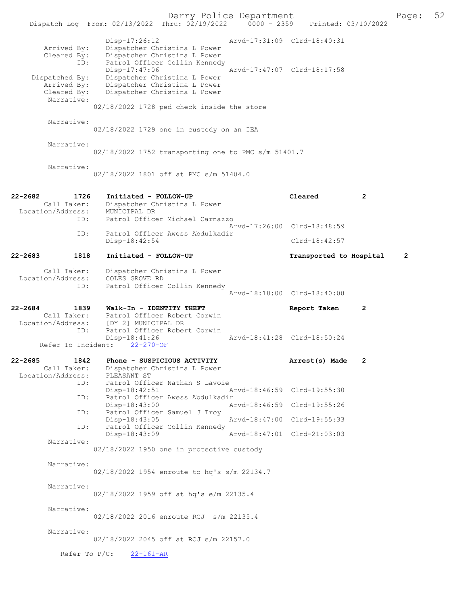|                                              | Dispatch Log From: 02/13/2022 Thru: 02/19/2022 0000 - 2359 Printed: 03/10/2022 | Derry Police Department                                                                       |                             |                             |                | Page:          | 52 |
|----------------------------------------------|--------------------------------------------------------------------------------|-----------------------------------------------------------------------------------------------|-----------------------------|-----------------------------|----------------|----------------|----|
| Arrived By:<br>Cleared By:                   | $Disp-17:26:12$<br>ID:                                                         | Dispatcher Christina L Power<br>Dispatcher Christina L Power<br>Patrol Officer Collin Kennedy | Arvd-17:31:09 Clrd-18:40:31 |                             |                |                |    |
| Dispatched By:<br>Arrived By:<br>Cleared By: | $Disp-17:47:06$                                                                | Dispatcher Christina L Power<br>Dispatcher Christina L Power<br>Dispatcher Christina L Power  | Arvd-17:47:07 Clrd-18:17:58 |                             |                |                |    |
| Narrative:                                   |                                                                                | 02/18/2022 1728 ped check inside the store                                                    |                             |                             |                |                |    |
| Narrative:                                   |                                                                                | 02/18/2022 1729 one in custody on an IEA                                                      |                             |                             |                |                |    |
| Narrative:                                   |                                                                                | 02/18/2022 1752 transporting one to PMC s/m 51401.7                                           |                             |                             |                |                |    |
| Narrative:                                   |                                                                                | 02/18/2022 1801 off at PMC e/m 51404.0                                                        |                             |                             |                |                |    |
| 22-2682<br>Call Taker:<br>Location/Address:  | 1726<br>Initiated - FOLLOW-UP<br>MUNICIPAL DR                                  | Dispatcher Christina L Power                                                                  |                             | Cleared                     | $\mathbf{2}$   |                |    |
|                                              | ID:<br>ID:                                                                     | Patrol Officer Michael Carnazzo<br>Patrol Officer Awess Abdulkadir                            | Aryd-17:26:00 Clrd-18:48:59 |                             |                |                |    |
|                                              | Disp-18:42:54                                                                  |                                                                                               |                             | $Clrd-18:42:57$             |                |                |    |
| 22-2683                                      | 1818<br>Initiated - FOLLOW-UP                                                  |                                                                                               |                             | Transported to Hospital     |                | $\overline{2}$ |    |
| Call Taker:<br>Location/Address:             | COLES GROVE RD<br>ID:                                                          | Dispatcher Christina L Power<br>Patrol Officer Collin Kennedy                                 | Arvd-18:18:00 Clrd-18:40:08 |                             |                |                |    |
| 22-2684                                      | 1839<br>Walk-In - IDENTITY THEFT                                               |                                                                                               |                             | Report Taken                | 2              |                |    |
| Call Taker:<br>Location/Address:             | [DY 2] MUNICIPAL DR<br>ID:                                                     | Patrol Officer Robert Corwin<br>Patrol Officer Robert Corwin                                  |                             |                             |                |                |    |
| Refer To Incident:                           | Disp-18:41:26<br>$22 - 270 - OF$                                               |                                                                                               | Arvd-18:41:28 Clrd-18:50:24 |                             |                |                |    |
| 22-2685<br>Call Taker:<br>Location/Address:  | 1842<br>PLEASANT ST                                                            | Phone - SUSPICIOUS ACTIVITY<br>Dispatcher Christina L Power                                   |                             | Arrest(s) Made              | $\overline{2}$ |                |    |
|                                              | ID:<br>Disp-18:42:51                                                           | Patrol Officer Nathan S Lavoie                                                                | Arvd-18:46:59 Clrd-19:55:30 |                             |                |                |    |
|                                              | ID:<br>Disp-18:43:00                                                           | Patrol Officer Awess Abdulkadir                                                               | Arvd-18:46:59 Clrd-19:55:26 |                             |                |                |    |
|                                              | ID:<br>Disp-18:43:05                                                           | Patrol Officer Samuel J Troy<br>Patrol Officer Collin Kennedy                                 |                             | Arvd-18:47:00 Clrd-19:55:33 |                |                |    |
| Narrative:                                   | ID:<br>$Disp-18:43:09$                                                         |                                                                                               | Arvd-18:47:01 Clrd-21:03:03 |                             |                |                |    |
|                                              |                                                                                | 02/18/2022 1950 one in protective custody                                                     |                             |                             |                |                |    |
| Narrative:                                   |                                                                                | 02/18/2022 1954 enroute to hq's s/m 22134.7                                                   |                             |                             |                |                |    |
| Narrative:                                   |                                                                                | 02/18/2022 1959 off at hq's e/m 22135.4                                                       |                             |                             |                |                |    |
| Narrative:                                   |                                                                                | 02/18/2022 2016 enroute RCJ s/m 22135.4                                                       |                             |                             |                |                |    |
| Narrative:                                   |                                                                                | 02/18/2022 2045 off at RCJ e/m 22157.0                                                        |                             |                             |                |                |    |
|                                              | Refer To $P/C$ : 22-161-AR                                                     |                                                                                               |                             |                             |                |                |    |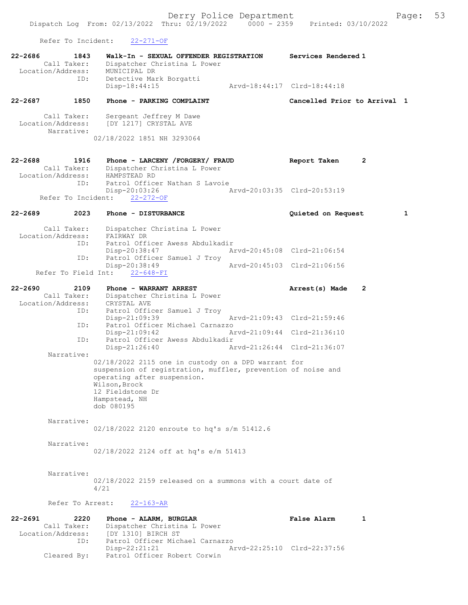Refer To Incident: 22-271-OF

Cleared By: Patrol Officer Robert Corwin

| $22 - 2686$<br>1843<br>Call Taker:<br>Location/Address:    | Walk-In - SEXUAL OFFENDER REGISTRATION<br>Dispatcher Christina L Power<br>MUNICIPAL DR                                                                                                                                 | Services Rendered 1                                    |
|------------------------------------------------------------|------------------------------------------------------------------------------------------------------------------------------------------------------------------------------------------------------------------------|--------------------------------------------------------|
| ID:                                                        | Detective Mark Borgatti<br>$Disp-18:44:15$                                                                                                                                                                             | Arvd-18:44:17 Clrd-18:44:18                            |
| 22-2687<br>1850                                            | Phone - PARKING COMPLAINT                                                                                                                                                                                              | Cancelled Prior to Arrival 1                           |
| Call Taker:<br>Location/Address:<br>Narrative:             | Sergeant Jeffrey M Dawe<br>[DY 1217] CRYSTAL AVE<br>02/18/2022 1851 NH 3293064                                                                                                                                         |                                                        |
| $22 - 2688$<br>1916<br>Call Taker:<br>Location/Address:    | Phone - LARCENY / FORGERY / FRAUD<br>Dispatcher Christina L Power<br>HAMPSTEAD RD                                                                                                                                      | Report Taken<br>2                                      |
| ID:<br>Refer To Incident:                                  | Patrol Officer Nathan S Lavoie<br>Disp-20:03:26<br>$22 - 272 - OF$                                                                                                                                                     | Arvd-20:03:35 Clrd-20:53:19                            |
| $22 - 2689$<br>2023                                        | Phone - DISTURBANCE                                                                                                                                                                                                    | 1<br>Quieted on Request                                |
| Call Taker:<br>Location/Address:                           | Dispatcher Christina L Power<br>FAIRWAY DR                                                                                                                                                                             |                                                        |
| ID:                                                        | Patrol Officer Awess Abdulkadir<br>Disp-20:38:47                                                                                                                                                                       | Arvd-20:45:08 Clrd-21:06:54                            |
| ID:                                                        | Patrol Officer Samuel J Troy<br>Disp-20:38:49                                                                                                                                                                          | Arvd-20:45:03 Clrd-21:06:56                            |
| Refer To Field Int:                                        | $22 - 648 - FI$                                                                                                                                                                                                        |                                                        |
| $22 - 2690$<br>2109<br>Call Taker:<br>Location/Address:    | Phone - WARRANT ARREST<br>Dispatcher Christina L Power<br>CRYSTAL AVE                                                                                                                                                  | 2<br>Arrest(s) Made                                    |
| ID:<br>ID:                                                 | Patrol Officer Samuel J Troy<br>$Disp-21:09:39$<br>Patrol Officer Michael Carnazzo                                                                                                                                     | Arvd-21:09:43 Clrd-21:59:46                            |
| ID:                                                        | $Disp-21:09:42$<br>Patrol Officer Awess Abdulkadir                                                                                                                                                                     | Arvd-21:09:44 Clrd-21:36:10                            |
| Narrative:                                                 | Disp-21:26:40                                                                                                                                                                                                          | Arvd-21:26:44 Clrd-21:36:07                            |
|                                                            | 02/18/2022 2115 one in custody on a DPD warrant for<br>suspension of registration, muffler, prevention of noise and<br>operating after suspension.<br>Wilson, Brock<br>12 Fieldstone Dr<br>Hampstead, NH<br>dob 080195 |                                                        |
| Narrative:                                                 | 02/18/2022 2120 enroute to hq's s/m 51412.6                                                                                                                                                                            |                                                        |
| Narrative:                                                 | 02/18/2022 2124 off at hq's e/m 51413                                                                                                                                                                                  |                                                        |
| Narrative:                                                 | 02/18/2022 2159 released on a summons with a court date of<br>4/21                                                                                                                                                     |                                                        |
| Refer To Arrest:                                           | $22 - 163 - AR$                                                                                                                                                                                                        |                                                        |
| 22-2691<br>2220<br>Call Taker:<br>Location/Address:<br>ID: | Phone - ALARM, BURGLAR<br>Dispatcher Christina L Power<br>[DY 1310] BIRCH ST<br>Patrol Officer Michael Carnazzo<br>Disp-22:21:21                                                                                       | <b>False Alarm</b><br>1<br>Arvd-22:25:10 Clrd-22:37:56 |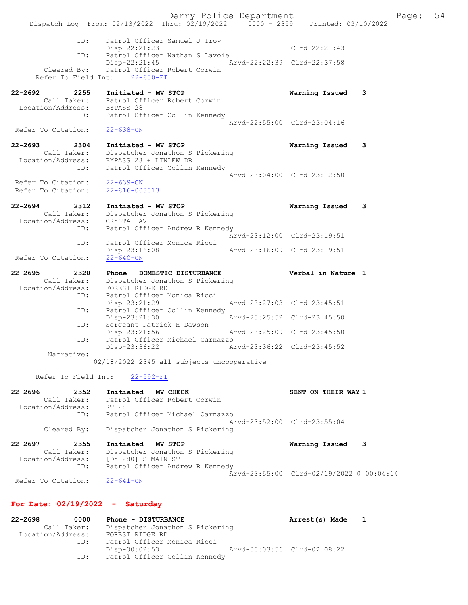Derry Police Department Fage: 54 Dispatch Log From: 02/13/2022 Thru: 02/19/2022 0000 - 2359 Printed: 03/10/2022 ID: Patrol Officer Samuel J Troy Disp-22:21:23 Clrd-22:21:43 ID: Patrol Officer Nathan S Lavoie Disp-22:21:45 Arvd-22:22:39 Clrd-22:37:58 Cleared By: Patrol Officer Robert Corwin Refer To Field Int: 22-650-FI 22-2692 2255 Initiated - MV STOP Warning Issued 3 Call Taker: Patrol Officer Robert Corwin Location/Address: BYPASS 28 ID: Patrol Officer Collin Kennedy Arvd-22:55:00 Clrd-23:04:16<br>22-638-CN Refer To Citation: 22-2693 2304 Initiated - MV STOP Warning Issued 3 Call Taker: Dispatcher Jonathon S Pickering Location/Address: BYPASS 28 + LINLEW DR ID: Patrol Officer Collin Kennedy Arvd-23:04:00 Clrd-23:12:50 Refer To Citation: 22-639-CN Refer To Citation: 22-816-003013 22-2694 2312 Initiated - MV STOP Warning Issued 3 Call Taker: Dispatcher Jonathon S Pickering Location/Address: CRYSTAL AVE ID: Patrol Officer Andrew R Kennedy Arvd-23:12:00 Clrd-23:19:51 ID: Patrol Officer Monica Ricci Disp-23:16:08 Arvd-23:16:09 Clrd-23:19:51 Refer To Citation: 22-2695 2320 Phone - DOMESTIC DISTURBANCE Verbal in Nature 1 Call Taker: Dispatcher Jonathon S Pickering Location/Address: FOREST RIDGE RD ID: Patrol Officer Monica Ricci Disp-23:21:29 Arvd-23:27:03 Clrd-23:45:51 ID: Patrol Officer Collin Kennedy Disp-23:21:30 Arvd-23:25:52 Clrd-23:45:50 ID: Sergeant Patrick H Dawson Disp-23:21:56 Arvd-23:25:09 Clrd-23:45:50 ID: Patrol Officer Michael Carnazzo<br>Disp-23:36:22 Ar Disp-23:36:22 Arvd-23:36:22 Clrd-23:45:52 Narrative: 02/18/2022 2345 all subjects uncooperative Refer To Field Int: 22-592-FI 22-2696 2352 Initiated - MV CHECK SENT ON THEIR WAY 1 Call Taker: Patrol Officer Robert Corwin Location/Address: RT 28 ID: Patrol Officer Michael Carnazzo Arvd-23:52:00 Clrd-23:55:04 Cleared By: Dispatcher Jonathon S Pickering 22-2697 2355 Initiated - MV STOP Warning Issued 3 Call Taker: Dispatcher Jonathon S Pickering Location/Address: [DY 280] S MAIN ST ID: Patrol Officer Andrew R Kennedy Arvd-23:55:00 Clrd-02/19/2022 @ 00:04:14 Refer To Citation: 22-641-CN For Date: 02/19/2022 - Saturday

| $22 - 2698$       | 0000        | Phone - DISTURBANCE             | Arrest(s) Made              | $\mathbf{1}$ |
|-------------------|-------------|---------------------------------|-----------------------------|--------------|
|                   | Call Taker: | Dispatcher Jonathon S Pickering |                             |              |
| Location/Address: |             | FOREST RIDGE RD                 |                             |              |
|                   | TD:         | Patrol Officer Monica Ricci     |                             |              |
|                   |             | Disp-00:02:53                   | Arvd-00:03:56 Clrd-02:08:22 |              |
|                   | ID:         | Patrol Officer Collin Kennedy   |                             |              |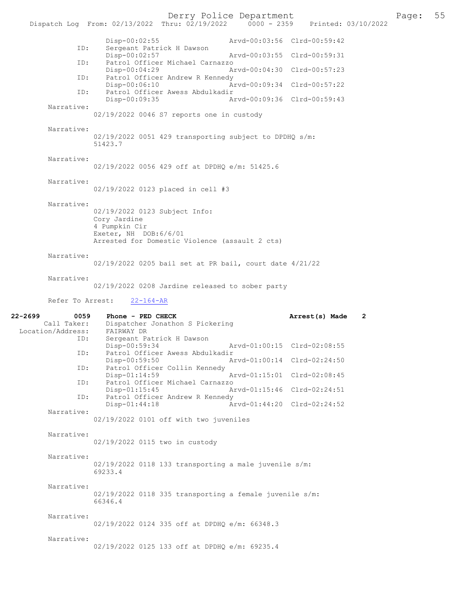Derry Police Department<br>hru:  $02/19/2022$  0000 - 2359 Printed: 03/10/2022 Dispatch Log From: 02/13/2022 Thru: 02/19/2022 Disp-00:02:55 Arvd-00:03:56 Clrd-00:59:42 ID: Sergeant Patrick H Dawson<br>Disp-00:02:57 Disp-00:02:57 Arvd-00:03:55 Clrd-00:59:31<br>ID: Patrol Officer Michael Carnazzo Patrol Officer Michael Carnazzo<br>Disp-00:04:29 A Disp-00:04:29 Arvd-00:04:30 Clrd-00:57:23<br>ID: Patrol Officer Andrew R Kennedy Patrol Officer Andrew R Kennedy Disp-00:06:10 Arvd-00:09:34 Clrd-00:57:22 ID: Patrol Officer Awess Abdulkadir Disp-00:09:35 Arvd-00:09:36 Clrd-00:59:43 Narrative: 02/19/2022 0046 S7 reports one in custody Narrative: 02/19/2022 0051 429 transporting subject to DPDHQ s/m: 51423.7 Narrative: 02/19/2022 0056 429 off at DPDHQ e/m: 51425.6 Narrative: 02/19/2022 0123 placed in cell #3 Narrative: 02/19/2022 0123 Subject Info: Cory Jardine 4 Pumpkin Cir Exeter, NH DOB:6/6/01 Arrested for Domestic Violence (assault 2 cts) Narrative: 02/19/2022 0205 bail set at PR bail, court date 4/21/22 Narrative: 02/19/2022 0208 Jardine released to sober party Refer To Arrest: 22-164-AR 22-2699 0059 Phone - PED CHECK 22-2699 0059 Phone - PED CHECK 2 Dispatcher Jonathon S Pickering<br>FAIRWAY DR Location/Address: ID: Sergeant Patrick H Dawson<br>Disp-00:59:34 Disp-00:59:34 Arvd-01:00:15 Clrd-02:08:55<br>ID: Patrol Officer Awess Abdulkadir Patrol Officer Awess Abdulkadir<br>Disp-00:59:50 A Disp-00:59:50 Arvd-01:00:14 Clrd-02:24:50 ID: Patrol Officer Collin Kennedy Arvd-01:15:01 Clrd-02:08:45 ID: Patrol Officer Michael Carnazzo Disp-01:15:45 Arvd-01:15:46 Clrd-02:24:51 ID: Patrol Officer Andrew R Kennedy Disp-01:44:18 Arvd-01:44:20 Clrd-02:24:52 Narrative: 02/19/2022 0101 off with two juveniles Narrative: 02/19/2022 0115 two in custody Narrative: 02/19/2022 0118 133 transporting a male juvenile s/m: 69233.4

 Narrative: 02/19/2022 0118 335 transporting a female juvenile s/m: 66346.4

Narrative:

02/19/2022 0124 335 off at DPDHQ e/m: 66348.3

Narrative:

02/19/2022 0125 133 off at DPDHQ e/m: 69235.4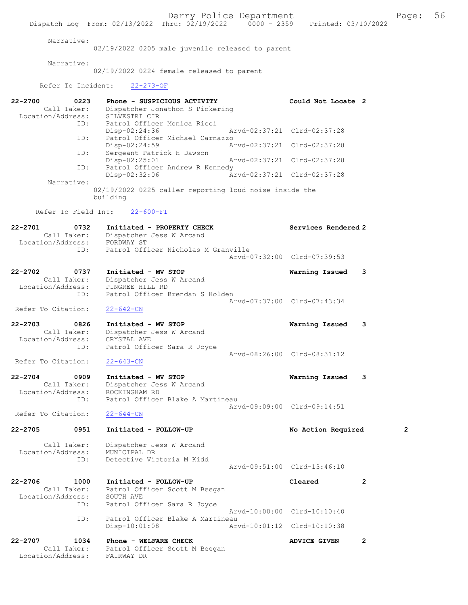Derry Police Department The Page: 56 Dispatch Log From: 02/13/2022 Thru: 02/19/2022 0000 - 2359 Printed: 03/10/2022 Narrative: 02/19/2022 0205 male juvenile released to parent Narrative: 02/19/2022 0224 female released to parent Refer To Incident: 22-273-OF 22-2700 0223 Phone - SUSPICIOUS ACTIVITY Could Not Locate 2 Call Taker: Dispatcher Jonathon S Pickering Location/Address: SILVESTRI CIR ID: Patrol Officer Monica Ricci<br>Disp-02:24:36 Disp-02:24:36 Arvd-02:37:21 Clrd-02:37:28 ID: Patrol Officer Michael Carnazzo Disp-02:24:59 Arvd-02:37:21 Clrd-02:37:28 ID: Sergeant Patrick H Dawson Disp-02:25:01 Arvd-02:37:21 Clrd-02:37:28 ID: Patrol Officer Andrew R Kennedy<br>Disp-02:32:06 Ar Disp-02:32:06 Arvd-02:37:21 Clrd-02:37:28 Narrative: 02/19/2022 0225 caller reporting loud noise inside the building Refer To Field Int: 22-600-FI 22-2701 0732 Initiated - PROPERTY CHECK Services Rendered 2 Call Taker: Dispatcher Jess W Arcand Location/Address: FORDWAY ST ID: Patrol Officer Nicholas M Granville Arvd-07:32:00 Clrd-07:39:53 22-2702 0737 Initiated - MV STOP Warning Issued 3 Call Taker: Dispatcher Jess W Arcand Location/Address: PINGREE HILL RD ID: Patrol Officer Brendan S Holden Arvd-07:37:00 Clrd-07:43:34 Refer To Citation: 22-642-CN 22-2703 0826 Initiated - MV STOP Warning Issued 3 Call Taker: Dispatcher Jess W Arcand Location/Address: CRYSTAL AVE ID: Patrol Officer Sara R Joyce Arvd-08:26:00 Clrd-08:31:12<br>22-643-CN Refer To Citation: 22-2704 0909 Initiated - MV STOP Warning Issued 3 Call Taker: Dispatcher Jess W Arcand Location/Address: ROCKINGHAM RD<br>ID: Patrol Officer Patrol Officer Blake A Martineau Arvd-09:09:00 Clrd-09:14:51 Refer To Citation: 22-644-CN 22-2705 0951 Initiated - FOLLOW-UP No Action Required 2 Call Taker: Dispatcher Jess W Arcand Location/Address: MUNICIPAL DR ID: Detective Victoria M Kidd Arvd-09:51:00 Clrd-13:46:10 22-2706 1000 Initiated - FOLLOW-UP Cleared 2 Call Taker: Patrol Officer Scott M Beegan Location/Address: SOUTH AVE ID: Patrol Officer Sara R Joyce Arvd-10:00:00 Clrd-10:10:40 ID: Patrol Officer Blake A Martineau<br>Disp-10:01:08 Arw Disp-10:01:08 Arvd-10:01:12 Clrd-10:10:38 22-2707 1034 Phone - WELFARE CHECK ADVICE GIVEN 2 Call Taker: Patrol Officer Scott M Beegan Location/Address: FAIRWAY DR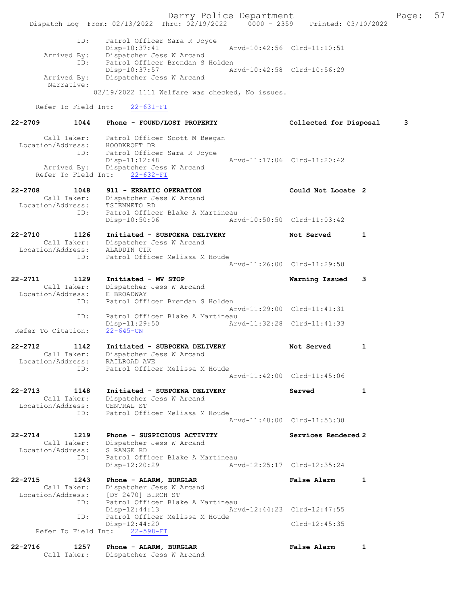Derry Police Department Fage: 57 Dispatch Log From: 02/13/2022 Thru: 02/19/2022 0000 - 2359 Printed: 03/10/2022 ID: Patrol Officer Sara R Joyce Disp-10:37:41 Arvd-10:42:56 Clrd-11:10:51 Arrived By: Dispatcher Jess W Arcand ID: Patrol Officer Brendan S Holden Disp-10:37:57 Arvd-10:42:58 Clrd-10:56:29 Arrived By: Dispatcher Jess W Arcand Narrative: 02/19/2022 1111 Welfare was checked, No issues. Refer To Field Int: 22-631-FI 22-2709 1044 Phone - FOUND/LOST PROPERTY Collected for Disposal 3 Call Taker: Patrol Officer Scott M Beegan Location/Address: HOODKROFT DR ID: Patrol Officer Sara R Joyce Disp-11:12:48 Arvd-11:17:06 Clrd-11:20:42 Arrived By: Dispatcher Jess W Arcand Refer To Field Int: 22-632-FI 22-2708 1048 911 - ERRATIC OPERATION Could Not Locate 2 Call Taker: Dispatcher Jess W Arcand Location/Address: TSIENNETO RD ID: Patrol Officer Blake A Martineau Disp-10:50:06 Arvd-10:50:50 Clrd-11:03:42 22-2710 1126 Initiated - SUBPOENA DELIVERY Not Served 1 Call Taker: Dispatcher Jess W Arcand Location/Address: ALADDIN CIR ID: Patrol Officer Melissa M Houde Arvd-11:26:00 Clrd-11:29:58 22-2711 1129 Initiated - MV STOP Warning Issued 3 Call Taker: Dispatcher Jess W Arcand Location/Address: E BROADWAY ID: Patrol Officer Brendan S Holden Arvd-11:29:00 Clrd-11:41:31 ID: Patrol Officer Blake A Martineau Disp-11:29:50 Arvd-11:32:28 Clrd-11:41:33 Refer To Citation: 22-645-CN 22-2712 1142 Initiated - SUBPOENA DELIVERY Not Served 1 Call Taker: Dispatcher Jess W Arcand Location/Address: RAILROAD AVE ID: Patrol Officer Melissa M Houde Arvd-11:42:00 Clrd-11:45:06 22-2713 1148 Initiated - SUBPOENA DELIVERY Served 1 Call Taker: Dispatcher Jess W Arcand Location/Address: CENTRAL ST ID: Patrol Officer Melissa M Houde Arvd-11:48:00 Clrd-11:53:38 22-2714 1219 Phone - SUSPICIOUS ACTIVITY Services Rendered 2 Call Taker: Dispatcher Jess W Arcand Location/Address: S RANGE RD ID: Patrol Officer Blake A Martineau Disp-12:20:29 Arvd-12:25:17 Clrd-12:35:24 22-2715 1243 Phone - ALARM, BURGLAR FALSE Ralse Alarm 1 Call Taker: Dispatcher Jess W Arcand Location/Address: [DY 2470] BIRCH ST ID: Patrol Officer Blake A Martineau Disp-12:44:13 Arvd-12:44:23 Clrd-12:47:55 ID: Patrol Officer Melissa M Houde Disp-12:44:20 Clrd-12:45:35 Refer To Field Int: 22-598-FI

22-2716 1257 Phone - ALARM, BURGLAR FALSE Ralse Alarm 1 Call Taker: Dispatcher Jess W Arcand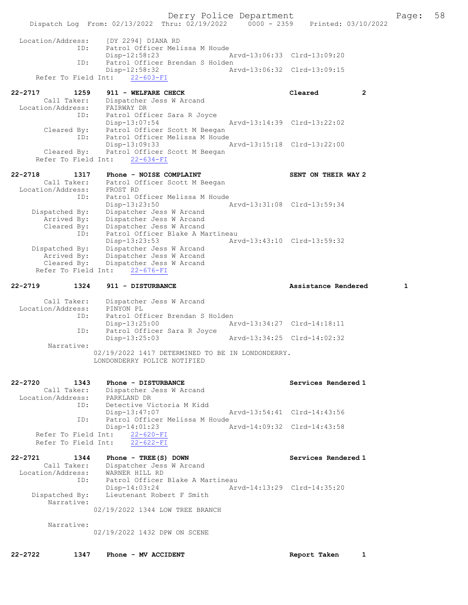Derry Police Department Fage: 58 Dispatch Log From: 02/13/2022 Thru: 02/19/2022 0000 - 2359 Printed: 03/10/2022 Location/Address: [DY 2294] DIANA RD ID: Patrol Officer Melissa M Houde Disp-12:58:23 Arvd-13:06:33 Clrd-13:09:20<br>TD: Patrol Officer Brendan S Holden ID: Patrol Officer Brendan S Holden Disp-12:58:32 Arvd-13:06:32 Clrd-13:09:15 Refer To Field Int: 22-603-FI 22-2717 1259 911 - WELFARE CHECK CHECK Cleared 2 Call Taker: Dispatcher Jess W Arcand Location/Address: FAIRWAY DR ID: Patrol Officer Sara R Joyce Disp-13:07:54 Arvd-13:14:39 Clrd-13:22:02 Cleared By: Patrol Officer Scott M Beegan ID: Patrol Officer Melissa M Houde Disp-13:09:33 Arvd-13:15:18 Clrd-13:22:00 Cleared By: Patrol Officer Scott M Beegan Refer To Field Int: 22-634-FI 22-2718 1317 Phone - NOISE COMPLAINT SENT ON THEIR WAY 2 Call Taker: Patrol Officer Scott M Beegan Location/Address: FROST RD ID: Patrol Officer Melissa M Houde Disp-13:23:50 Arvd-13:31:08 Clrd-13:59:34 Dispatched By: Dispatcher Jess W Arcand Arrived By: Dispatcher Jess W Arcand Cleared By: Dispatcher Jess W Arcand ID: Patrol Officer Blake A Martineau Disp-13:23:53 Arvd-13:43:10 Clrd-13:59:32 Dispatched By: Dispatcher Jess W Arcand Arrived By: Dispatcher Jess W Arcand Cleared By: Dispatcher Jess W Arcand Refer To Field Int: 22-676-FI 22-2719 1324 911 - DISTURBANCE Assistance Rendered 1 Call Taker: Dispatcher Jess W Arcand Location/Address: PINYON PL ID: Patrol Officer Brendan S Holden Disp-13:25:00 <br>
D: Patrol Officer Sara R Joyce <br>
D: Patrol Officer Sara R Joyce Patrol Officer Sara R Joyce<br>Disp-13:25:03 Arvd-13:34:25 Clrd-14:02:32 Narrative: 02/19/2022 1417 DETERMINED TO BE IN LONDONDERRY. LONDONDERRY POLICE NOTIFIED 22-2720 1343 Phone - DISTURBANCE Services Rendered 1 Call Taker: Dispatcher Jess W Arcand Location/Address: PARKLAND DR ID: Detective Victoria M Kidd<br>Disp-13:47:07 Disp-13:47:07 Arvd-13:54:41 Clrd-14:43:56 ID: Patrol Officer Melissa M Houde<br>Disp-14:01:23 A Arvd-14:09:32 Clrd-14:43:58 Refer To Field Int: 22-620-FI Refer To Field Int: 22-622-FI 22-2721 1344 Phone - TREE(S) DOWN Services Rendered 1 Call Taker: Dispatcher Jess W Arcand Location/Address: WARNER HILL RD ID: Patrol Officer Blake A Martineau Disp-14:03:24 Arvd-14:13:29 Clrd-14:35:20<br>Dispatched By: Lieutenant Robert F Smith Lieutenant Robert F Smith Narrative: 02/19/2022 1344 LOW TREE BRANCH Narrative: 02/19/2022 1432 DPW ON SCENE

22-2722 1347 Phone - MV ACCIDENT **Report Taken** 1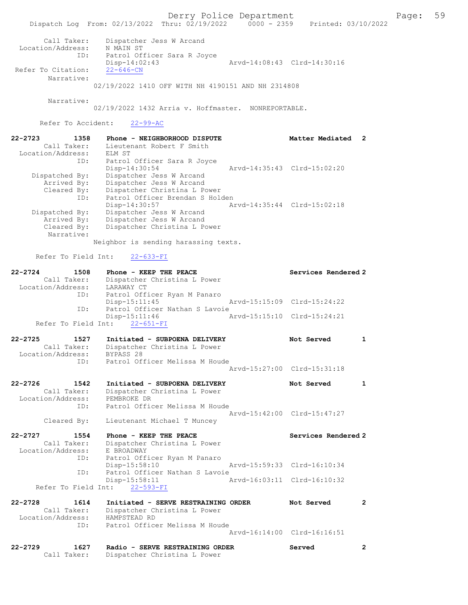Derry Police Department Fage: 59 Dispatch Log From: 02/13/2022 Thru: 02/19/2022 0000 - 2359 Printed: 03/10/2022 Call Taker: Dispatcher Jess W Arcand Location/Address: N MAIN ST ID: Patrol Officer Sara R Joyce Disp-14:02:43 Arvd-14:08:43 Clrd-14:30:16 Refer To Citation: 22-646-CN Narrative: 02/19/2022 1410 OFF WITH NH 4190151 AND NH 2314808 Narrative: 02/19/2022 1432 Arria v. Hoffmaster. NONREPORTABLE. Refer To Accident: 22-99-AC 22-2723 1358 Phone - NEIGHBORHOOD DISPUTE Matter Mediated 2 Call Taker: Lieutenant Robert F Smith Location/Address: ELM ST ID: Patrol Officer Sara R Joyce Disp-14:30:54 Arvd-14:35:43 Clrd-15:02:20 Dispatched By: Dispatcher Jess W Arcand Arrived By: Dispatcher Jess W Arcand Cleared By: Dispatcher Christina L Power ID: Patrol Officer Brendan S Holden Disp-14:30:57 Arvd-14:35:44 Clrd-15:02:18 Dispatched By: Dispatcher Jess W Arcand Arrived By: Dispatcher Jess W Arcand Cleared By: Dispatcher Christina L Power Narrative: Neighbor is sending harassing texts. Refer To Field Int: 22-633-FI 22-2724 1508 Phone - KEEP THE PEACE Network Services Rendered 2 Call Taker: Dispatcher Christina L Power Location/Address: LARAWAY CT ID: Patrol Officer Ryan M Panaro Disp-15:11:45 Arvd-15:15:09 Clrd-15:24:22 ID: Patrol Officer Nathan S Lavoie<br>Disp-15:11:46 Ar Arvd-15:15:10 Clrd-15:24:21 Refer To Field Int: 22-651-FI 22-2725 1527 Initiated - SUBPOENA DELIVERY 1 Not Served 1 Call Taker: Dispatcher Christina L Power Location/Address: BYPASS 28 ID: Patrol Officer Melissa M Houde Arvd-15:27:00 Clrd-15:31:18 22-2726 1542 Initiated - SUBPOENA DELIVERY Not Served 1 Call Taker: Dispatcher Christina L Power Location/Address: PEMBROKE DR ID: Patrol Officer Melissa M Houde Arvd-15:42:00 Clrd-15:47:27 Cleared By: Lieutenant Michael T Muncey 22-2727 1554 Phone - KEEP THE PEACE Network Services Rendered 2 Call Taker: Dispatcher Christina L Power Location/Address: E BROADWAY ID: Patrol Officer Ryan M Panaro<br>Disp-15:58:10 Disp-15:58:10 Arvd-15:59:33 Clrd-16:10:34<br>ID: Patrol Officer Nathan S Lavoie Patrol Officer Nathan S Lavoie<br>Disp-15:58:11 A Disp-15:58:11 Arvd-16:03:11 Clrd-16:10:32 Refer To Field Int: 22-593-FI 22-2728 1614 Initiated - SERVE RESTRAINING ORDER Not Served 2 Call Taker: Dispatcher Christina L Power Location/Address: HAMPSTEAD RD ID: Patrol Officer Melissa M Houde Arvd-16:14:00 Clrd-16:16:51 22-2729 1627 Radio - SERVE RESTRAINING ORDER Served 2 Call Taker: Dispatcher Christina L Power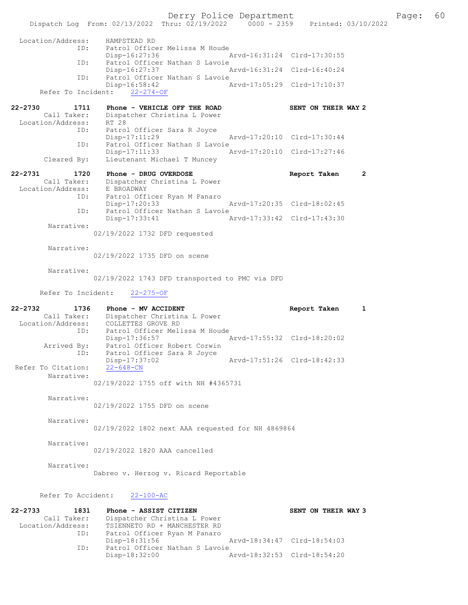Derry Police Department The Rage: 60 Dispatch Log From: 02/13/2022 Thru: 02/19/2022 0000 - 2359 Printed: 03/10/2022 Location/Address: HAMPSTEAD RD ID: Patrol Officer Melissa M Houde Disp-16:27:36<br>TD: Patrol Officer Nathan S Lay Patrol Officer Nathan S Lavoie<br>Disp-16:27:37 Disp-16:27:37 Arvd-16:31:24 Clrd-16:40:24<br>ID: Patrol Officer Nathan S Lavoie Patrol Officer Nathan S Lavoie Disp-16:58:42 Arvd-17:05:29 Clrd-17:10:37 Refer To Incident: 22-274-OF 22-2730 1711 Phone - VEHICLE OFF THE ROAD SENT ON THEIR WAY 2 Call Taker: Dispatcher Christina L Power Location/Address: RT 28 ID: Patrol Officer Sara R Joyce Disp-17:11:29 Arvd-17:20:10 Clrd-17:30:44 ID: Patrol Officer Nathan S Lavoie Disp-17:11:33 Arvd-17:20:10 Clrd-17:27:46 Cleared By: Lieutenant Michael T Muncey 22-2731 1720 Phone - DRUG OVERDOSE Report Taken 2 Call Taker: Dispatcher Christina L Power Location/Address: E BROADWAY ESS. E DROMENTIC<br>ID: Patrol Officer Ryan M Panaro<br>Disp-17:20:33 Disp-17:20:33 Arvd-17:20:35 Clrd-18:02:45 ID: Patrol Officer Nathan S Lavoie<br>Disp-17:33:41 A Disp-17:33:41 Arvd-17:33:42 Clrd-17:43:30 Narrative: 02/19/2022 1732 DFD requested Narrative: 02/19/2022 1735 DFD on scene Narrative: 02/19/2022 1743 DFD transported to PMC via DFD Refer To Incident: 22-275-OF 22-2732 1736 Phone - MV ACCIDENT **Report Taken** 1 Call Taker: Dispatcher Christina L Power Location/Address: COLLETTES GROVE RD ID: Patrol Officer Melissa M Houde Disp-17:36:57 Arvd-17:55:32 Clrd-18:20:02 Arrived By: Patrol Officer Robert Corwin ID: Patrol Officer Sara R Joyce Disp-17:37:02 <br>22-648-CN<br>22-648-CN Refer To Citation: Narrative: 02/19/2022 1755 off with NH #4365731 Narrative: 02/19/2022 1755 DFD on scene Narrative: 02/19/2022 1802 next AAA requested for NH 4869864 Narrative: 02/19/2022 1820 AAA cancelled Narrative: Dabreo v. Herzog v. Ricard Reportable Refer To Accident: 22-100-AC 22-2733 1831 Phone - ASSIST CITIZEN SENT ON THEIR WAY 3 Call Taker: Dispatcher Christina L Power Location/Address: TSIENNETO RD + MANCHESTER RD ID: Patrol Officer Ryan M Panaro<br>Disp-18:31:56 Disp-18:31:56 Arvd-18:34:47 Clrd-18:54:03<br>TD: Patrol Officer Nathan S Lavoie ---.<br>Patrol Officer Nathan S Lavoie<br>Disp-18:32:00 A Disp-18:32:00 Arvd-18:32:53 Clrd-18:54:20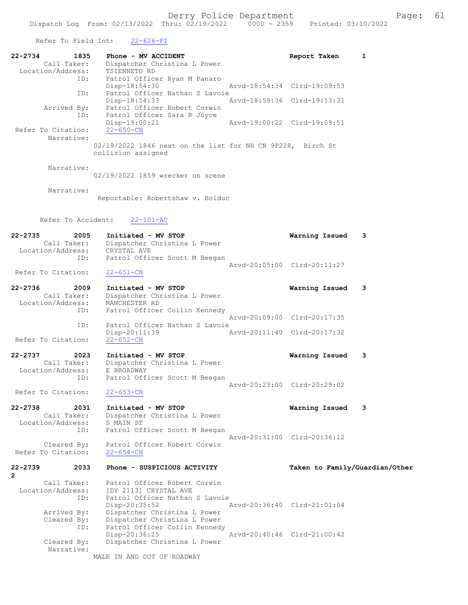| Refer To Field Int:                                            | $22 - 626 - FI$                                                                                                                   |                                                            |
|----------------------------------------------------------------|-----------------------------------------------------------------------------------------------------------------------------------|------------------------------------------------------------|
| $22 - 2734$<br>1835<br>Call Taker:<br>Location/Address:<br>ID: | Phone - MV ACCIDENT<br>Dispatcher Christina L Power<br>TSIENNETO RD<br>Patrol Officer Ryan M Panaro<br>Disp-18:54:30              | 1<br>Report Taken<br>Arvd-18:54:34 Clrd-19:09:53           |
| ID:<br>Arrived By:                                             | Patrol Officer Nathan S Lavoie<br>Disp-18:54:33<br>Patrol Officer Robert Corwin                                                   | Arvd-18:59:36 Clrd-19:13:31                                |
| ID:<br>Refer To Citation:<br>Narrative:                        | Patrol Officer Sara R Joyce<br>Disp-19:00:21<br>$22 - 650 - CN$                                                                   | Arvd-19:00:22 Clrd-19:09:51                                |
|                                                                | 02/19/2022 1846 next on the list for NH CN 9P228, Birch St<br>collision assigned                                                  |                                                            |
| Narrative:                                                     | 02/19/2022 1859 wrecker on scene                                                                                                  |                                                            |
| Narrative:                                                     | Reportable: Robertshaw v. Bolduc                                                                                                  |                                                            |
| Refer To Accident:                                             | $22 - 101 - AC$                                                                                                                   |                                                            |
| $22 - 2735$<br>2005<br>Call Taker:<br>Location/Address:<br>ID: | Initiated - MV STOP<br>Dispatcher Christina L Power<br>CRYSTAL AVE<br>Patrol Officer Scott M Beegan                               | Warning Issued<br>3                                        |
| Refer To Citation:                                             | $22 - 651 - CN$                                                                                                                   | Arvd-20:05:00 Clrd-20:11:27                                |
| $22 - 2736$<br>2009<br>Call Taker:<br>Location/Address:<br>ID: | Initiated - MV STOP<br>Dispatcher Christina L Power<br>MANCHESTER RD<br>Patrol Officer Collin Kennedy                             | 3<br>Warning Issued                                        |
| ID:                                                            | Patrol Officer Nathan S Lavoie                                                                                                    | Arvd-20:09:00 Clrd-20:17:35                                |
| Refer To Citation:                                             | Disp-20:11:39<br>$22 - 652 - CN$                                                                                                  | Arvd-20:11:40 Clrd-20:17:32                                |
| $22 - 2737$<br>2023<br>Call Taker:<br>Location/Address:<br>ID: | Initiated - MV STOP<br>Dispatcher Christina L Power<br>E BROADWAY<br>Patrol Officer Scott M Beegan                                | 3<br>Warning Issued                                        |
| Refer To Citation:                                             | $22 - 653 - CN$                                                                                                                   | Arvd-20:23:00 Clrd-20:29:02                                |
| $22 - 2738$<br>2031<br>Call Taker:<br>Location/Address:        | Initiated - MV STOP<br>Dispatcher Christina L Power<br>S MAIN ST                                                                  | Warning Issued<br>3                                        |
| ID:<br>Cleared By:<br>Refer To Citation:                       | Patrol Officer Scott M Beegan<br>Patrol Officer Robert Corwin<br>$22 - 654 - CN$                                                  | Arvd-20:31:00 Clrd-20:36:12                                |
| $22 - 2739$<br>2033                                            | Phone - SUSPICIOUS ACTIVITY                                                                                                       | Taken to Family/Guardian/Other                             |
| $\mathbf{2}$<br>Call Taker:<br>Location/Address:<br>ID:        | Patrol Officer Robert Corwin<br>[DY 2113] CRYSTAL AVE<br>Patrol Officer Nathan S Lavoie                                           |                                                            |
| Arrived By:<br>Cleared By:<br>ID:                              | $Disp-20:35:52$<br>Dispatcher Christina L Power<br>Dispatcher Christina L Power<br>Patrol Officer Collin Kennedy<br>Disp-20:36:25 | Arvd-20:36:40 Clrd-21:01:04<br>Arvd-20:40:46 Clrd-21:00:42 |
|                                                                |                                                                                                                                   |                                                            |

Cleared By: Dispatcher Christina L Power

Narrative:

MALE IN AND OUT OF ROADWAY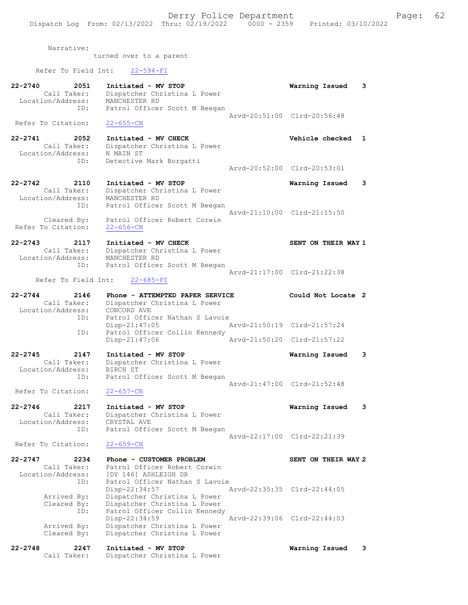22-2740 2051 Initiated - MV STOP Warning Issued 3

Narrative:

turned over to a parent

Refer To Field Int: 22-594-FI

| Call Taker:<br>Location/Address:<br>ID:                                   | Dispatcher Christina L Power<br>MANCHESTER RD<br>Patrol Officer Scott M Beegan                                  |               |                             |
|---------------------------------------------------------------------------|-----------------------------------------------------------------------------------------------------------------|---------------|-----------------------------|
| Refer To Citation:                                                        | $22 - 655 - CN$                                                                                                 |               | Arvd-20:51:00 Clrd-20:56:48 |
| 22-2741<br>2052<br>Call Taker:<br>Location/Address:                       | Initiated - MV CHECK<br>Dispatcher Christina L Power<br>N MAIN ST                                               |               | Vehicle checked<br>1        |
| ID:                                                                       | Detective Mark Borgatti                                                                                         |               | Arvd-20:52:00 Clrd-20:53:01 |
| 22-2742<br>2110<br>Call Taker:<br>Location/Address:                       | Initiated - MV STOP<br>Dispatcher Christina L Power<br>MANCHESTER RD                                            |               | 3<br>Warning Issued         |
| ID:<br>Cleared By:                                                        | Patrol Officer Scott M Beegan<br>Patrol Officer Robert Corwin                                                   |               | Arvd-21:10:00 Clrd-21:15:50 |
| Refer To Citation:<br>22-2743<br>2117<br>Call Taker:<br>Location/Address: | $22 - 656 - CN$<br>Initiated - MV CHECK<br>Dispatcher Christina L Power<br>MANCHESTER RD                        |               | SENT ON THEIR WAY 1         |
| ID:<br>Refer To Field Int:                                                | Patrol Officer Scott M Beegan<br>$22 - 685 - FI$                                                                |               | Arvd-21:17:00 Clrd-21:22:38 |
| 22-2744<br>2146<br>Call Taker:<br>Location/Address:                       | Phone - ATTEMPTED PAPER SERVICE<br>Dispatcher Christina L Power<br>CONCORD AVE                                  |               | Could Not Locate 2          |
| ID:                                                                       | Patrol Officer Nathan S Lavoie<br>Disp-21:47:05                                                                 |               | Arvd-21:50:19 Clrd-21:57:24 |
| ID:                                                                       | Patrol Officer Collin Kennedy<br>Disp-21:47:06                                                                  | Arvd-21:50:20 | $Clrd-21:57:22$             |
| 22-2745<br>2147<br>Call Taker:<br>Location/Address:<br>ID:                | Initiated - MV STOP<br>Dispatcher Christina L Power<br>BIRCH ST<br>Patrol Officer Scott M Beegan                |               | Warning Issued<br>3         |
| Refer To Citation:                                                        | $22 - 657 - CN$                                                                                                 |               | Arvd-21:47:00 Clrd-21:52:48 |
| 22-2746<br>2217<br>Call Taker:<br>Location/Address:                       | Initiated - MV STOP<br>Dispatcher Christina L Power<br>CRYSTAL AVE                                              |               | Warning Issued<br>3         |
| ID:<br>Refer To Citation:                                                 | Patrol Officer Scott M Beegan<br>$22 - 659 - CN$                                                                | Arvd-22:17:00 | Clrd-22:21:39               |
| 22-2747<br>2234<br>Call Taker:<br>Location/Address:                       | Phone - CUSTOMER PROBLEM<br>Patrol Officer Robert Corwin<br>[DY 146] ASHLEIGH DR                                |               | SENT ON THEIR WAY 2         |
| ID:<br>Arrived By:<br>Cleared By:<br>ID:                                  | Patrol Officer Nathan S Lavoie<br>Disp-22:34:57<br>Dispatcher Christina L Power<br>Dispatcher Christina L Power |               | Arvd-22:35:35 Clrd-22:44:05 |
| Arrived By:<br>Cleared By:                                                | Patrol Officer Collin Kennedy<br>Disp-22:34:59<br>Dispatcher Christina L Power<br>Dispatcher Christina L Power  | Arvd-22:39:06 | $Clrd-22:44:03$             |

22-2748 2247 Initiated - MV STOP Warning Issued 3

Call Taker: Dispatcher Christina L Power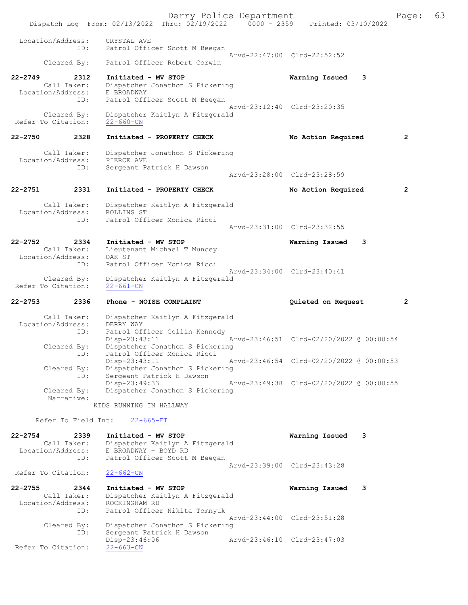Derry Police Department The Page: 63 Dispatch Log From: 02/13/2022 Thru: 02/19/2022 0000 - 2359 Printed: 03/10/2022 Location/Address: CRYSTAL AVE ID: Patrol Officer Scott M Beegan Arvd-22:47:00 Clrd-22:52:52 Cleared By: Patrol Officer Robert Corwin 22-2749 2312 Initiated - MV STOP Warning Issued 3 Call Taker: Dispatcher Jonathon S Pickering<br>Location/Address: E BROADWAY a (1992)<br>Call Taker: Dispatence<br>tion/Address: E BROADWAY<br>ID: Patrol Off: Patrol Officer Scott M Beegan Arvd-23:12:40 Clrd-23:20:35 Cleared By: Dispatcher Kaitlyn A Fitzgerald<br>To Citation: 22-660-CN Refer To Citation: 22-2750 2328 Initiated - PROPERTY CHECK No Action Required 2 Call Taker: Dispatcher Jonathon S Pickering Location/Address: PIERCE AVE ID: Sergeant Patrick H Dawson Arvd-23:28:00 Clrd-23:28:59 22-2751 2331 Initiated - PROPERTY CHECK No Action Required 2 Call Taker: Dispatcher Kaitlyn A Fitzgerald Location/Address: ROLLINS ST ID: Patrol Officer Monica Ricci Arvd-23:31:00 Clrd-23:32:55 22-2752 2334 Initiated - MV STOP Warning Issued 3 Call Taker: Lieutenant Michael T Muncey Location/Address: OAK ST ID: Patrol Officer Monica Ricci Arvd-23:34:00 Clrd-23:40:41 Cleared By: Dispatcher Kaitlyn A Fitzgerald<br>To Citation: 22-661-CN Refer To Citation: 22-2753 2336 Phone - NOISE COMPLAINT Quieted on Request 2 Call Taker: Dispatcher Kaitlyn A Fitzgerald Location/Address: DERRY WAY ID: Patrol Officer Collin Kennedy<br>Disp-23:43:11 Mard-23:46:51 Clrd-02/20/2022 @ 00:00:54 Disp-23:43:11 Arvd-23:46:51 Clrd-02/20/2022 @ 00:00:54 Cleared By: Dispatcher Jonathon S Pickering ID: Patrol Officer Monica Ricci Disp-23:43:11 Arvd-23:46:54 Clrd-02/20/2022 @ 00:00:53 Cleared By: Dispatcher Jonathon S Pickering ID: Sergeant Patrick H Dawson Disp-23:49:33 Arvd-23:49:38 Clrd-02/20/2022 @ 00:00:55<br>Cleared By: Dispatcher Jonathon S Pickering Dispatcher Jonathon S Pickering Narrative: KIDS RUNNING IN HALLWAY Refer To Field Int: 22-665-FI 22-2754 2339 Initiated - MV STOP Warning Issued 3 Call Taker: Dispatcher Kaitlyn A Fitzgerald Location/Address: E BROADWAY + BOYD RD ID: Patrol Officer Scott M Beegan Arvd-23:39:00 Clrd-23:43:28 Refer To Citation: 22-662-CN 22-2755 2344 Initiated - MV STOP Warning Issued 3 Call Taker: Dispatcher Kaitlyn A Fitzgerald Call Taker: Dispatcher Kai<br>Location/Address: ROCKINGHAM RD<br>ID: Patrol Officer Patrol Officer Nikita Tomnyuk Arvd-23:44:00 Clrd-23:51:28 Cleared By: Dispatcher Jonathon S Pickering ID: Sergeant Patrick H Dawson Disp-23:46:06 Arvd-23:46:10 Clrd-23:47:03 Refer To Citation: